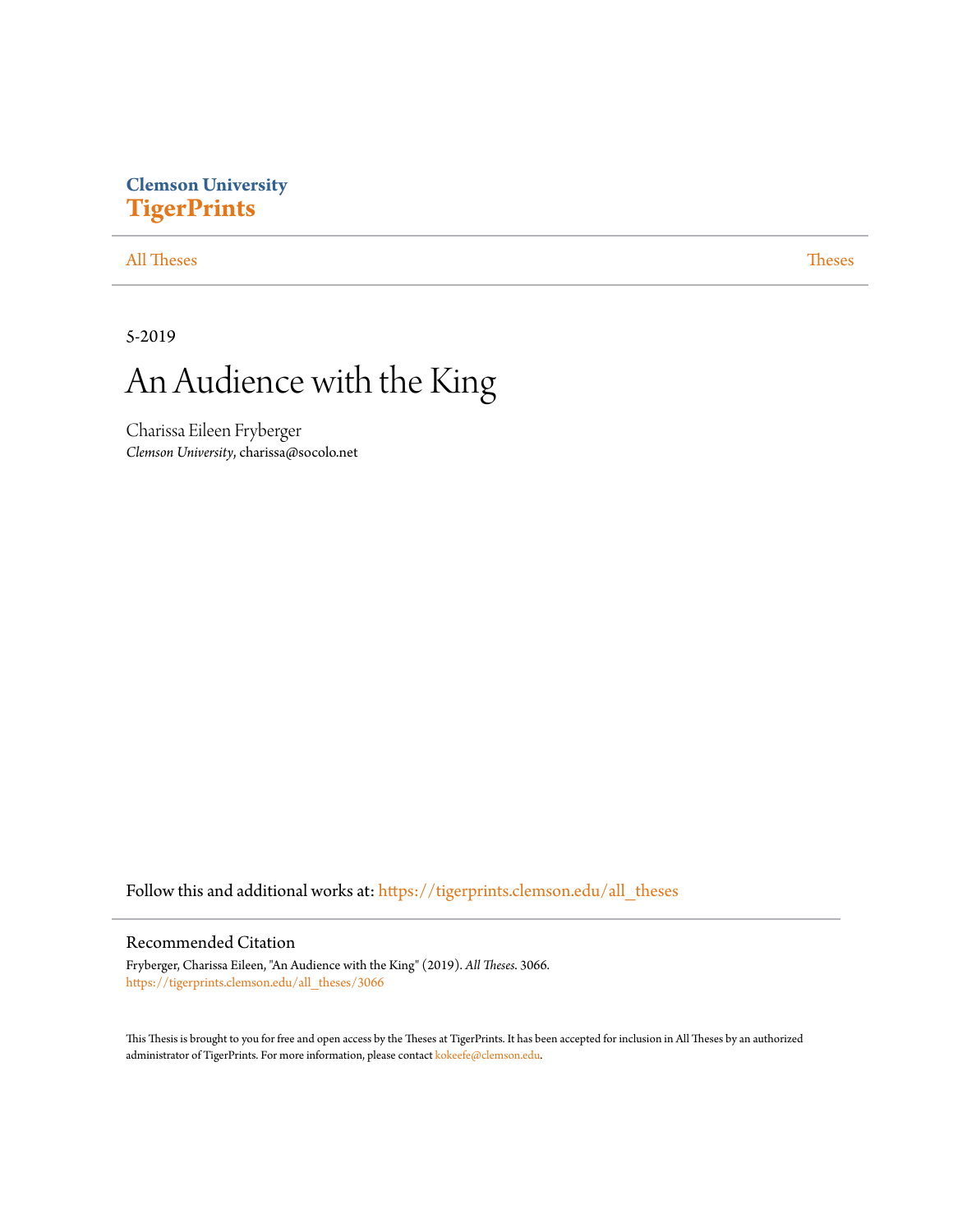# **Clemson University [TigerPrints](https://tigerprints.clemson.edu?utm_source=tigerprints.clemson.edu%2Fall_theses%2F3066&utm_medium=PDF&utm_campaign=PDFCoverPages)**

## [All Theses](https://tigerprints.clemson.edu/all_theses?utm_source=tigerprints.clemson.edu%2Fall_theses%2F3066&utm_medium=PDF&utm_campaign=PDFCoverPages) **[Theses](https://tigerprints.clemson.edu/theses?utm_source=tigerprints.clemson.edu%2Fall_theses%2F3066&utm_medium=PDF&utm_campaign=PDFCoverPages)**

5-2019

# An Audience with the King

Charissa Eileen Fryberger *Clemson University*, charissa@socolo.net

Follow this and additional works at: [https://tigerprints.clemson.edu/all\\_theses](https://tigerprints.clemson.edu/all_theses?utm_source=tigerprints.clemson.edu%2Fall_theses%2F3066&utm_medium=PDF&utm_campaign=PDFCoverPages)

## Recommended Citation

Fryberger, Charissa Eileen, "An Audience with the King" (2019). *All Theses*. 3066. [https://tigerprints.clemson.edu/all\\_theses/3066](https://tigerprints.clemson.edu/all_theses/3066?utm_source=tigerprints.clemson.edu%2Fall_theses%2F3066&utm_medium=PDF&utm_campaign=PDFCoverPages)

This Thesis is brought to you for free and open access by the Theses at TigerPrints. It has been accepted for inclusion in All Theses by an authorized administrator of TigerPrints. For more information, please contact [kokeefe@clemson.edu](mailto:kokeefe@clemson.edu).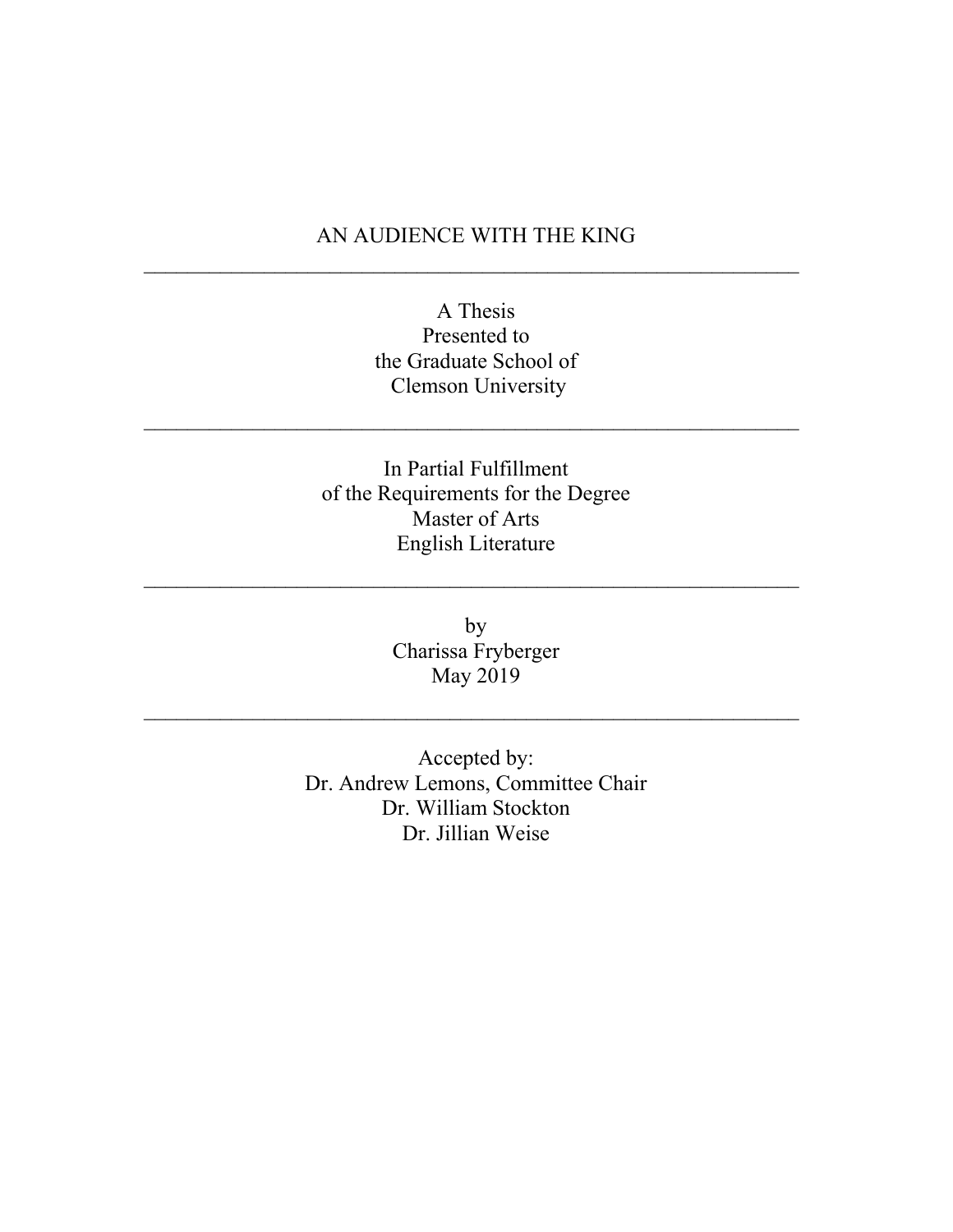# AN AUDIENCE WITH THE KING  $\overline{\mathcal{L}}$  , and the contribution of the contribution of the contribution of the contribution of the contribution of the contribution of the contribution of the contribution of the contribution of the contribution of the

A Thesis Presented to the Graduate School of Clemson University

 $\overline{\mathcal{L}}$  , and the contribution of the contribution of the contribution of the contribution of the contribution of the contribution of the contribution of the contribution of the contribution of the contribution of the

In Partial Fulfillment of the Requirements for the Degree Master of Arts English Literature

 $\overline{a}$  , and the contribution of the contribution of the contribution of the contribution of the contribution of the contribution of the contribution of the contribution of the contribution of the contribution of the co

by Charissa Fryberger May 2019

 $\Box$ 

Accepted by: Dr. Andrew Lemons, Committee Chair Dr. William Stockton Dr. Jillian Weise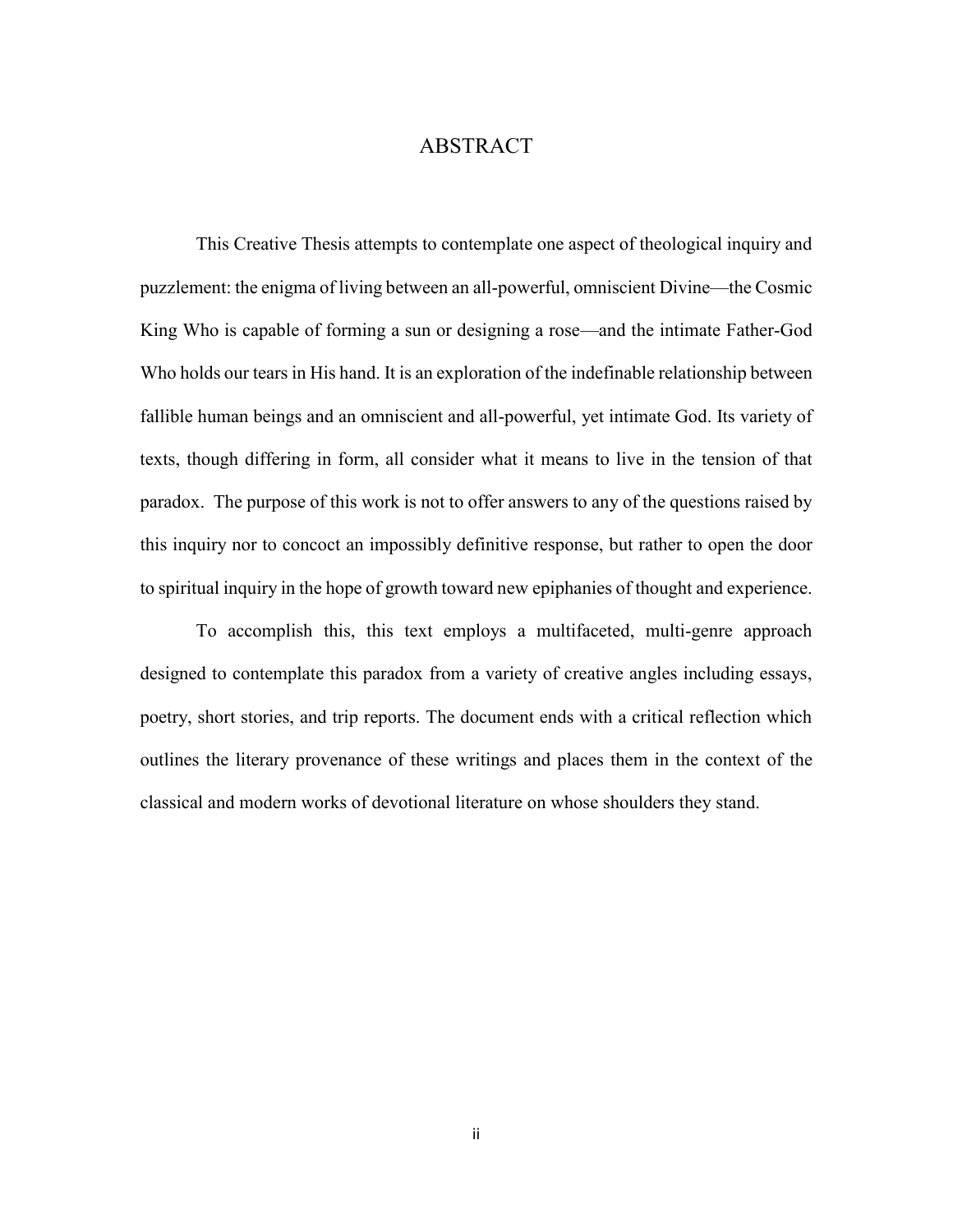# ABSTRACT

This Creative Thesis attempts to contemplate one aspect of theological inquiry and puzzlement: the enigma of living between an all-powerful, omniscient Divine—the Cosmic King Who is capable of forming a sun or designing a rose—and the intimate Father-God Who holds our tears in His hand. It is an exploration of the indefinable relationship between fallible human beings and an omniscient and all-powerful, yet intimate God. Its variety of texts, though differing in form, all consider what it means to live in the tension of that paradox. The purpose of this work is not to offer answers to any of the questions raised by this inquiry nor to concoct an impossibly definitive response, but rather to open the door to spiritual inquiry in the hope of growth toward new epiphanies of thought and experience.

To accomplish this, this text employs a multifaceted, multi-genre approach designed to contemplate this paradox from a variety of creative angles including essays, poetry, short stories, and trip reports. The document ends with a critical reflection which outlines the literary provenance of these writings and places them in the context of the classical and modern works of devotional literature on whose shoulders they stand.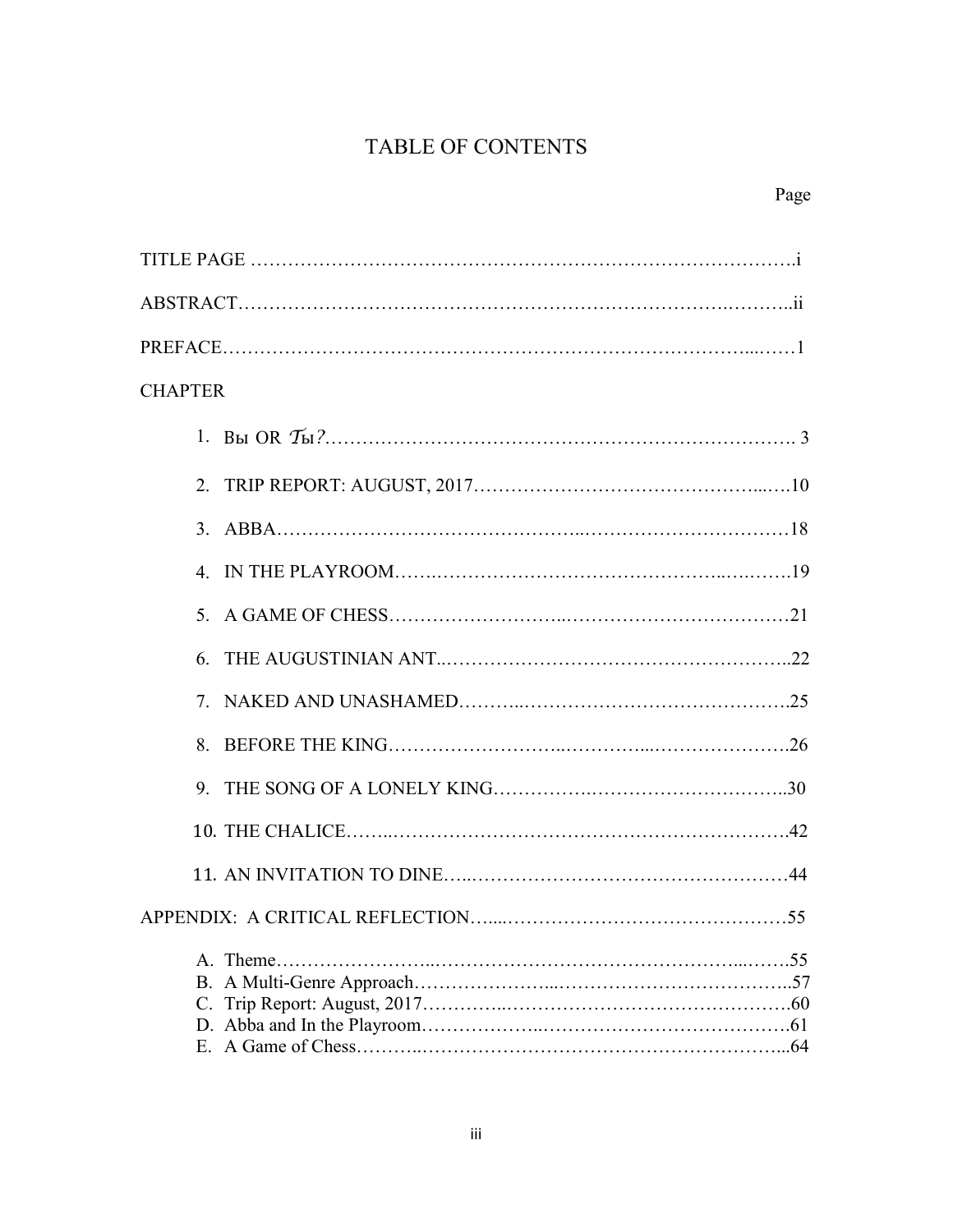# TABLE OF CONTENTS

| <b>CHAPTER</b> |  |
|----------------|--|
|                |  |
|                |  |
|                |  |
| $4_{\cdot}$    |  |
| 5.             |  |
| 6.             |  |
| $7^{\circ}$    |  |
| 8.             |  |
|                |  |
|                |  |
|                |  |
|                |  |
|                |  |
|                |  |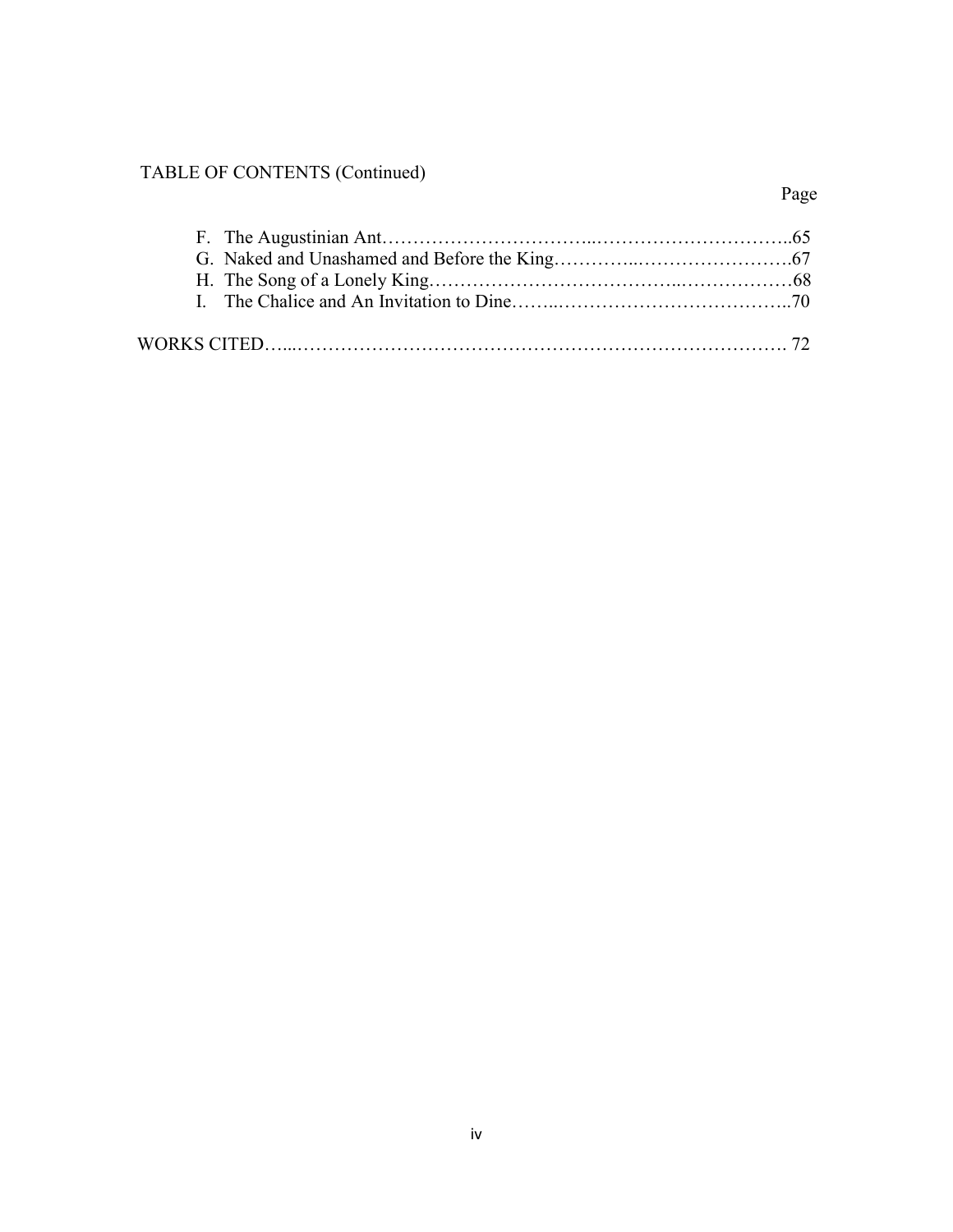# TABLE OF CONTENTS (Continued)

# Page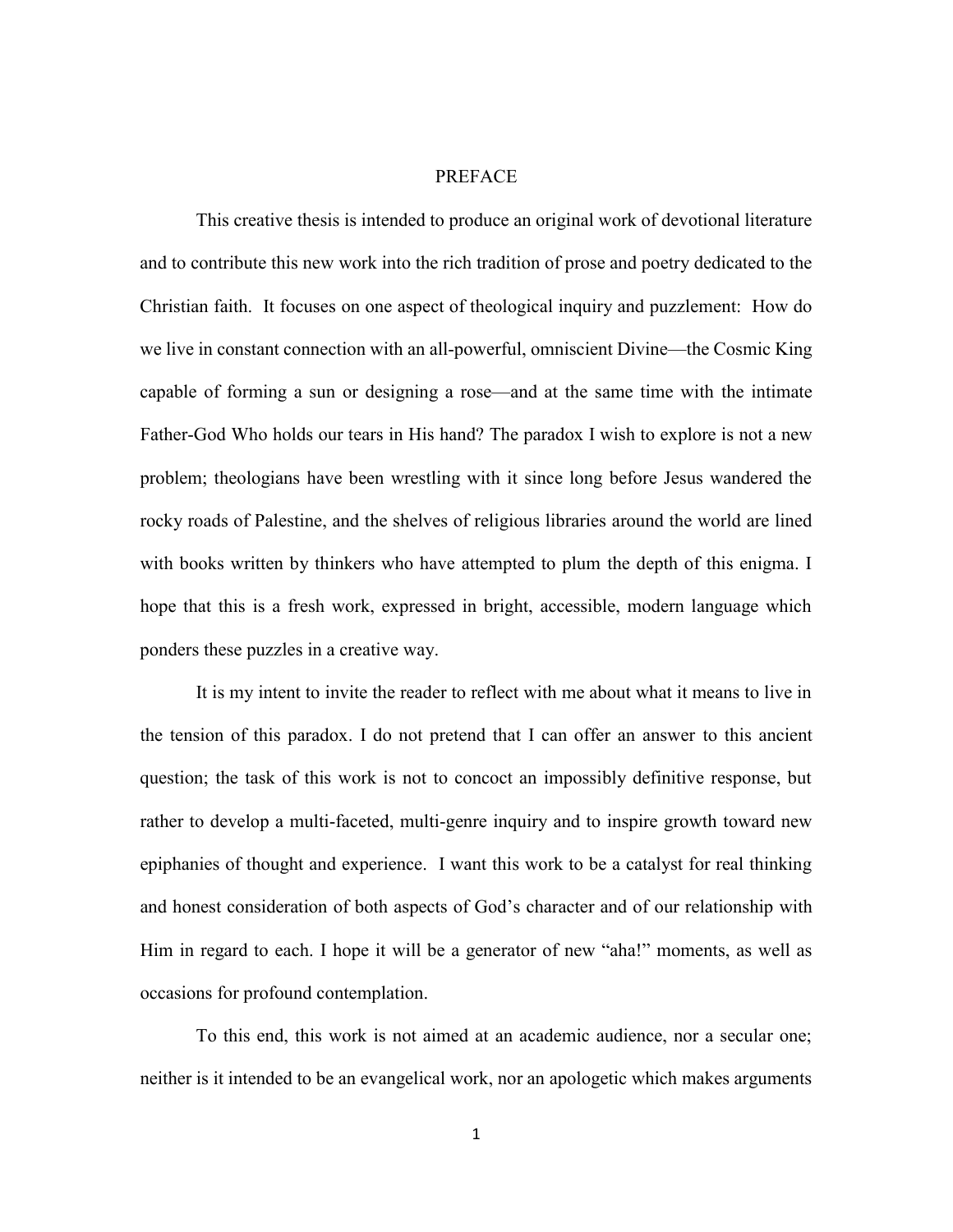#### PREFACE

This creative thesis is intended to produce an original work of devotional literature and to contribute this new work into the rich tradition of prose and poetry dedicated to the Christian faith. It focuses on one aspect of theological inquiry and puzzlement: How do we live in constant connection with an all-powerful, omniscient Divine—the Cosmic King capable of forming a sun or designing a rose—and at the same time with the intimate Father-God Who holds our tears in His hand? The paradox I wish to explore is not a new problem; theologians have been wrestling with it since long before Jesus wandered the rocky roads of Palestine, and the shelves of religious libraries around the world are lined with books written by thinkers who have attempted to plum the depth of this enigma. I hope that this is a fresh work, expressed in bright, accessible, modern language which ponders these puzzles in a creative way.

It is my intent to invite the reader to reflect with me about what it means to live in the tension of this paradox. I do not pretend that I can offer an answer to this ancient question; the task of this work is not to concoct an impossibly definitive response, but rather to develop a multi-faceted, multi-genre inquiry and to inspire growth toward new epiphanies of thought and experience. I want this work to be a catalyst for real thinking and honest consideration of both aspects of God's character and of our relationship with Him in regard to each. I hope it will be a generator of new "aha!" moments, as well as occasions for profound contemplation.

To this end, this work is not aimed at an academic audience, nor a secular one; neither is it intended to be an evangelical work, nor an apologetic which makes arguments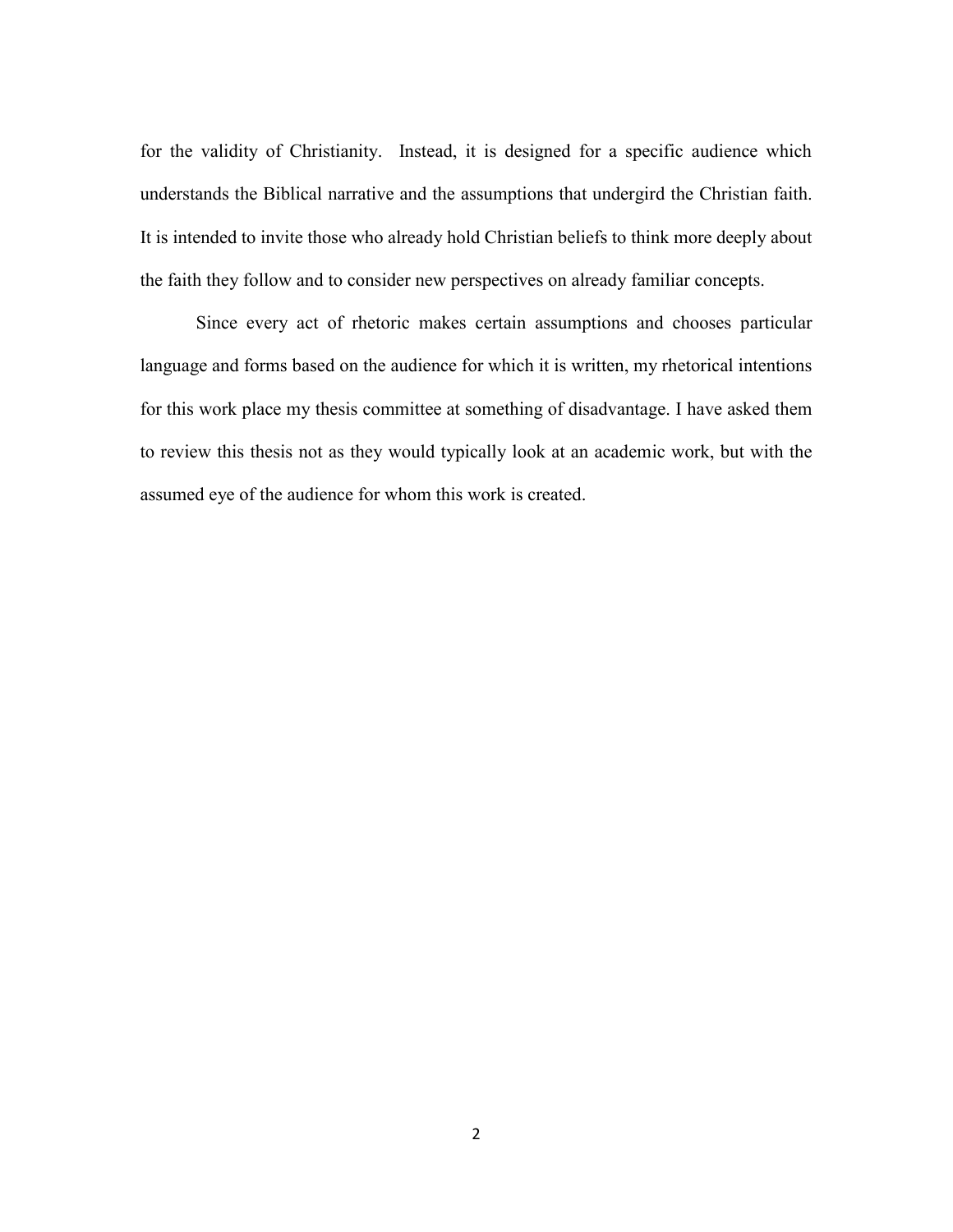for the validity of Christianity. Instead, it is designed for a specific audience which understands the Biblical narrative and the assumptions that undergird the Christian faith. It is intended to invite those who already hold Christian beliefs to think more deeply about the faith they follow and to consider new perspectives on already familiar concepts.

Since every act of rhetoric makes certain assumptions and chooses particular language and forms based on the audience for which it is written, my rhetorical intentions for this work place my thesis committee at something of disadvantage. I have asked them to review this thesis not as they would typically look at an academic work, but with the assumed eye of the audience for whom this work is created.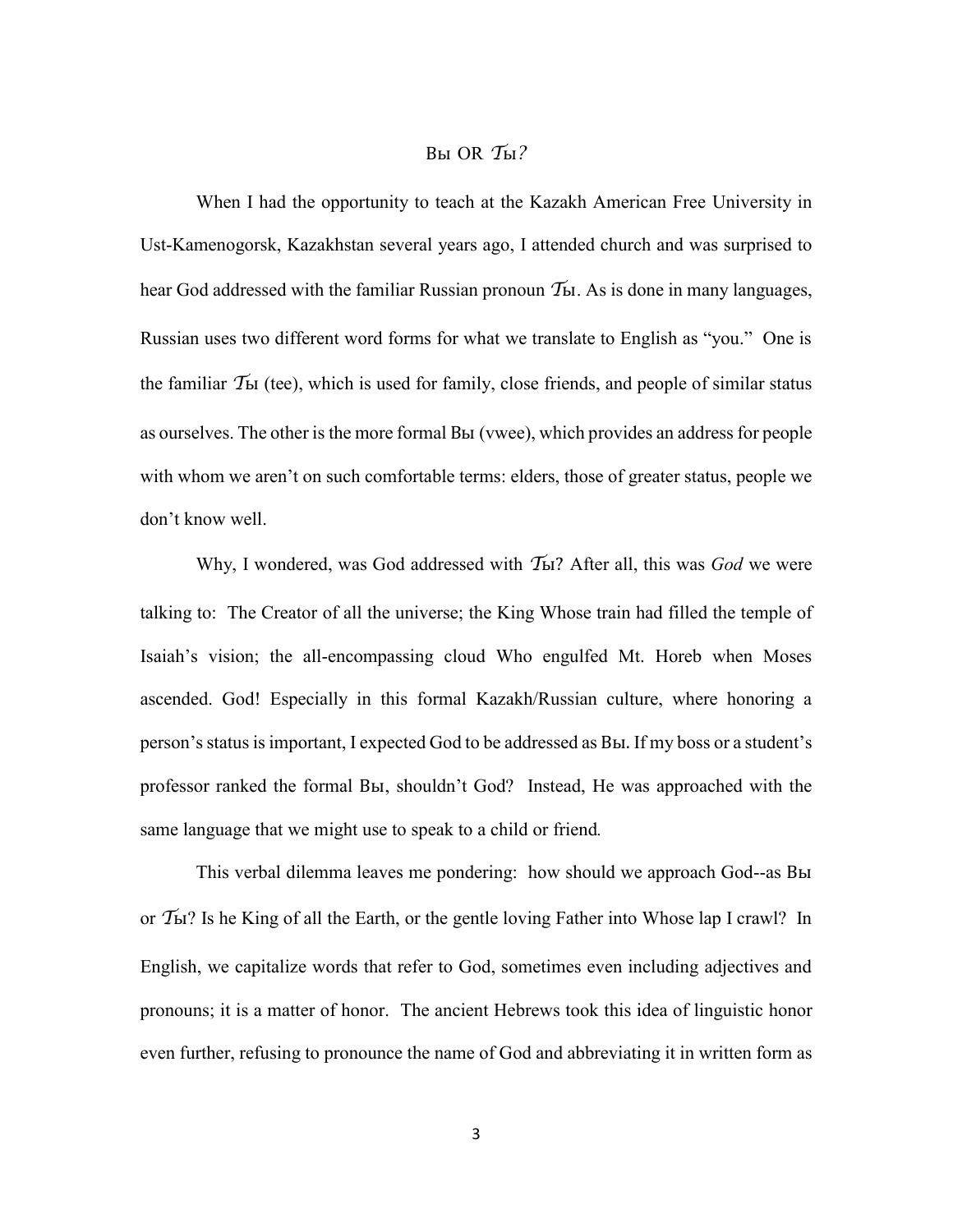## Вы OR *T*ы*?*

When I had the opportunity to teach at the Kazakh American Free University in Ust-Kamenogorsk, Kazakhstan several years ago, I attended church and was surprised to hear God addressed with the familiar Russian pronoun *T*ы. As is done in many languages, Russian uses two different word forms for what we translate to English as "you." One is the familiar *T*ы (tee), which is used for family, close friends, and people of similar status as ourselves. The other is the more formal Вы (vwee), which provides an address for people with whom we aren't on such comfortable terms: elders, those of greater status, people we don't know well.

Why, I wondered, was God addressed with *T*ы? After all, this was *God* we were talking to: The Creator of all the universe; the King Whose train had filled the temple of Isaiah's vision; the all-encompassing cloud Who engulfed Mt. Horeb when Moses ascended. God! Especially in this formal Kazakh/Russian culture, where honoring a person's status is important, I expected God to be addressed as Вы. If my boss or a student's professor ranked the formal Вы, shouldn't God? Instead, He was approached with the same language that we might use to speak to a child or friend*.* 

This verbal dilemma leaves me pondering: how should we approach God--as Вы or *T*ы? Is he King of all the Earth, or the gentle loving Father into Whose lap I crawl? In English, we capitalize words that refer to God, sometimes even including adjectives and pronouns; it is a matter of honor. The ancient Hebrews took this idea of linguistic honor even further, refusing to pronounce the name of God and abbreviating it in written form as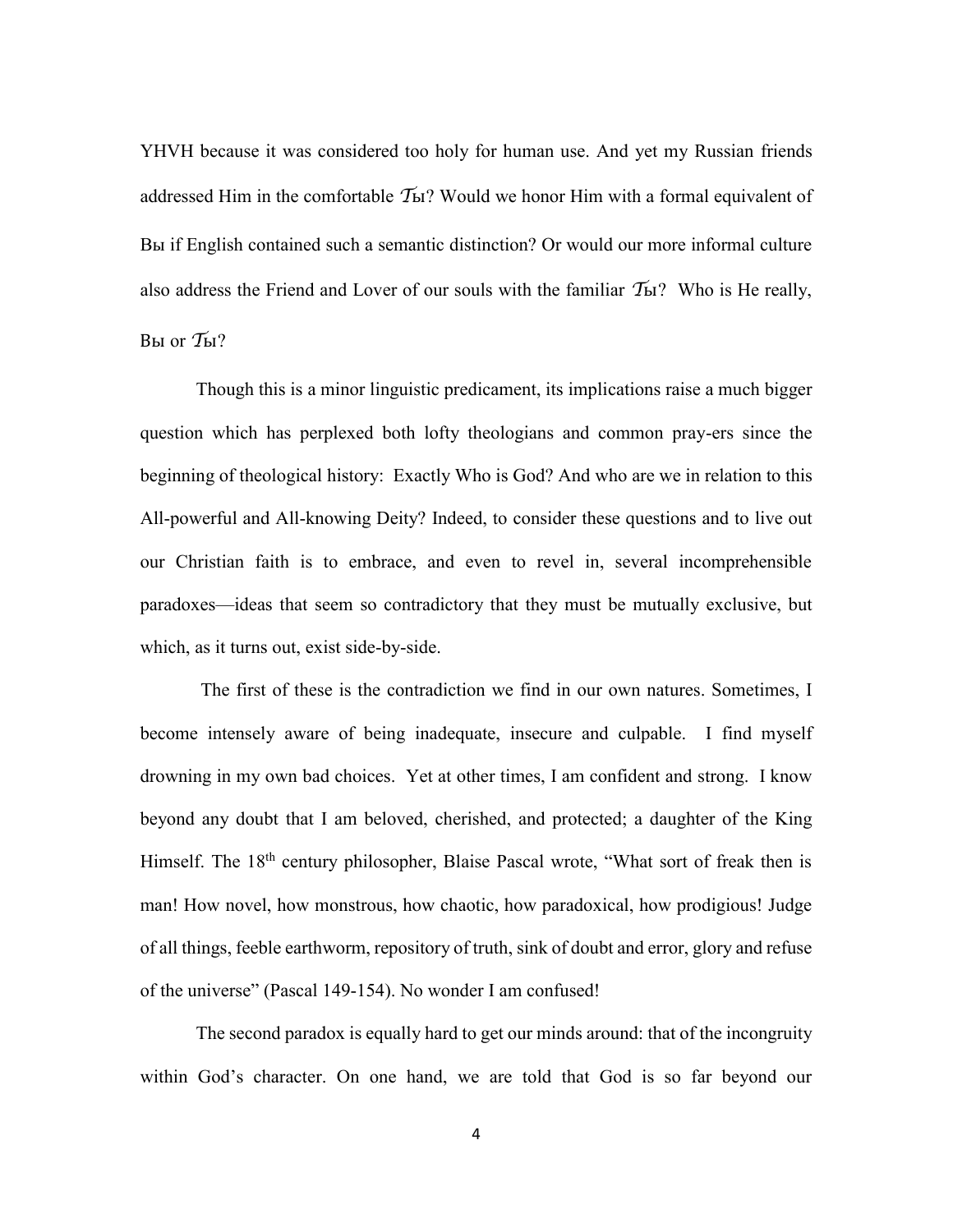YHVH because it was considered too holy for human use. And yet my Russian friends addressed Him in the comfortable *T*ы? Would we honor Him with a formal equivalent of Bы if English contained such a semantic distinction? Or would our more informal culture also address the Friend and Lover of our souls with the familiar  $\mathcal{T}_{\text{bl}}$ ? Who is He really, Вы or *T*ы?

Though this is a minor linguistic predicament, its implications raise a much bigger question which has perplexed both lofty theologians and common pray-ers since the beginning of theological history: Exactly Who is God? And who are we in relation to this All-powerful and All-knowing Deity? Indeed, to consider these questions and to live out our Christian faith is to embrace, and even to revel in, several incomprehensible paradoxes—ideas that seem so contradictory that they must be mutually exclusive, but which, as it turns out, exist side-by-side.

The first of these is the contradiction we find in our own natures. Sometimes, I become intensely aware of being inadequate, insecure and culpable. I find myself drowning in my own bad choices. Yet at other times, I am confident and strong. I know beyond any doubt that I am beloved, cherished, and protected; a daughter of the King Himself. The 18<sup>th</sup> century philosopher, Blaise Pascal wrote, "What sort of freak then is man! How novel, how monstrous, how chaotic, how paradoxical, how prodigious! Judge of all things, feeble earthworm, repository of truth, sink of doubt and error, glory and refuse of the universe" (Pascal 149-154). No wonder I am confused!

The second paradox is equally hard to get our minds around: that of the incongruity within God's character. On one hand, we are told that God is so far beyond our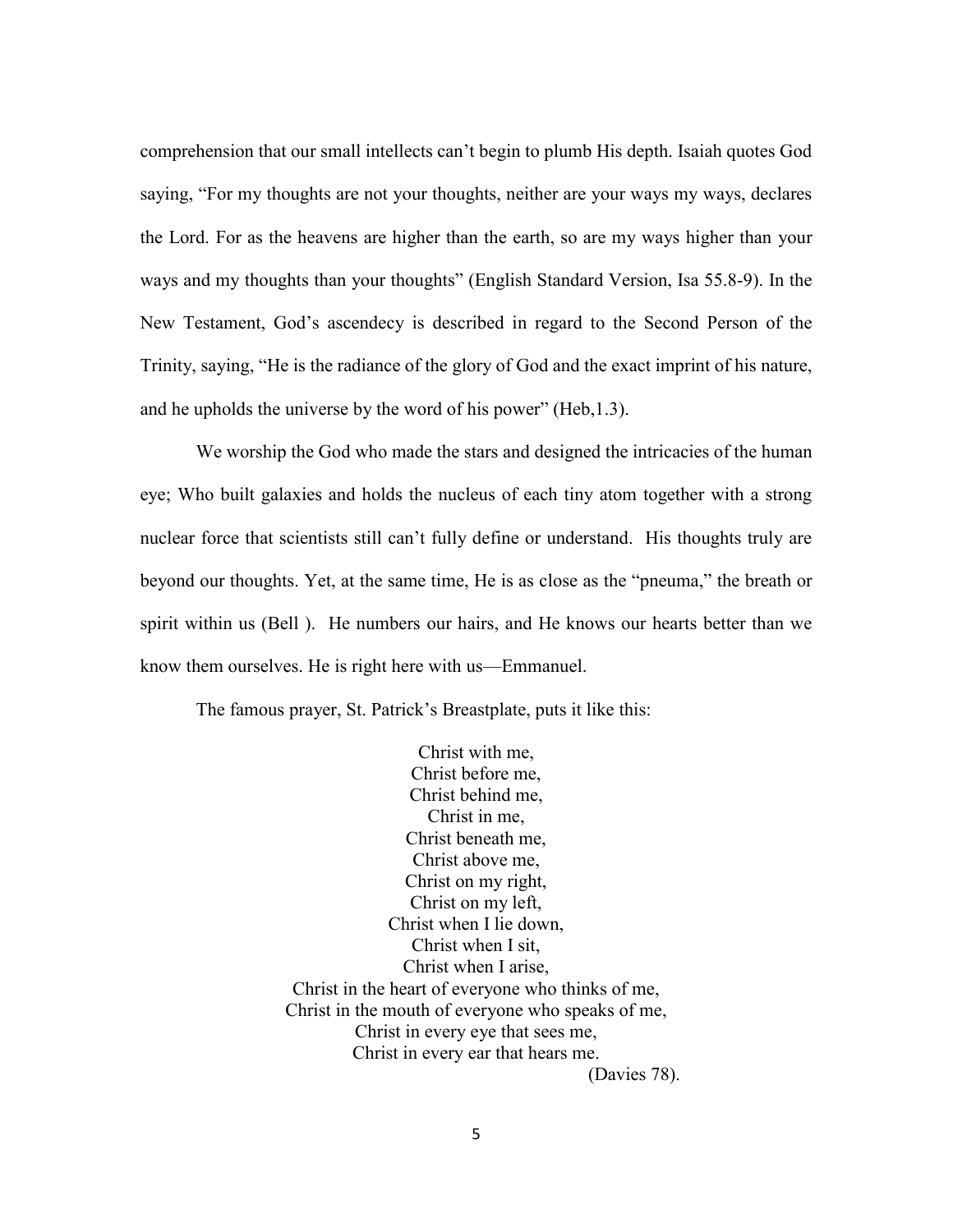comprehension that our small intellects can't begin to plumb His depth. Isaiah quotes God saying, "For my thoughts are not your thoughts, neither are your ways my ways, declares the Lord. For as the heavens are higher than the earth, so are my ways higher than your ways and my thoughts than your thoughts" (English Standard Version, Isa 55.8-9). In the New Testament, God's ascendecy is described in regard to the Second Person of the Trinity, saying, "He is the radiance of the glory of God and the exact imprint of his nature, and he upholds the universe by the word of his power" (Heb,1.3).

We worship the God who made the stars and designed the intricacies of the human eye; Who built galaxies and holds the nucleus of each tiny atom together with a strong nuclear force that scientists still can't fully define or understand. His thoughts truly are beyond our thoughts. Yet, at the same time, He is as close as the "pneuma," the breath or spirit within us (Bell ). He numbers our hairs, and He knows our hearts better than we know them ourselves. He is right here with us—Emmanuel.

The famous prayer, St. Patrick's Breastplate, puts it like this:

Christ with me, Christ before me, Christ behind me, Christ in me, Christ beneath me, Christ above me, Christ on my right, Christ on my left, Christ when I lie down, Christ when I sit, Christ when I arise, Christ in the heart of everyone who thinks of me, Christ in the mouth of everyone who speaks of me, Christ in every eye that sees me, Christ in every ear that hears me. (Davies 78).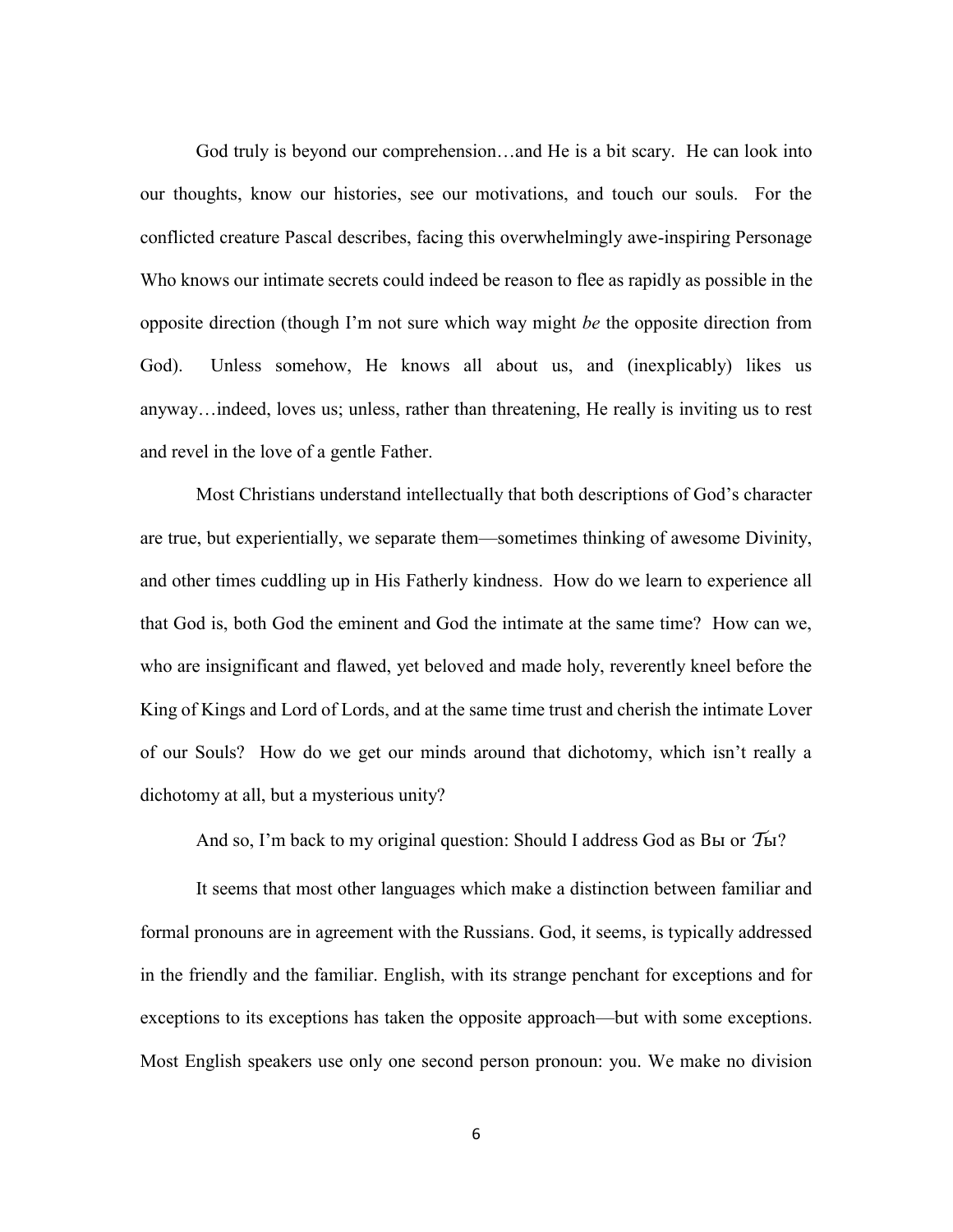God truly is beyond our comprehension…and He is a bit scary. He can look into our thoughts, know our histories, see our motivations, and touch our souls. For the conflicted creature Pascal describes, facing this overwhelmingly awe-inspiring Personage Who knows our intimate secrets could indeed be reason to flee as rapidly as possible in the opposite direction (though I'm not sure which way might *be* the opposite direction from God). Unless somehow, He knows all about us, and (inexplicably) likes us anyway…indeed, loves us; unless, rather than threatening, He really is inviting us to rest and revel in the love of a gentle Father.

Most Christians understand intellectually that both descriptions of God's character are true, but experientially, we separate them—sometimes thinking of awesome Divinity, and other times cuddling up in His Fatherly kindness. How do we learn to experience all that God is, both God the eminent and God the intimate at the same time? How can we, who are insignificant and flawed, yet beloved and made holy, reverently kneel before the King of Kings and Lord of Lords, and at the same time trust and cherish the intimate Lover of our Souls? How do we get our minds around that dichotomy, which isn't really a dichotomy at all, but a mysterious unity?

And so, I'm back to my original question: Should I address God as Вы or *T*ы?

It seems that most other languages which make a distinction between familiar and formal pronouns are in agreement with the Russians. God, it seems, is typically addressed in the friendly and the familiar. English, with its strange penchant for exceptions and for exceptions to its exceptions has taken the opposite approach—but with some exceptions. Most English speakers use only one second person pronoun: you. We make no division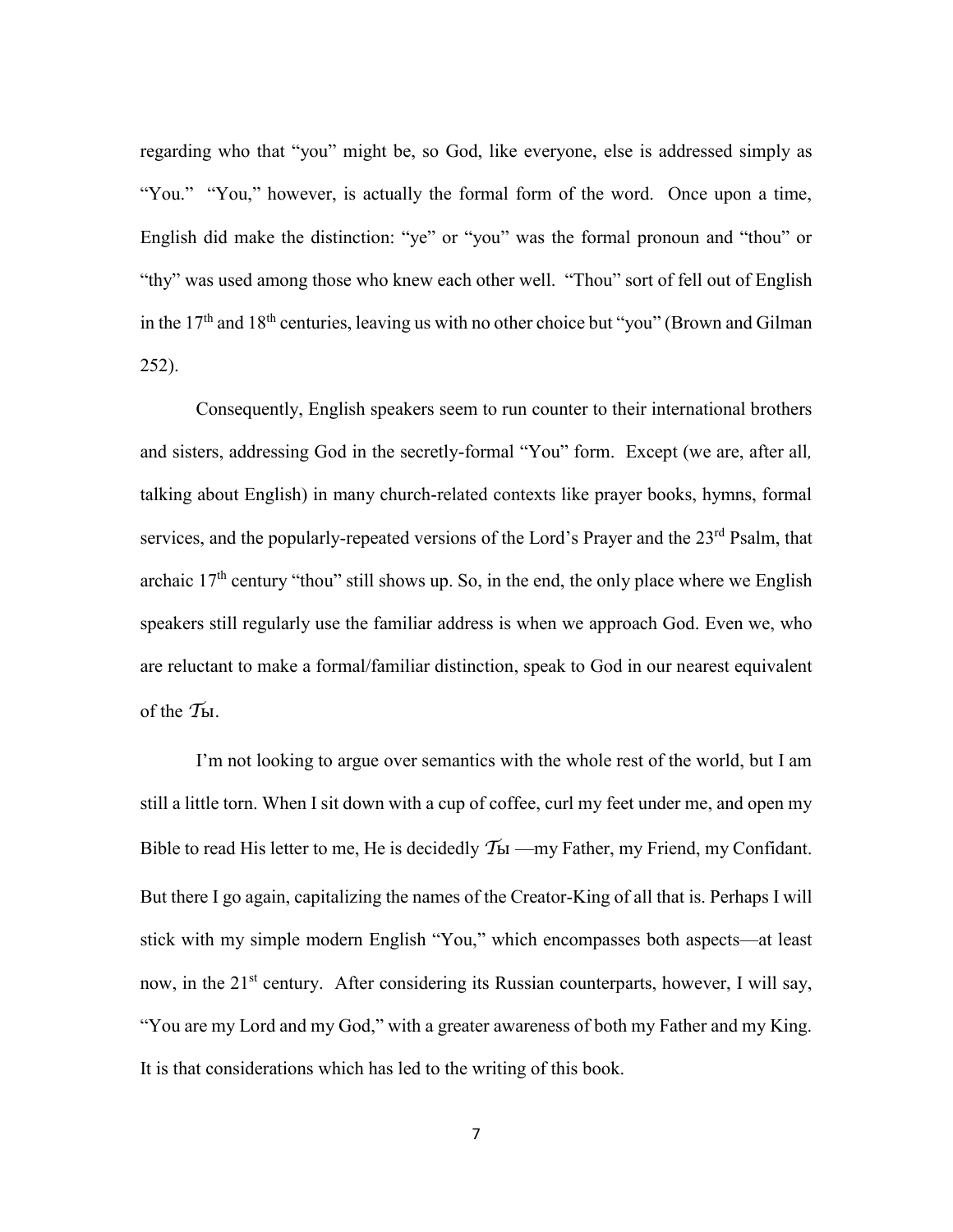regarding who that "you" might be, so God, like everyone, else is addressed simply as "You." "You," however, is actually the formal form of the word. Once upon a time, English did make the distinction: "ye" or "you" was the formal pronoun and "thou" or "thy" was used among those who knew each other well. "Thou" sort of fell out of English in the  $17<sup>th</sup>$  and  $18<sup>th</sup>$  centuries, leaving us with no other choice but "you" (Brown and Gilman) 252).

Consequently, English speakers seem to run counter to their international brothers and sisters, addressing God in the secretly-formal "You" form. Except (we are, after all*,* talking about English) in many church-related contexts like prayer books, hymns, formal services, and the popularly-repeated versions of the Lord's Prayer and the 23<sup>rd</sup> Psalm, that archaic  $17<sup>th</sup>$  century "thou" still shows up. So, in the end, the only place where we English speakers still regularly use the familiar address is when we approach God. Even we, who are reluctant to make a formal/familiar distinction, speak to God in our nearest equivalent of the *T*ы.

I'm not looking to argue over semantics with the whole rest of the world, but I am still a little torn. When I sit down with a cup of coffee, curl my feet under me, and open my Bible to read His letter to me, He is decidedly *T*ы —my Father, my Friend, my Confidant. But there I go again, capitalizing the names of the Creator-King of all that is. Perhaps I will stick with my simple modern English "You," which encompasses both aspects—at least now, in the 21<sup>st</sup> century. After considering its Russian counterparts, however, I will say, "You are my Lord and my God," with a greater awareness of both my Father and my King. It is that considerations which has led to the writing of this book.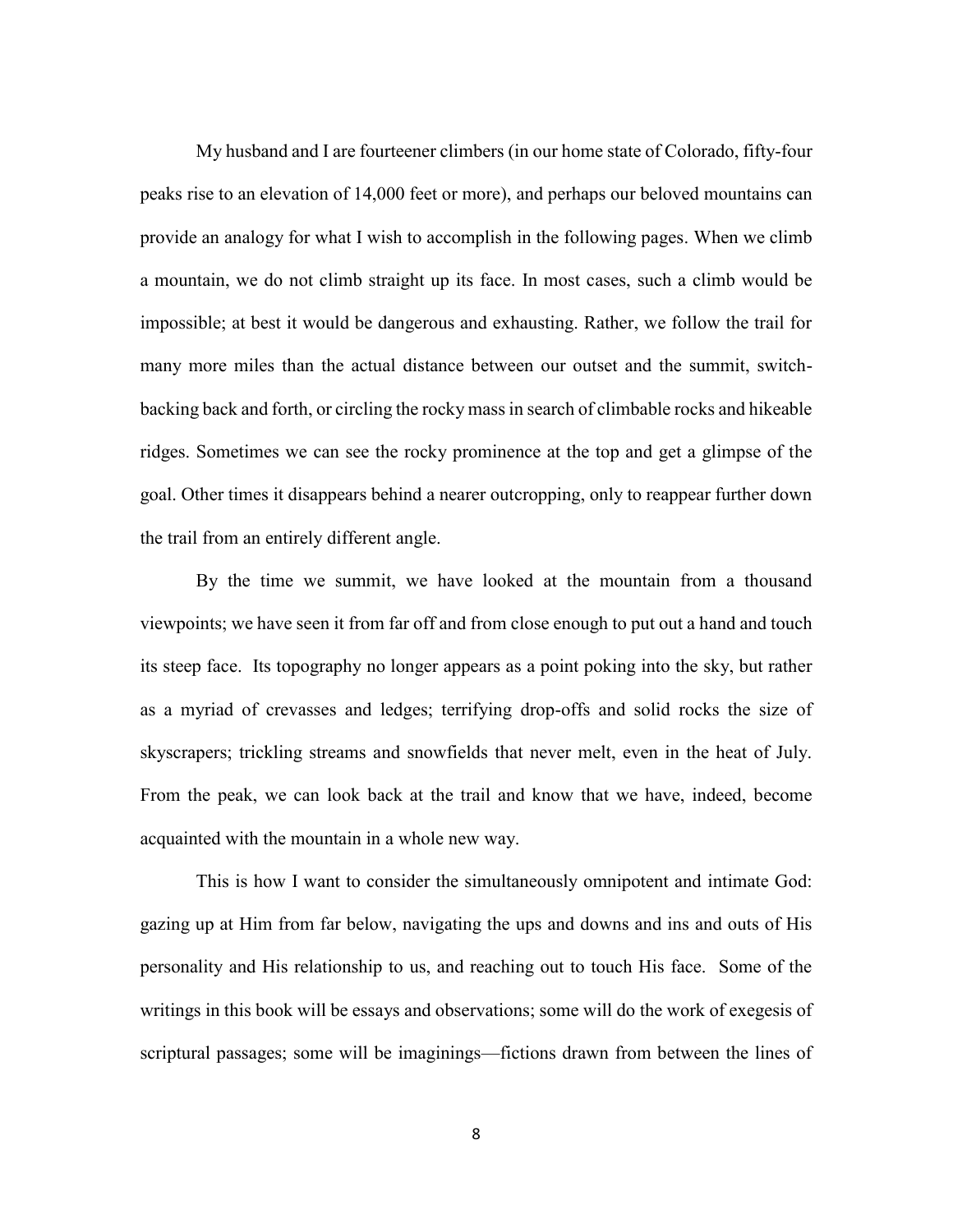My husband and I are fourteener climbers (in our home state of Colorado, fifty-four peaks rise to an elevation of 14,000 feet or more), and perhaps our beloved mountains can provide an analogy for what I wish to accomplish in the following pages. When we climb a mountain, we do not climb straight up its face. In most cases, such a climb would be impossible; at best it would be dangerous and exhausting. Rather, we follow the trail for many more miles than the actual distance between our outset and the summit, switchbacking back and forth, or circling the rocky mass in search of climbable rocks and hikeable ridges. Sometimes we can see the rocky prominence at the top and get a glimpse of the goal. Other times it disappears behind a nearer outcropping, only to reappear further down the trail from an entirely different angle.

By the time we summit, we have looked at the mountain from a thousand viewpoints; we have seen it from far off and from close enough to put out a hand and touch its steep face. Its topography no longer appears as a point poking into the sky, but rather as a myriad of crevasses and ledges; terrifying drop-offs and solid rocks the size of skyscrapers; trickling streams and snowfields that never melt, even in the heat of July. From the peak, we can look back at the trail and know that we have, indeed, become acquainted with the mountain in a whole new way.

This is how I want to consider the simultaneously omnipotent and intimate God: gazing up at Him from far below, navigating the ups and downs and ins and outs of His personality and His relationship to us, and reaching out to touch His face. Some of the writings in this book will be essays and observations; some will do the work of exegesis of scriptural passages; some will be imaginings—fictions drawn from between the lines of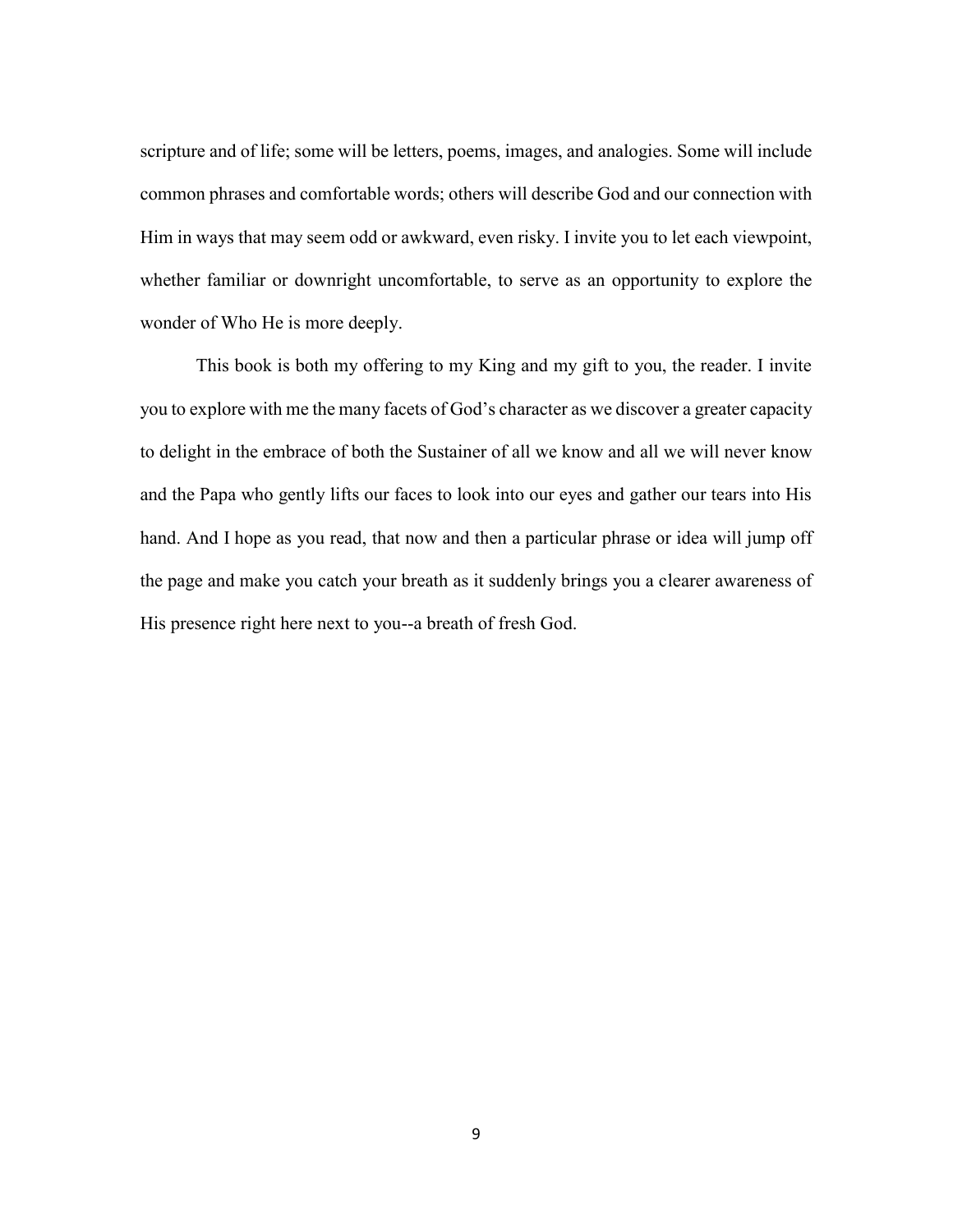scripture and of life; some will be letters, poems, images, and analogies. Some will include common phrases and comfortable words; others will describe God and our connection with Him in ways that may seem odd or awkward, even risky. I invite you to let each viewpoint, whether familiar or downright uncomfortable, to serve as an opportunity to explore the wonder of Who He is more deeply.

This book is both my offering to my King and my gift to you, the reader. I invite you to explore with me the many facets of God's character as we discover a greater capacity to delight in the embrace of both the Sustainer of all we know and all we will never know and the Papa who gently lifts our faces to look into our eyes and gather our tears into His hand. And I hope as you read, that now and then a particular phrase or idea will jump off the page and make you catch your breath as it suddenly brings you a clearer awareness of His presence right here next to you--a breath of fresh God.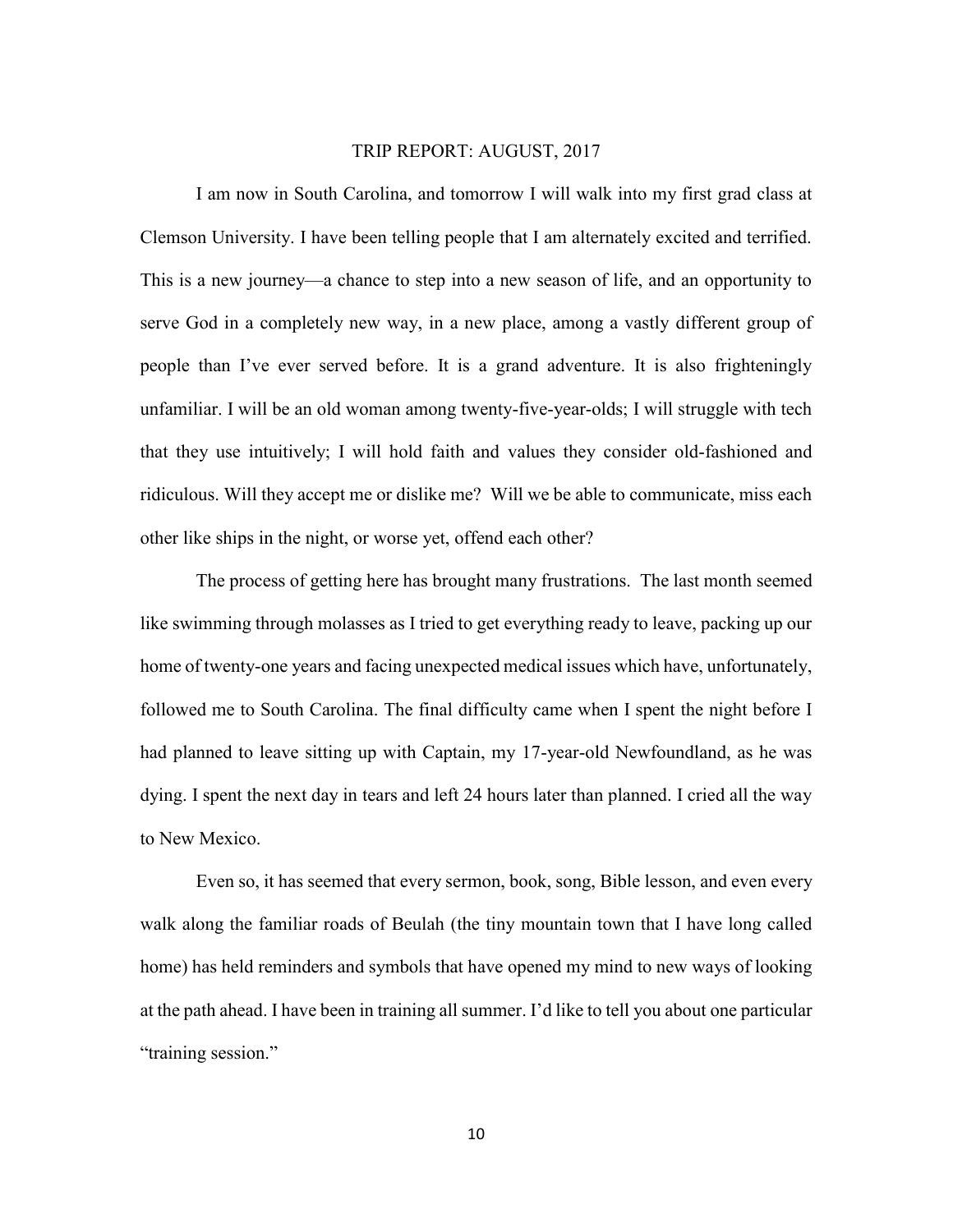#### TRIP REPORT: AUGUST, 2017

I am now in South Carolina, and tomorrow I will walk into my first grad class at Clemson University. I have been telling people that I am alternately excited and terrified. This is a new journey—a chance to step into a new season of life, and an opportunity to serve God in a completely new way, in a new place, among a vastly different group of people than I've ever served before. It is a grand adventure. It is also frighteningly unfamiliar. I will be an old woman among twenty-five-year-olds; I will struggle with tech that they use intuitively; I will hold faith and values they consider old-fashioned and ridiculous. Will they accept me or dislike me? Will we be able to communicate, miss each other like ships in the night, or worse yet, offend each other?

The process of getting here has brought many frustrations. The last month seemed like swimming through molasses as I tried to get everything ready to leave, packing up our home of twenty-one years and facing unexpected medical issues which have, unfortunately, followed me to South Carolina. The final difficulty came when I spent the night before I had planned to leave sitting up with Captain, my 17-year-old Newfoundland, as he was dying. I spent the next day in tears and left 24 hours later than planned. I cried all the way to New Mexico.

Even so, it has seemed that every sermon, book, song, Bible lesson, and even every walk along the familiar roads of Beulah (the tiny mountain town that I have long called home) has held reminders and symbols that have opened my mind to new ways of looking at the path ahead. I have been in training all summer. I'd like to tell you about one particular "training session."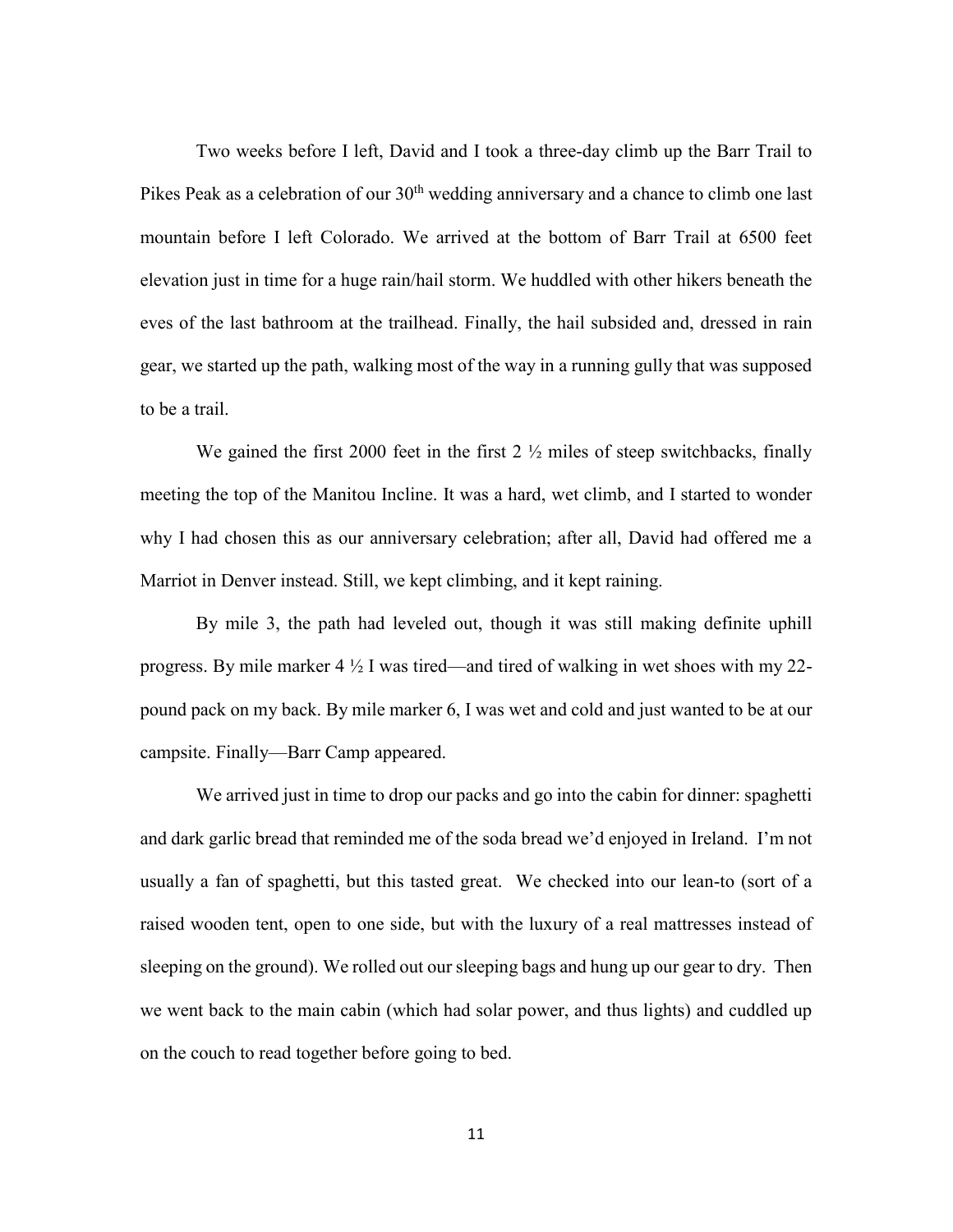Two weeks before I left, David and I took a three-day climb up the Barr Trail to Pikes Peak as a celebration of our 30<sup>th</sup> wedding anniversary and a chance to climb one last mountain before I left Colorado. We arrived at the bottom of Barr Trail at 6500 feet elevation just in time for a huge rain/hail storm. We huddled with other hikers beneath the eves of the last bathroom at the trailhead. Finally, the hail subsided and, dressed in rain gear, we started up the path, walking most of the way in a running gully that was supposed to be a trail.

We gained the first 2000 feet in the first  $2 \frac{1}{2}$  miles of steep switchbacks, finally meeting the top of the Manitou Incline. It was a hard, wet climb, and I started to wonder why I had chosen this as our anniversary celebration; after all, David had offered me a Marriot in Denver instead. Still, we kept climbing, and it kept raining.

By mile 3, the path had leveled out, though it was still making definite uphill progress. By mile marker 4 ½ I was tired—and tired of walking in wet shoes with my 22 pound pack on my back. By mile marker 6, I was wet and cold and just wanted to be at our campsite. Finally—Barr Camp appeared.

We arrived just in time to drop our packs and go into the cabin for dinner: spaghetti and dark garlic bread that reminded me of the soda bread we'd enjoyed in Ireland. I'm not usually a fan of spaghetti, but this tasted great. We checked into our lean-to (sort of a raised wooden tent, open to one side, but with the luxury of a real mattresses instead of sleeping on the ground). We rolled out our sleeping bags and hung up our gear to dry. Then we went back to the main cabin (which had solar power, and thus lights) and cuddled up on the couch to read together before going to bed.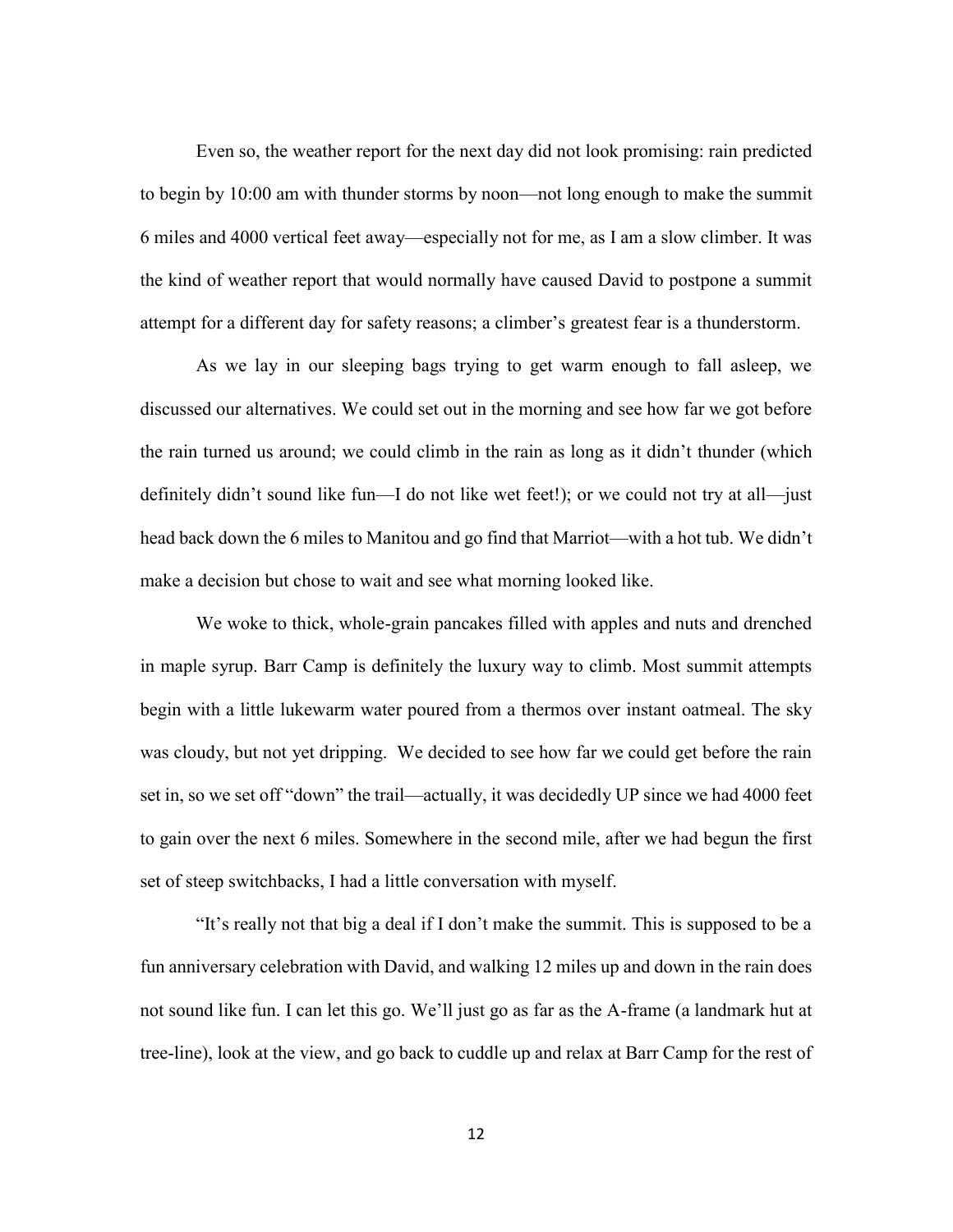Even so, the weather report for the next day did not look promising: rain predicted to begin by 10:00 am with thunder storms by noon—not long enough to make the summit 6 miles and 4000 vertical feet away—especially not for me, as I am a slow climber. It was the kind of weather report that would normally have caused David to postpone a summit attempt for a different day for safety reasons; a climber's greatest fear is a thunderstorm.

As we lay in our sleeping bags trying to get warm enough to fall asleep, we discussed our alternatives. We could set out in the morning and see how far we got before the rain turned us around; we could climb in the rain as long as it didn't thunder (which definitely didn't sound like fun—I do not like wet feet!); or we could not try at all—just head back down the 6 miles to Manitou and go find that Marriot—with a hot tub. We didn't make a decision but chose to wait and see what morning looked like.

We woke to thick, whole-grain pancakes filled with apples and nuts and drenched in maple syrup. Barr Camp is definitely the luxury way to climb. Most summit attempts begin with a little lukewarm water poured from a thermos over instant oatmeal. The sky was cloudy, but not yet dripping. We decided to see how far we could get before the rain set in, so we set off "down" the trail—actually, it was decidedly UP since we had 4000 feet to gain over the next 6 miles. Somewhere in the second mile, after we had begun the first set of steep switchbacks, I had a little conversation with myself.

"It's really not that big a deal if I don't make the summit. This is supposed to be a fun anniversary celebration with David, and walking 12 miles up and down in the rain does not sound like fun. I can let this go. We'll just go as far as the A-frame (a landmark hut at tree-line), look at the view, and go back to cuddle up and relax at Barr Camp for the rest of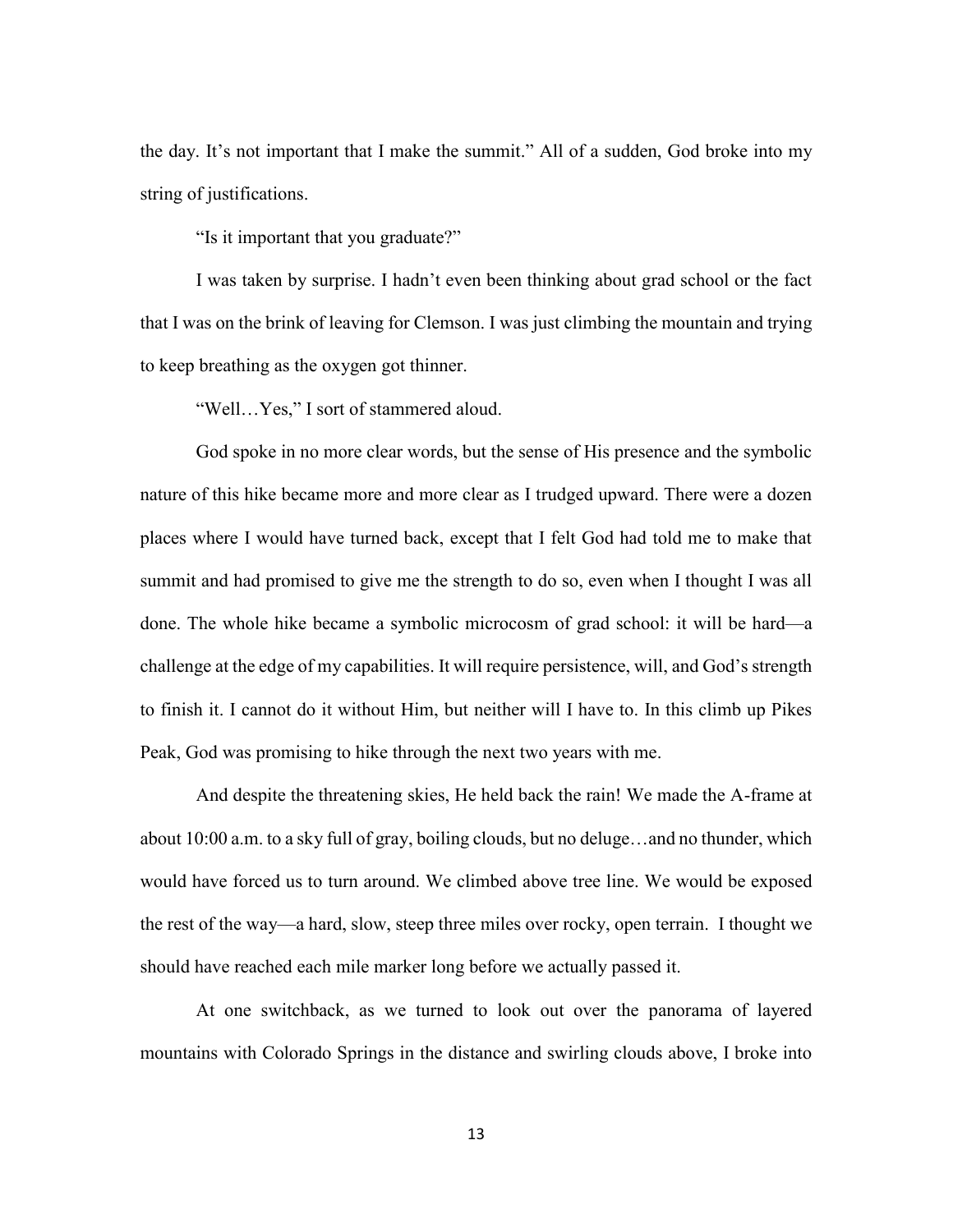the day. It's not important that I make the summit." All of a sudden, God broke into my string of justifications.

"Is it important that you graduate?"

I was taken by surprise. I hadn't even been thinking about grad school or the fact that I was on the brink of leaving for Clemson. I was just climbing the mountain and trying to keep breathing as the oxygen got thinner.

"Well…Yes," I sort of stammered aloud.

God spoke in no more clear words, but the sense of His presence and the symbolic nature of this hike became more and more clear as I trudged upward. There were a dozen places where I would have turned back, except that I felt God had told me to make that summit and had promised to give me the strength to do so, even when I thought I was all done. The whole hike became a symbolic microcosm of grad school: it will be hard—a challenge at the edge of my capabilities. It will require persistence, will, and God's strength to finish it. I cannot do it without Him, but neither will I have to. In this climb up Pikes Peak, God was promising to hike through the next two years with me.

And despite the threatening skies, He held back the rain! We made the A-frame at about 10:00 a.m. to a sky full of gray, boiling clouds, but no deluge…and no thunder, which would have forced us to turn around. We climbed above tree line. We would be exposed the rest of the way—a hard, slow, steep three miles over rocky, open terrain. I thought we should have reached each mile marker long before we actually passed it.

At one switchback, as we turned to look out over the panorama of layered mountains with Colorado Springs in the distance and swirling clouds above, I broke into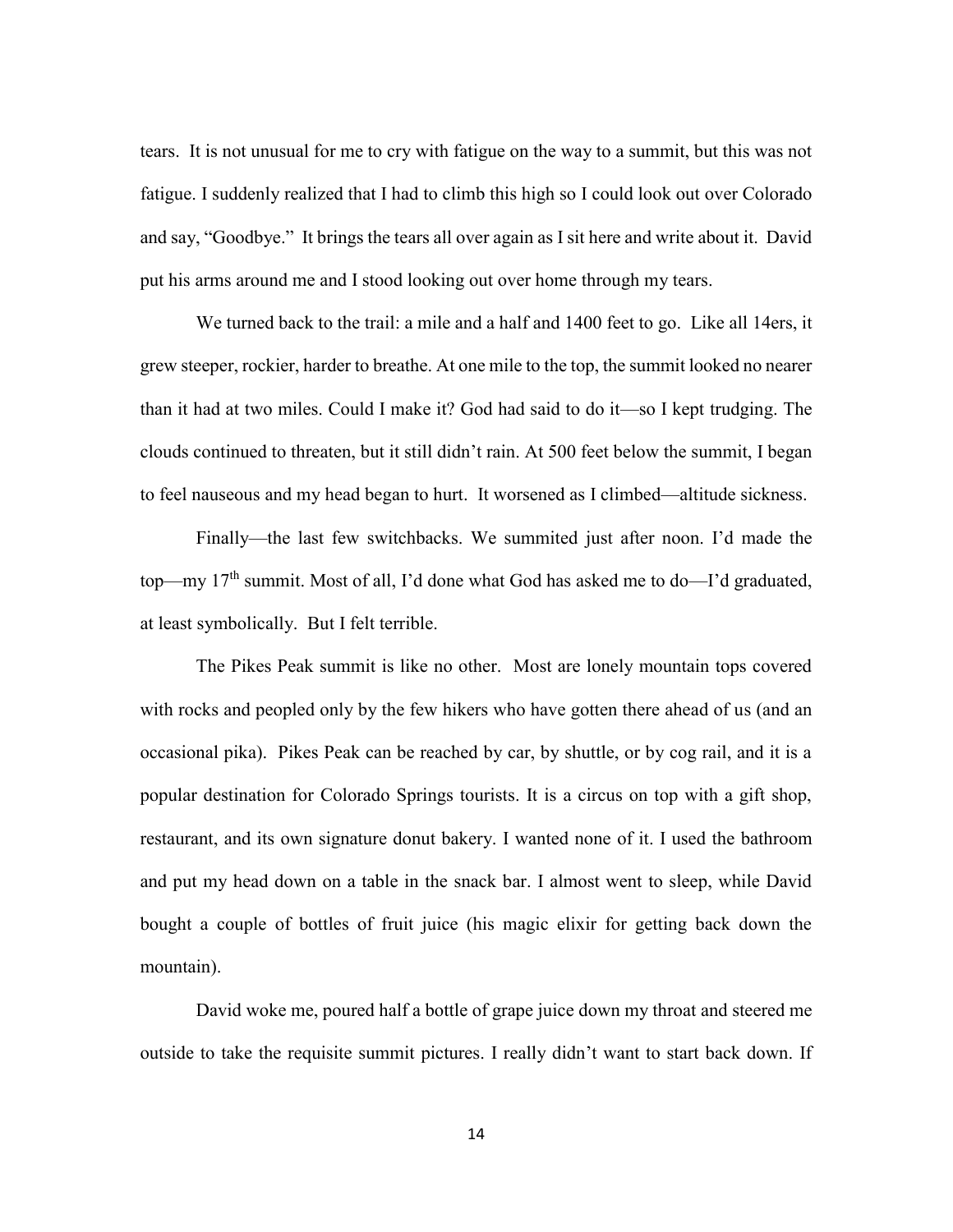tears. It is not unusual for me to cry with fatigue on the way to a summit, but this was not fatigue. I suddenly realized that I had to climb this high so I could look out over Colorado and say, "Goodbye." It brings the tears all over again as I sit here and write about it. David put his arms around me and I stood looking out over home through my tears.

We turned back to the trail: a mile and a half and 1400 feet to go. Like all 14ers, it grew steeper, rockier, harder to breathe. At one mile to the top, the summit looked no nearer than it had at two miles. Could I make it? God had said to do it—so I kept trudging. The clouds continued to threaten, but it still didn't rain. At 500 feet below the summit, I began to feel nauseous and my head began to hurt. It worsened as I climbed—altitude sickness.

Finally—the last few switchbacks. We summited just after noon. I'd made the top—my 17<sup>th</sup> summit. Most of all, I'd done what God has asked me to do—I'd graduated, at least symbolically. But I felt terrible.

The Pikes Peak summit is like no other. Most are lonely mountain tops covered with rocks and peopled only by the few hikers who have gotten there ahead of us (and an occasional pika). Pikes Peak can be reached by car, by shuttle, or by cog rail, and it is a popular destination for Colorado Springs tourists. It is a circus on top with a gift shop, restaurant, and its own signature donut bakery. I wanted none of it. I used the bathroom and put my head down on a table in the snack bar. I almost went to sleep, while David bought a couple of bottles of fruit juice (his magic elixir for getting back down the mountain).

David woke me, poured half a bottle of grape juice down my throat and steered me outside to take the requisite summit pictures. I really didn't want to start back down. If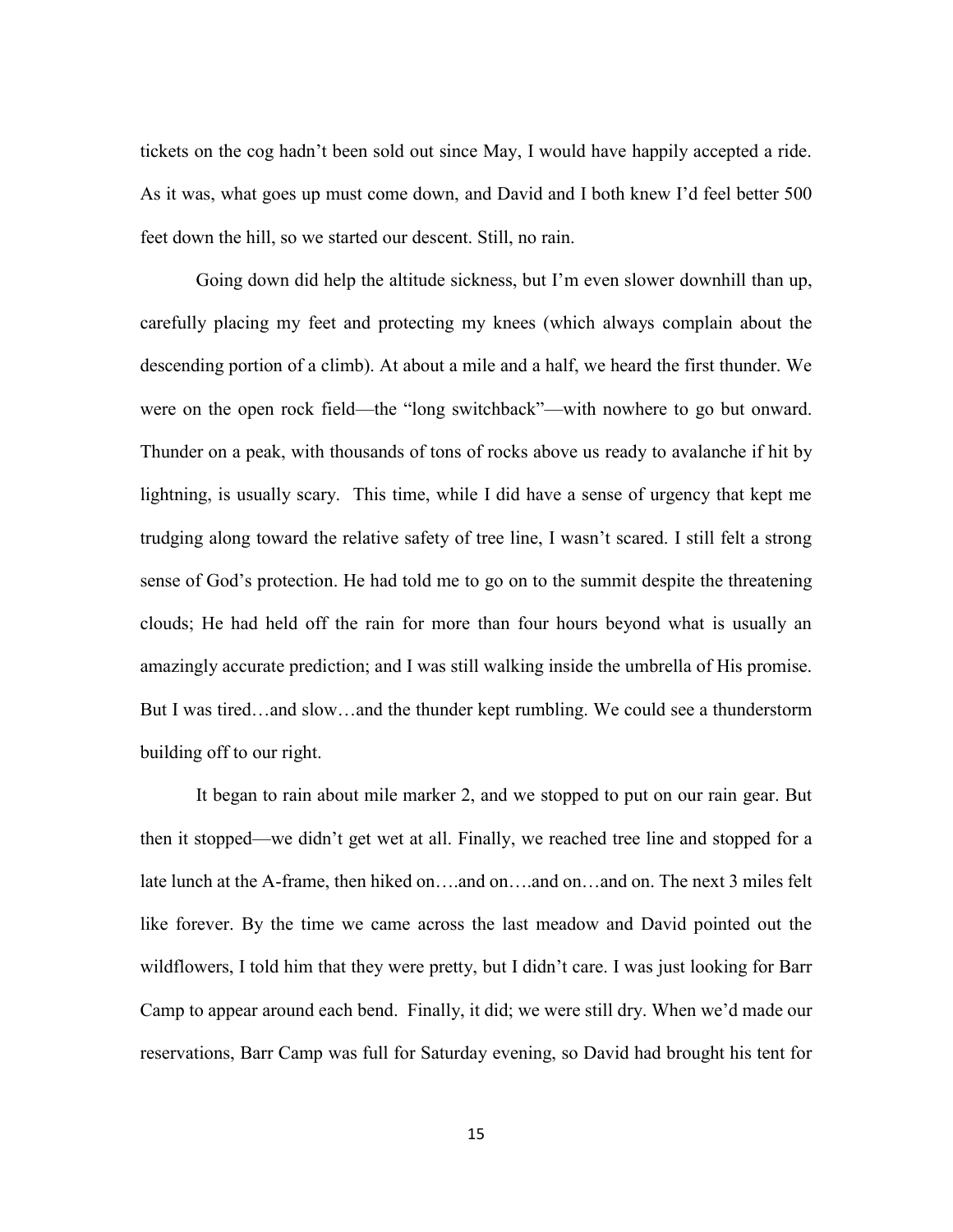tickets on the cog hadn't been sold out since May, I would have happily accepted a ride. As it was, what goes up must come down, and David and I both knew I'd feel better 500 feet down the hill, so we started our descent. Still, no rain.

Going down did help the altitude sickness, but I'm even slower downhill than up, carefully placing my feet and protecting my knees (which always complain about the descending portion of a climb). At about a mile and a half, we heard the first thunder. We were on the open rock field—the "long switchback"—with nowhere to go but onward. Thunder on a peak, with thousands of tons of rocks above us ready to avalanche if hit by lightning, is usually scary. This time, while I did have a sense of urgency that kept me trudging along toward the relative safety of tree line, I wasn't scared. I still felt a strong sense of God's protection. He had told me to go on to the summit despite the threatening clouds; He had held off the rain for more than four hours beyond what is usually an amazingly accurate prediction; and I was still walking inside the umbrella of His promise. But I was tired…and slow…and the thunder kept rumbling. We could see a thunderstorm building off to our right.

It began to rain about mile marker 2, and we stopped to put on our rain gear. But then it stopped—we didn't get wet at all. Finally, we reached tree line and stopped for a late lunch at the A-frame, then hiked on….and on….and on…and on. The next 3 miles felt like forever. By the time we came across the last meadow and David pointed out the wildflowers, I told him that they were pretty, but I didn't care. I was just looking for Barr Camp to appear around each bend. Finally, it did; we were still dry. When we'd made our reservations, Barr Camp was full for Saturday evening, so David had brought his tent for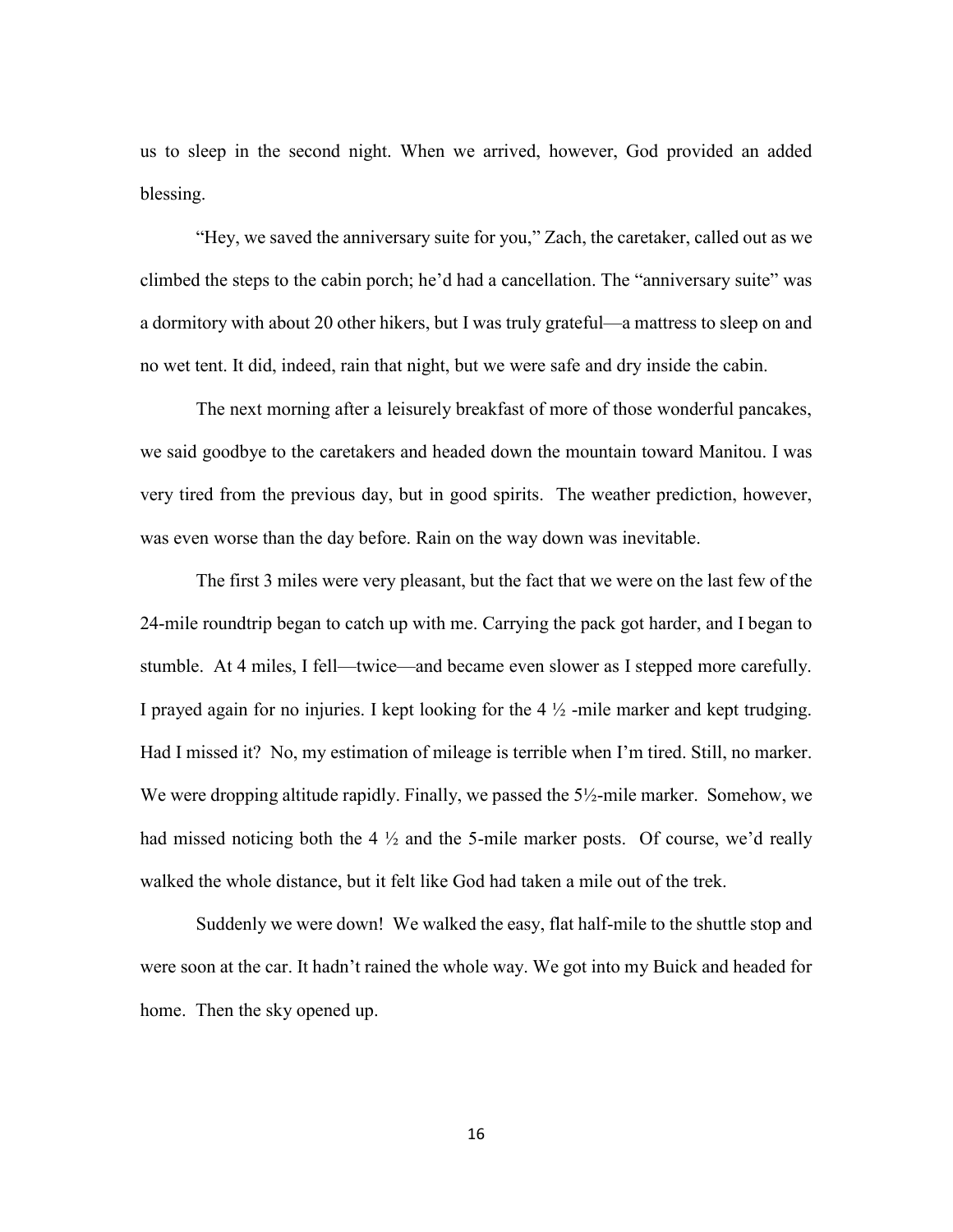us to sleep in the second night. When we arrived, however, God provided an added blessing.

"Hey, we saved the anniversary suite for you," Zach, the caretaker, called out as we climbed the steps to the cabin porch; he'd had a cancellation. The "anniversary suite" was a dormitory with about 20 other hikers, but I was truly grateful—a mattress to sleep on and no wet tent. It did, indeed, rain that night, but we were safe and dry inside the cabin.

The next morning after a leisurely breakfast of more of those wonderful pancakes, we said goodbye to the caretakers and headed down the mountain toward Manitou. I was very tired from the previous day, but in good spirits. The weather prediction, however, was even worse than the day before. Rain on the way down was inevitable.

The first 3 miles were very pleasant, but the fact that we were on the last few of the 24-mile roundtrip began to catch up with me. Carrying the pack got harder, and I began to stumble. At 4 miles, I fell—twice—and became even slower as I stepped more carefully. I prayed again for no injuries. I kept looking for the  $4\frac{1}{2}$ -mile marker and kept trudging. Had I missed it? No, my estimation of mileage is terrible when I'm tired. Still, no marker. We were dropping altitude rapidly. Finally, we passed the 5½-mile marker. Somehow, we had missed noticing both the 4  $\frac{1}{2}$  and the 5-mile marker posts. Of course, we'd really walked the whole distance, but it felt like God had taken a mile out of the trek.

Suddenly we were down! We walked the easy, flat half-mile to the shuttle stop and were soon at the car. It hadn't rained the whole way. We got into my Buick and headed for home. Then the sky opened up.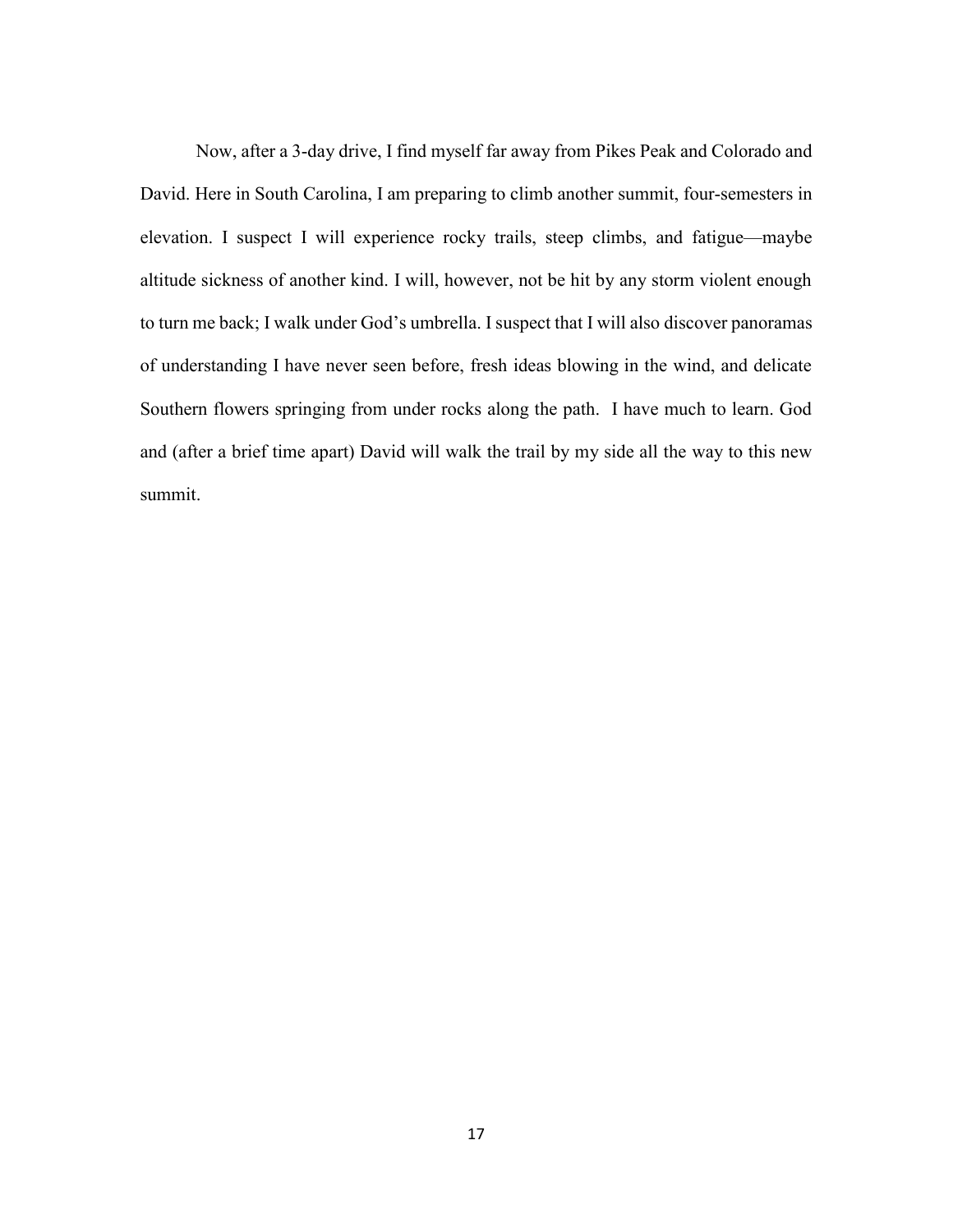Now, after a 3-day drive, I find myself far away from Pikes Peak and Colorado and David. Here in South Carolina, I am preparing to climb another summit, four-semesters in elevation. I suspect I will experience rocky trails, steep climbs, and fatigue—maybe altitude sickness of another kind. I will, however, not be hit by any storm violent enough to turn me back; I walk under God's umbrella. I suspect that I will also discover panoramas of understanding I have never seen before, fresh ideas blowing in the wind, and delicate Southern flowers springing from under rocks along the path. I have much to learn. God and (after a brief time apart) David will walk the trail by my side all the way to this new summit.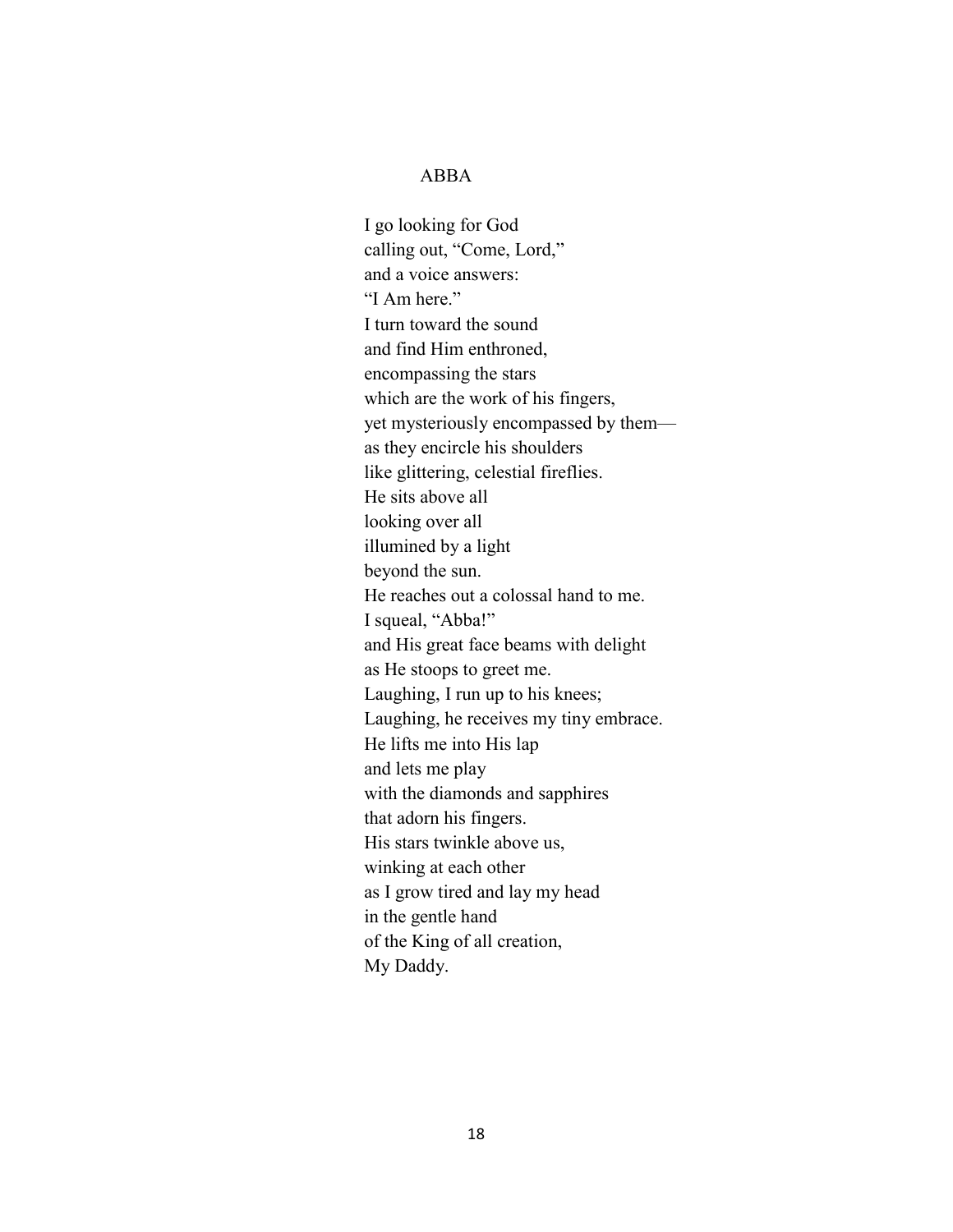## ABBA

I go looking for God calling out, "Come, Lord," and a voice answers: "I Am here." I turn toward the sound and find Him enthroned, encompassing the stars which are the work of his fingers, yet mysteriously encompassed by them as they encircle his shoulders like glittering, celestial fireflies. He sits above all looking over all illumined by a light beyond the sun. He reaches out a colossal hand to me. I squeal, "Abba!" and His great face beams with delight as He stoops to greet me. Laughing, I run up to his knees; Laughing, he receives my tiny embrace. He lifts me into His lap and lets me play with the diamonds and sapphires that adorn his fingers. His stars twinkle above us, winking at each other as I grow tired and lay my head in the gentle hand of the King of all creation, My Daddy.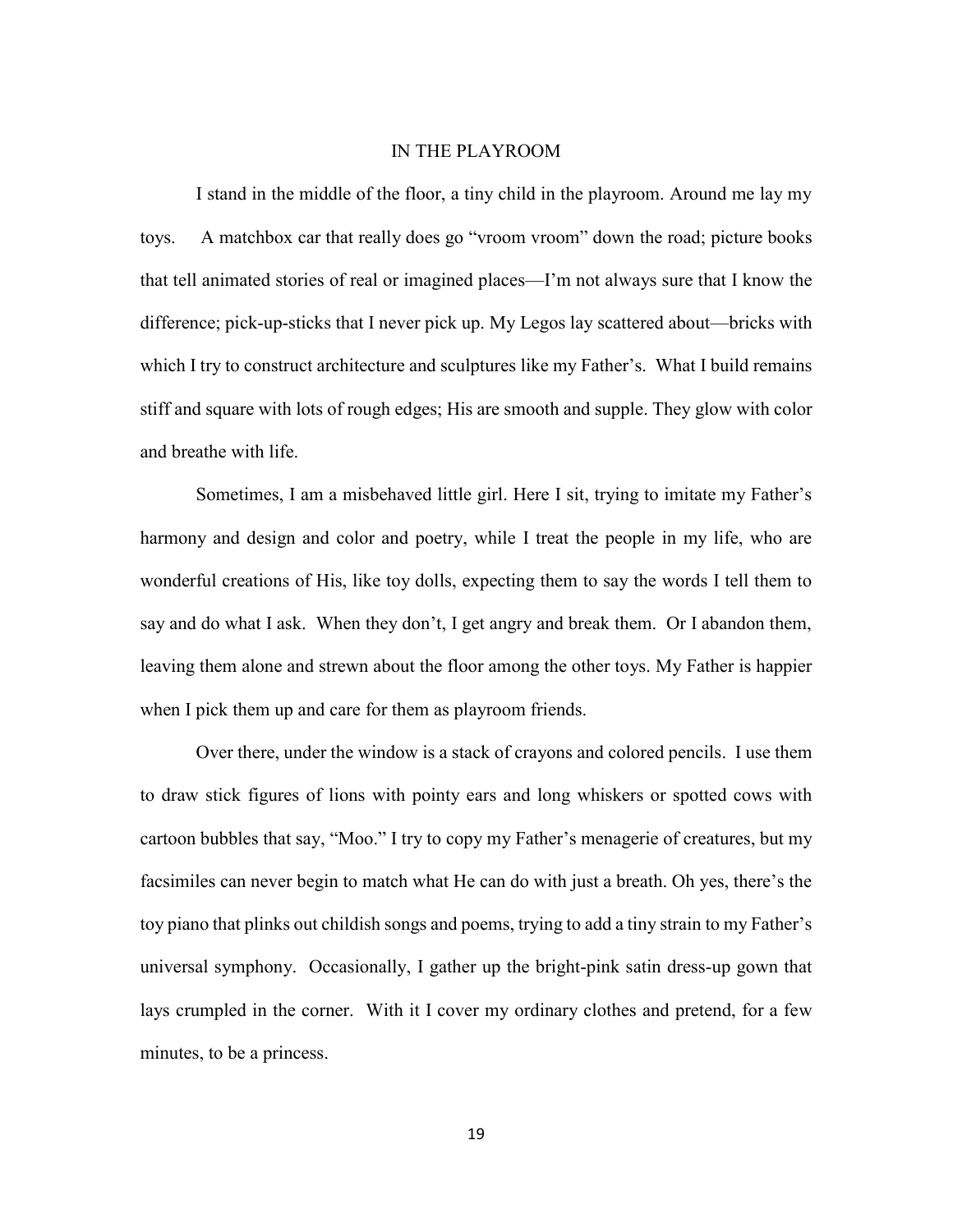#### IN THE PLAYROOM

I stand in the middle of the floor, a tiny child in the playroom. Around me lay my toys. A matchbox car that really does go "vroom vroom" down the road; picture books that tell animated stories of real or imagined places—I'm not always sure that I know the difference; pick-up-sticks that I never pick up. My Legos lay scattered about—bricks with which I try to construct architecture and sculptures like my Father's. What I build remains stiff and square with lots of rough edges; His are smooth and supple. They glow with color and breathe with life.

Sometimes, I am a misbehaved little girl. Here I sit, trying to imitate my Father's harmony and design and color and poetry, while I treat the people in my life, who are wonderful creations of His, like toy dolls, expecting them to say the words I tell them to say and do what I ask. When they don't, I get angry and break them. Or I abandon them, leaving them alone and strewn about the floor among the other toys. My Father is happier when I pick them up and care for them as playroom friends.

Over there, under the window is a stack of crayons and colored pencils. I use them to draw stick figures of lions with pointy ears and long whiskers or spotted cows with cartoon bubbles that say, "Moo." I try to copy my Father's menagerie of creatures, but my facsimiles can never begin to match what He can do with just a breath. Oh yes, there's the toy piano that plinks out childish songs and poems, trying to add a tiny strain to my Father's universal symphony. Occasionally, I gather up the bright-pink satin dress-up gown that lays crumpled in the corner. With it I cover my ordinary clothes and pretend, for a few minutes, to be a princess.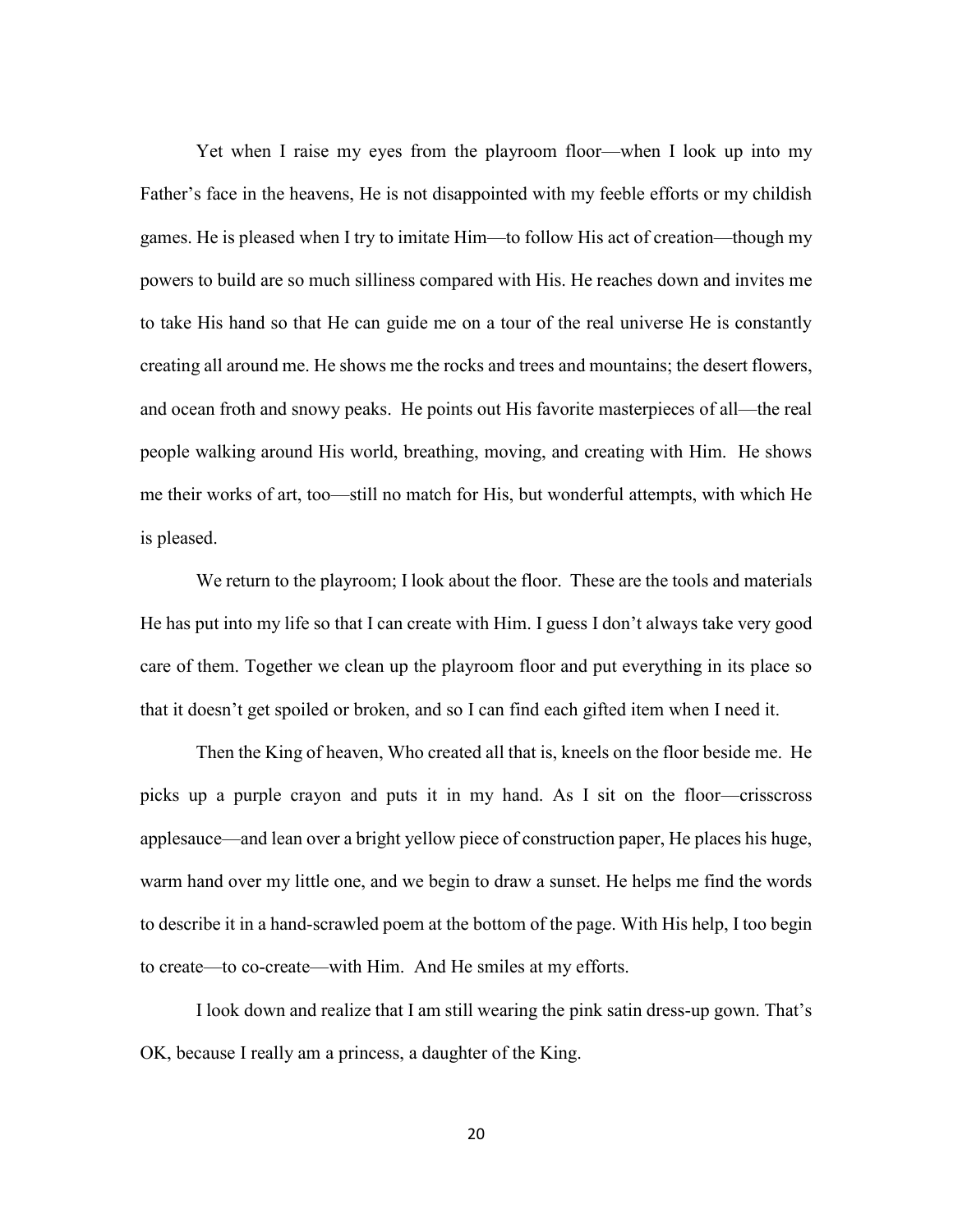Yet when I raise my eyes from the playroom floor—when I look up into my Father's face in the heavens, He is not disappointed with my feeble efforts or my childish games. He is pleased when I try to imitate Him—to follow His act of creation—though my powers to build are so much silliness compared with His. He reaches down and invites me to take His hand so that He can guide me on a tour of the real universe He is constantly creating all around me. He shows me the rocks and trees and mountains; the desert flowers, and ocean froth and snowy peaks. He points out His favorite masterpieces of all—the real people walking around His world, breathing, moving, and creating with Him. He shows me their works of art, too—still no match for His, but wonderful attempts, with which He is pleased.

We return to the playroom; I look about the floor. These are the tools and materials He has put into my life so that I can create with Him. I guess I don't always take very good care of them. Together we clean up the playroom floor and put everything in its place so that it doesn't get spoiled or broken, and so I can find each gifted item when I need it.

Then the King of heaven, Who created all that is, kneels on the floor beside me. He picks up a purple crayon and puts it in my hand. As I sit on the floor—crisscross applesauce—and lean over a bright yellow piece of construction paper, He places his huge, warm hand over my little one, and we begin to draw a sunset. He helps me find the words to describe it in a hand-scrawled poem at the bottom of the page. With His help, I too begin to create—to co-create—with Him. And He smiles at my efforts.

I look down and realize that I am still wearing the pink satin dress-up gown. That's OK, because I really am a princess, a daughter of the King.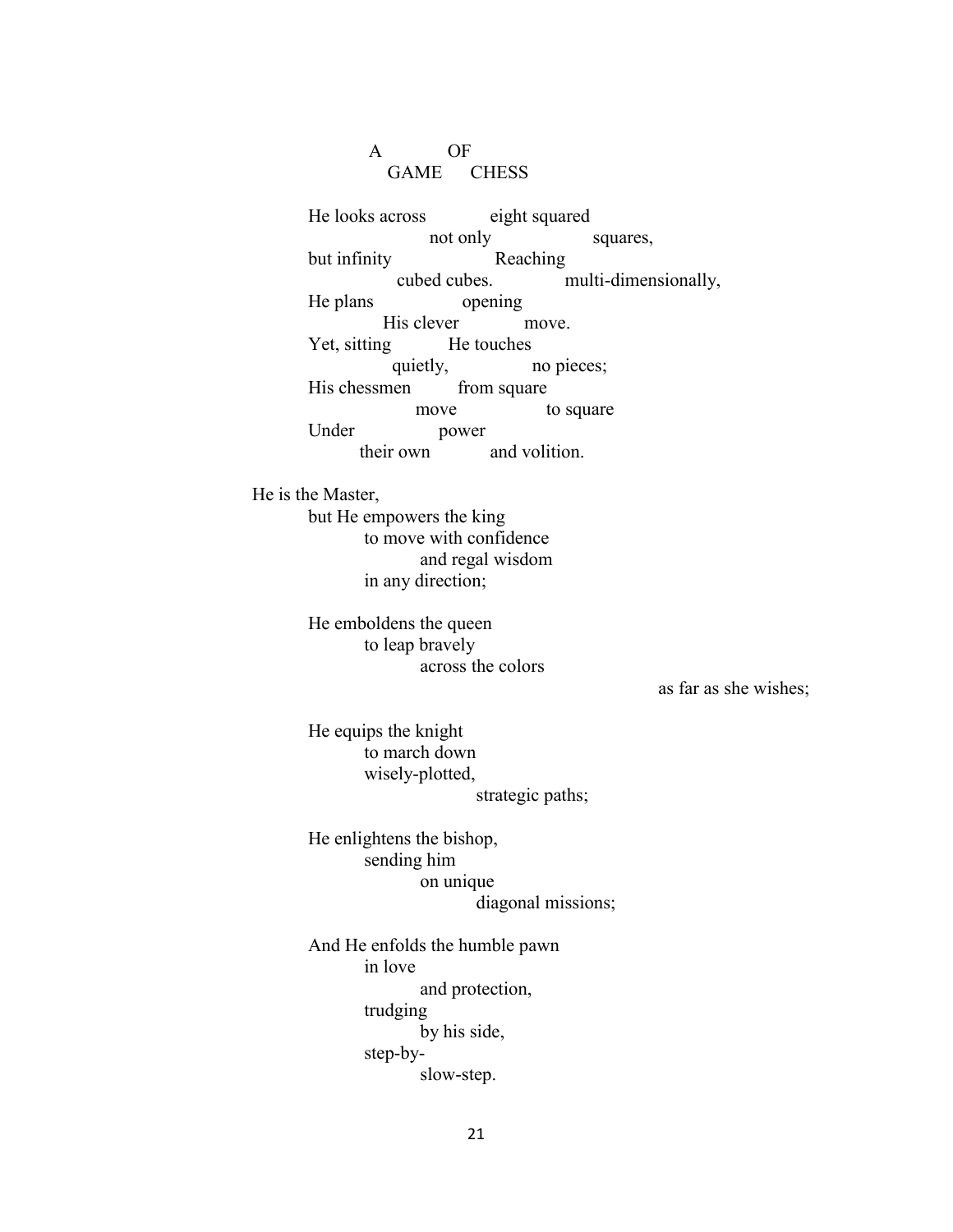## A OF GAME CHESS

He looks across eight squared not only squares, but infinity Reaching cubed cubes. multi-dimensionally, He plans opening His clever move. Yet, sitting He touches quietly, no pieces; His chessmen from square move to square Under power their own and volition.

He is the Master, but He empowers the king to move with confidence and regal wisdom in any direction;

> He emboldens the queen to leap bravely across the colors

> > as far as she wishes;

He equips the knight to march down wisely-plotted, strategic paths;

He enlightens the bishop, sending him on unique diagonal missions;

And He enfolds the humble pawn in love and protection, trudging by his side, step-byslow-step.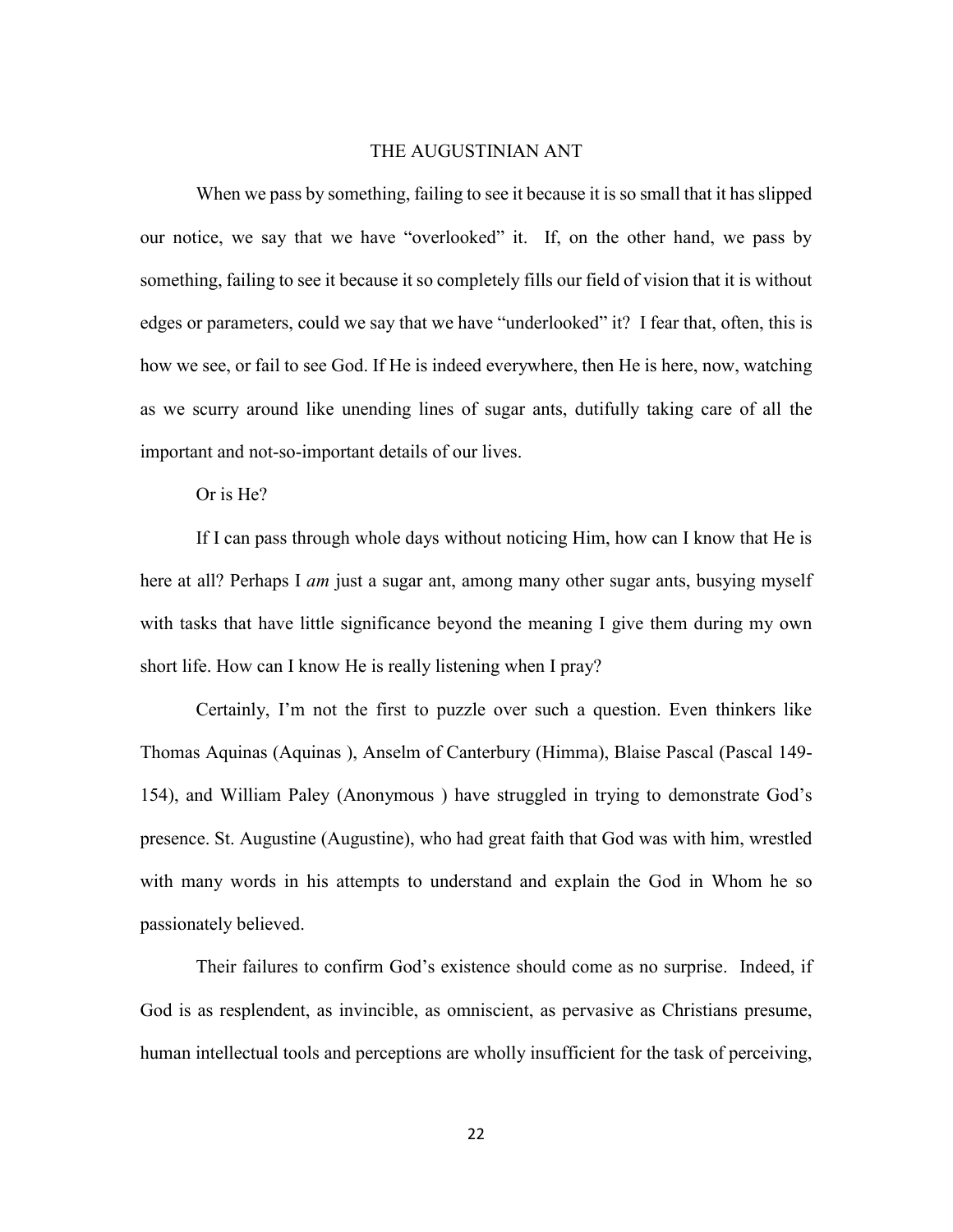#### THE AUGUSTINIAN ANT

When we pass by something, failing to see it because it is so small that it has slipped our notice, we say that we have "overlooked" it. If, on the other hand, we pass by something, failing to see it because it so completely fills our field of vision that it is without edges or parameters, could we say that we have "underlooked" it? I fear that, often, this is how we see, or fail to see God. If He is indeed everywhere, then He is here, now, watching as we scurry around like unending lines of sugar ants, dutifully taking care of all the important and not-so-important details of our lives.

Or is He?

If I can pass through whole days without noticing Him, how can I know that He is here at all? Perhaps I *am* just a sugar ant, among many other sugar ants, busying myself with tasks that have little significance beyond the meaning I give them during my own short life. How can I know He is really listening when I pray?

Certainly, I'm not the first to puzzle over such a question. Even thinkers like Thomas Aquinas (Aquinas ), Anselm of Canterbury (Himma), Blaise Pascal (Pascal 149- 154), and William Paley (Anonymous ) have struggled in trying to demonstrate God's presence. St. Augustine (Augustine), who had great faith that God was with him, wrestled with many words in his attempts to understand and explain the God in Whom he so passionately believed.

Their failures to confirm God's existence should come as no surprise. Indeed, if God is as resplendent, as invincible, as omniscient, as pervasive as Christians presume, human intellectual tools and perceptions are wholly insufficient for the task of perceiving,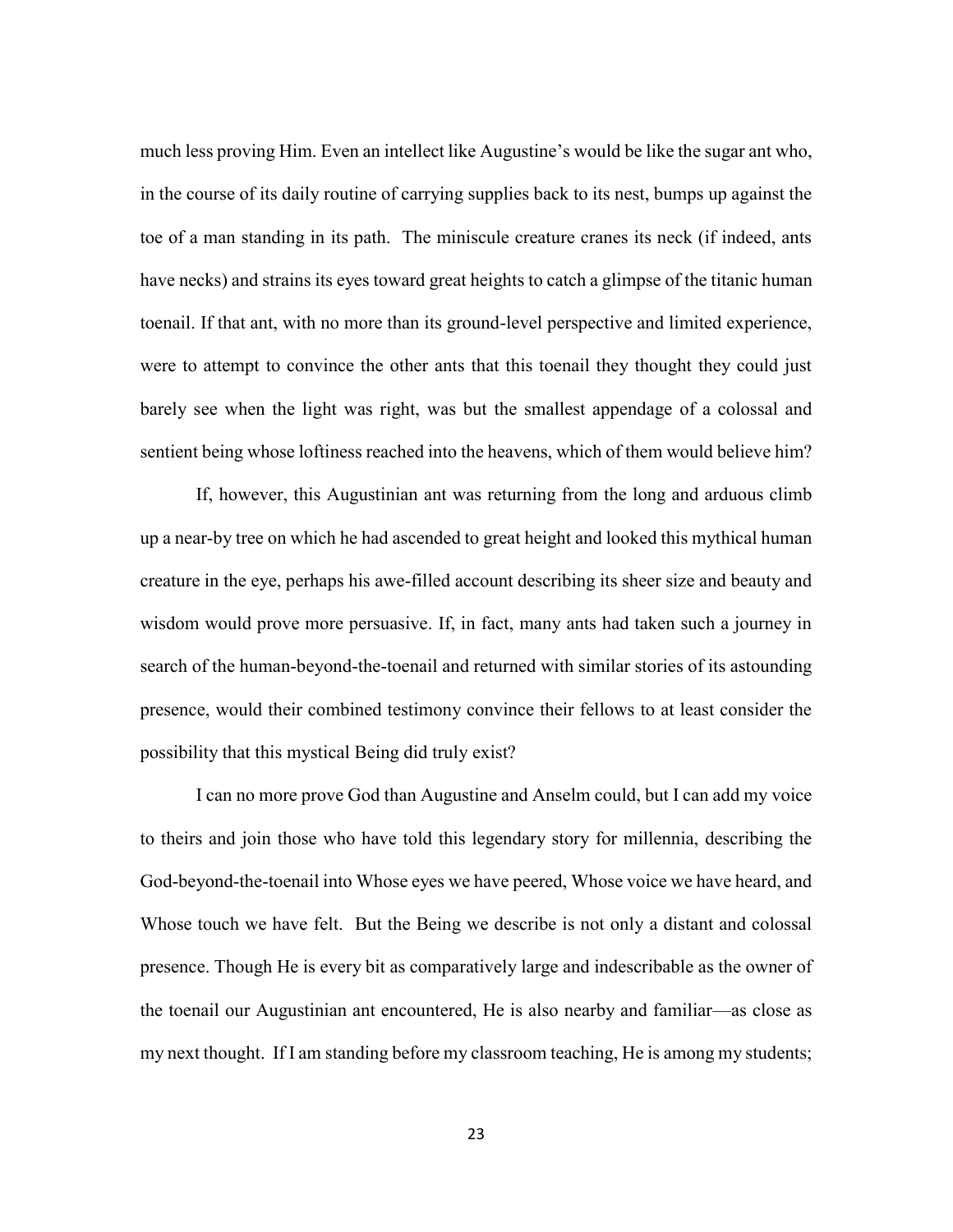much less proving Him. Even an intellect like Augustine's would be like the sugar ant who, in the course of its daily routine of carrying supplies back to its nest, bumps up against the toe of a man standing in its path. The miniscule creature cranes its neck (if indeed, ants have necks) and strains its eyes toward great heights to catch a glimpse of the titanic human toenail. If that ant, with no more than its ground-level perspective and limited experience, were to attempt to convince the other ants that this toenail they thought they could just barely see when the light was right, was but the smallest appendage of a colossal and sentient being whose loftiness reached into the heavens, which of them would believe him?

If, however, this Augustinian ant was returning from the long and arduous climb up a near-by tree on which he had ascended to great height and looked this mythical human creature in the eye, perhaps his awe-filled account describing its sheer size and beauty and wisdom would prove more persuasive. If, in fact, many ants had taken such a journey in search of the human-beyond-the-toenail and returned with similar stories of its astounding presence, would their combined testimony convince their fellows to at least consider the possibility that this mystical Being did truly exist?

I can no more prove God than Augustine and Anselm could, but I can add my voice to theirs and join those who have told this legendary story for millennia, describing the God-beyond-the-toenail into Whose eyes we have peered, Whose voice we have heard, and Whose touch we have felt. But the Being we describe is not only a distant and colossal presence. Though He is every bit as comparatively large and indescribable as the owner of the toenail our Augustinian ant encountered, He is also nearby and familiar—as close as my next thought. If I am standing before my classroom teaching, He is among my students;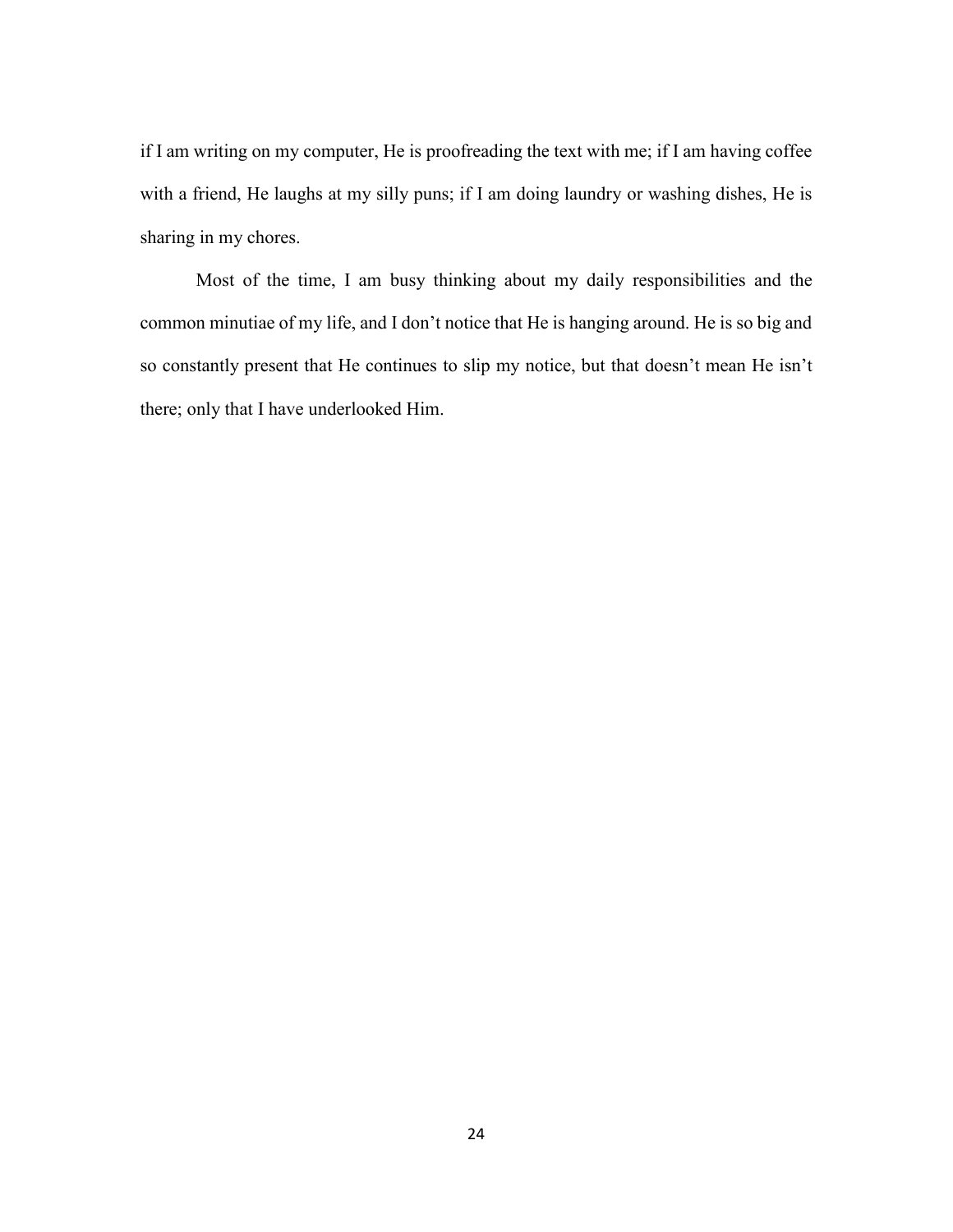if I am writing on my computer, He is proofreading the text with me; if I am having coffee with a friend, He laughs at my silly puns; if I am doing laundry or washing dishes, He is sharing in my chores.

Most of the time, I am busy thinking about my daily responsibilities and the common minutiae of my life, and I don't notice that He is hanging around. He is so big and so constantly present that He continues to slip my notice, but that doesn't mean He isn't there; only that I have underlooked Him.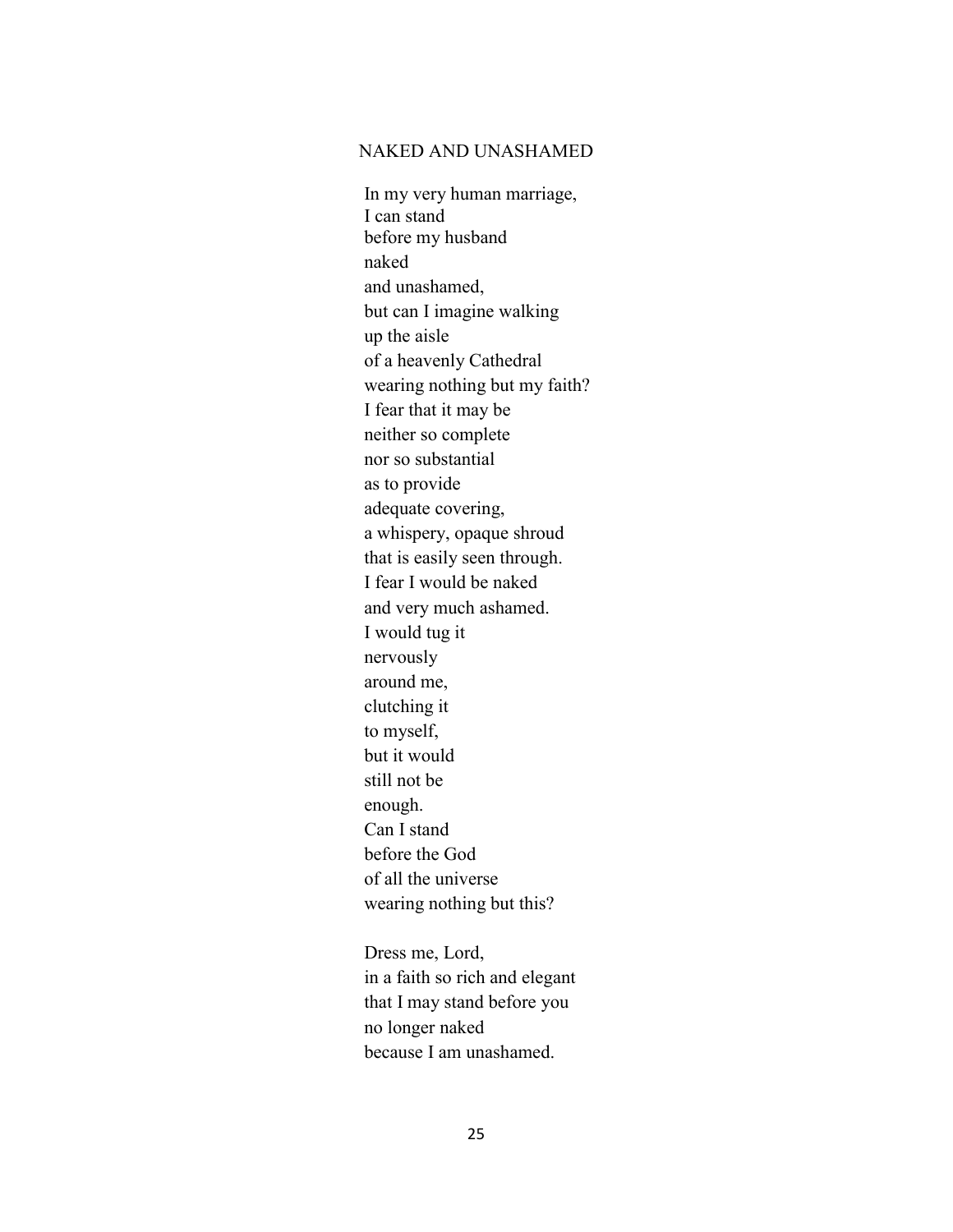### NAKED AND UNASHAMED

In my very human marriage, I can stand before my husband naked and unashamed, but can I imagine walking up the aisle of a heavenly Cathedral wearing nothing but my faith? I fear that it may be neither so complete nor so substantial as to provide adequate covering, a whispery, opaque shroud that is easily seen through. I fear I would be naked and very much ashamed. I would tug it nervously around me, clutching it to myself, but it would still not be enough. Can I stand before the God of all the universe wearing nothing but this?

Dress me, Lord, in a faith so rich and elegant that I may stand before you no longer naked because I am unashamed.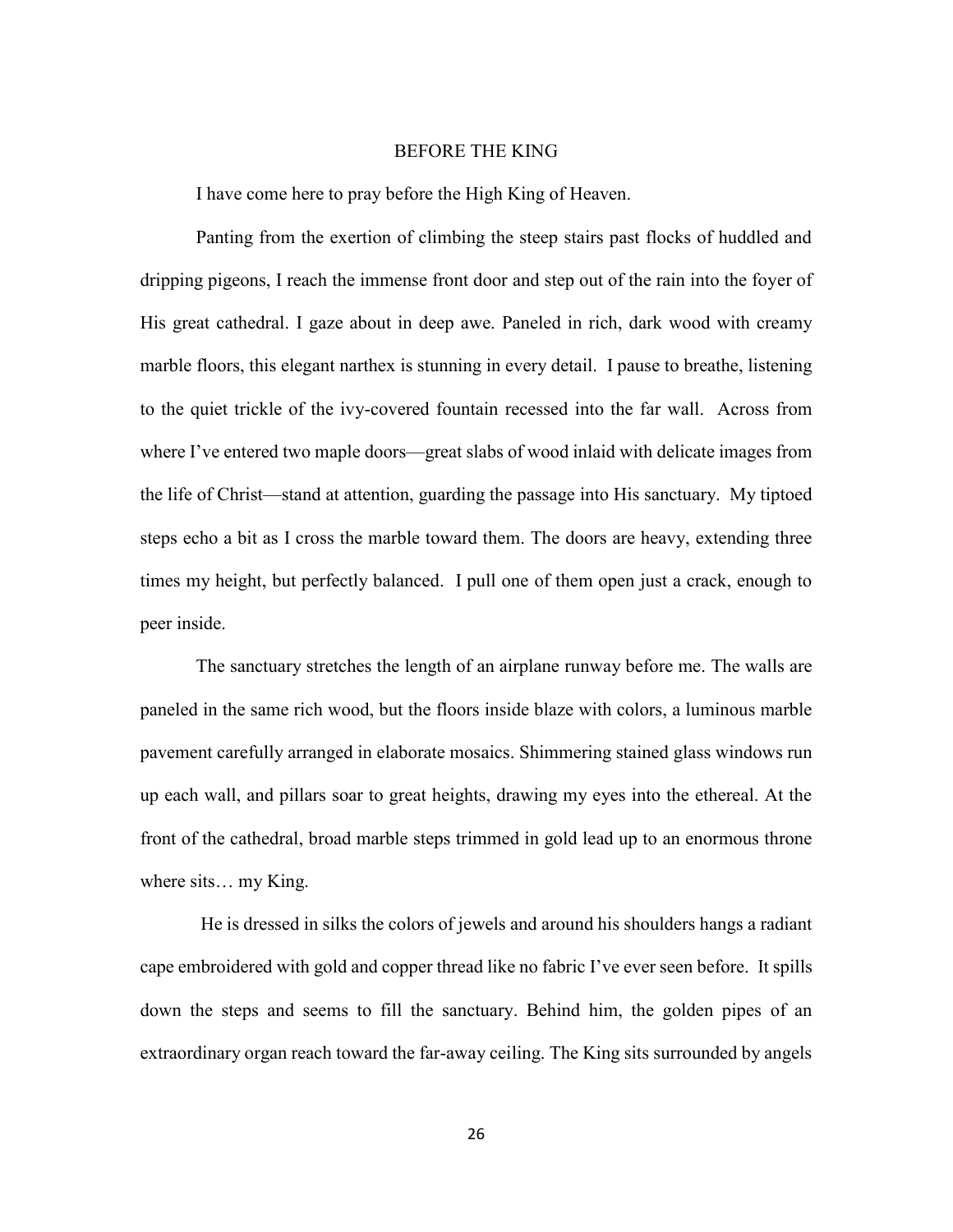#### BEFORE THE KING

I have come here to pray before the High King of Heaven.

Panting from the exertion of climbing the steep stairs past flocks of huddled and dripping pigeons, I reach the immense front door and step out of the rain into the foyer of His great cathedral. I gaze about in deep awe. Paneled in rich, dark wood with creamy marble floors, this elegant narthex is stunning in every detail. I pause to breathe, listening to the quiet trickle of the ivy-covered fountain recessed into the far wall. Across from where I've entered two maple doors—great slabs of wood inlaid with delicate images from the life of Christ—stand at attention, guarding the passage into His sanctuary. My tiptoed steps echo a bit as I cross the marble toward them. The doors are heavy, extending three times my height, but perfectly balanced. I pull one of them open just a crack, enough to peer inside.

The sanctuary stretches the length of an airplane runway before me. The walls are paneled in the same rich wood, but the floors inside blaze with colors, a luminous marble pavement carefully arranged in elaborate mosaics. Shimmering stained glass windows run up each wall, and pillars soar to great heights, drawing my eyes into the ethereal. At the front of the cathedral, broad marble steps trimmed in gold lead up to an enormous throne where sits… my King.

He is dressed in silks the colors of jewels and around his shoulders hangs a radiant cape embroidered with gold and copper thread like no fabric I've ever seen before. It spills down the steps and seems to fill the sanctuary. Behind him, the golden pipes of an extraordinary organ reach toward the far-away ceiling. The King sits surrounded by angels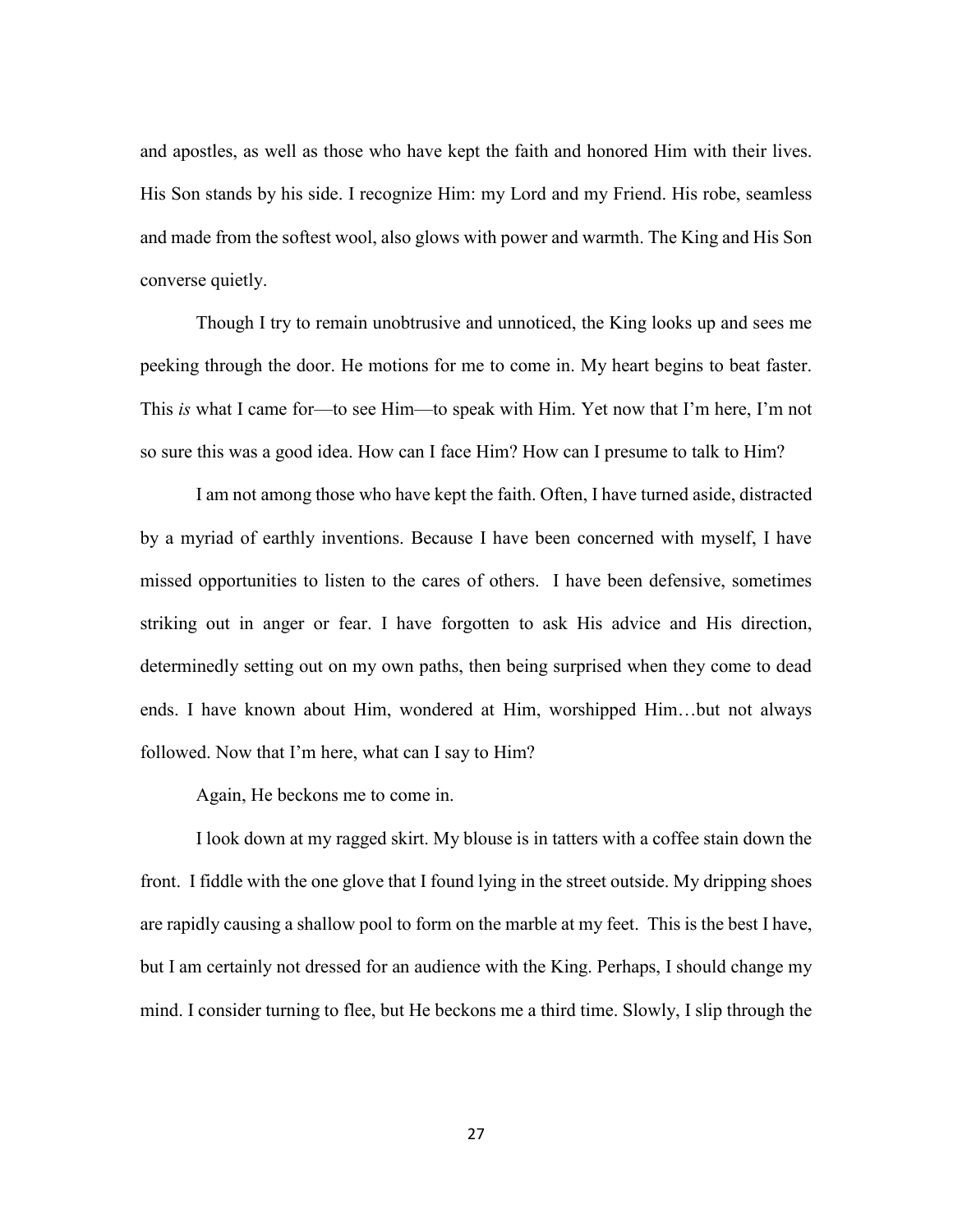and apostles, as well as those who have kept the faith and honored Him with their lives. His Son stands by his side. I recognize Him: my Lord and my Friend. His robe, seamless and made from the softest wool, also glows with power and warmth. The King and His Son converse quietly.

Though I try to remain unobtrusive and unnoticed, the King looks up and sees me peeking through the door. He motions for me to come in. My heart begins to beat faster. This *is* what I came for—to see Him—to speak with Him. Yet now that I'm here, I'm not so sure this was a good idea. How can I face Him? How can I presume to talk to Him?

I am not among those who have kept the faith. Often, I have turned aside, distracted by a myriad of earthly inventions. Because I have been concerned with myself, I have missed opportunities to listen to the cares of others. I have been defensive, sometimes striking out in anger or fear. I have forgotten to ask His advice and His direction, determinedly setting out on my own paths, then being surprised when they come to dead ends. I have known about Him, wondered at Him, worshipped Him…but not always followed. Now that I'm here, what can I say to Him?

Again, He beckons me to come in.

I look down at my ragged skirt. My blouse is in tatters with a coffee stain down the front. I fiddle with the one glove that I found lying in the street outside. My dripping shoes are rapidly causing a shallow pool to form on the marble at my feet. This is the best I have, but I am certainly not dressed for an audience with the King. Perhaps, I should change my mind. I consider turning to flee, but He beckons me a third time. Slowly, I slip through the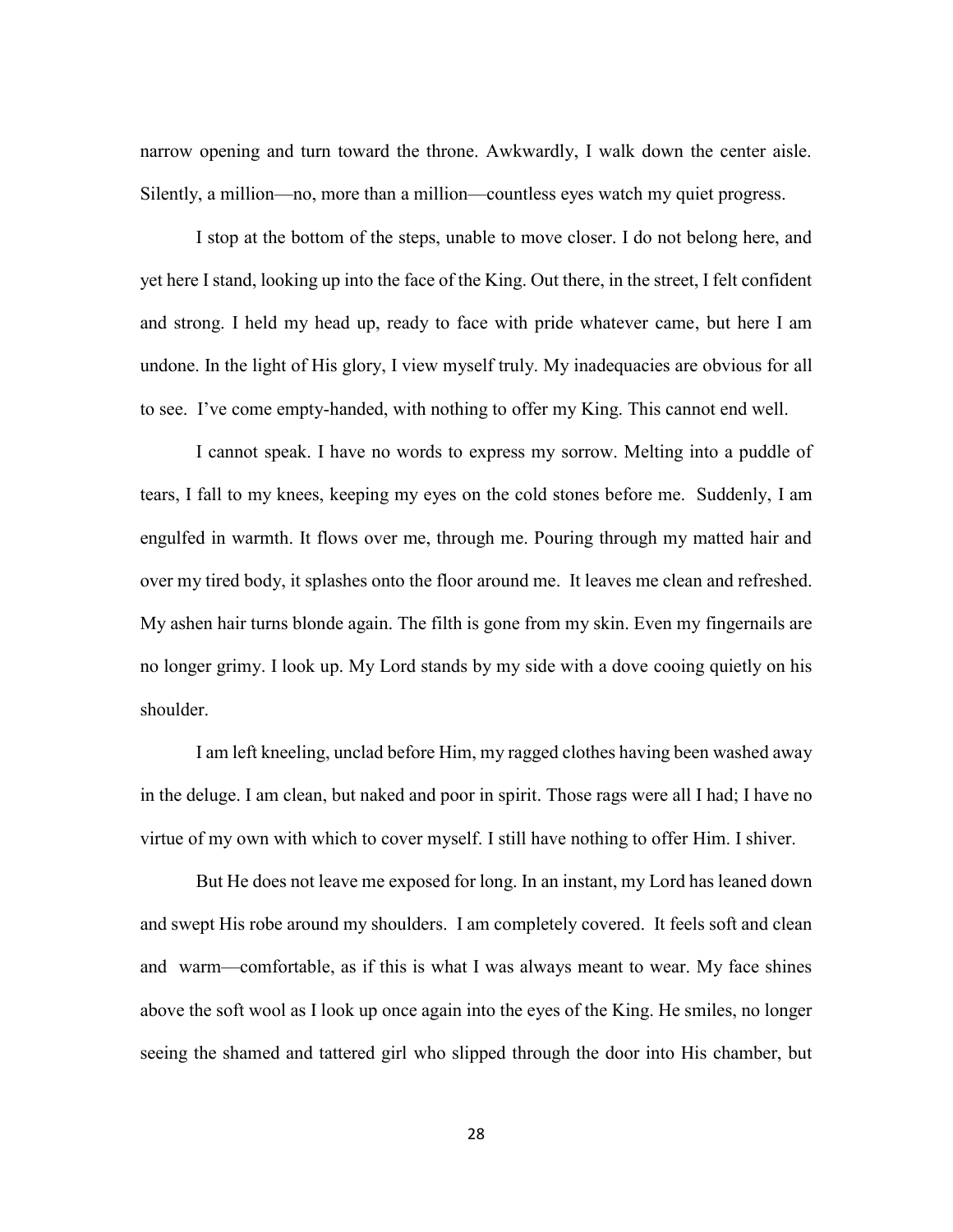narrow opening and turn toward the throne. Awkwardly, I walk down the center aisle. Silently, a million—no, more than a million—countless eyes watch my quiet progress.

I stop at the bottom of the steps, unable to move closer. I do not belong here, and yet here I stand, looking up into the face of the King. Out there, in the street, I felt confident and strong. I held my head up, ready to face with pride whatever came, but here I am undone. In the light of His glory, I view myself truly. My inadequacies are obvious for all to see. I've come empty-handed, with nothing to offer my King. This cannot end well.

I cannot speak. I have no words to express my sorrow. Melting into a puddle of tears, I fall to my knees, keeping my eyes on the cold stones before me. Suddenly, I am engulfed in warmth. It flows over me, through me. Pouring through my matted hair and over my tired body, it splashes onto the floor around me. It leaves me clean and refreshed. My ashen hair turns blonde again. The filth is gone from my skin. Even my fingernails are no longer grimy. I look up. My Lord stands by my side with a dove cooing quietly on his shoulder.

I am left kneeling, unclad before Him, my ragged clothes having been washed away in the deluge. I am clean, but naked and poor in spirit. Those rags were all I had; I have no virtue of my own with which to cover myself. I still have nothing to offer Him. I shiver.

But He does not leave me exposed for long. In an instant, my Lord has leaned down and swept His robe around my shoulders. I am completely covered. It feels soft and clean and warm—comfortable, as if this is what I was always meant to wear. My face shines above the soft wool as I look up once again into the eyes of the King. He smiles, no longer seeing the shamed and tattered girl who slipped through the door into His chamber, but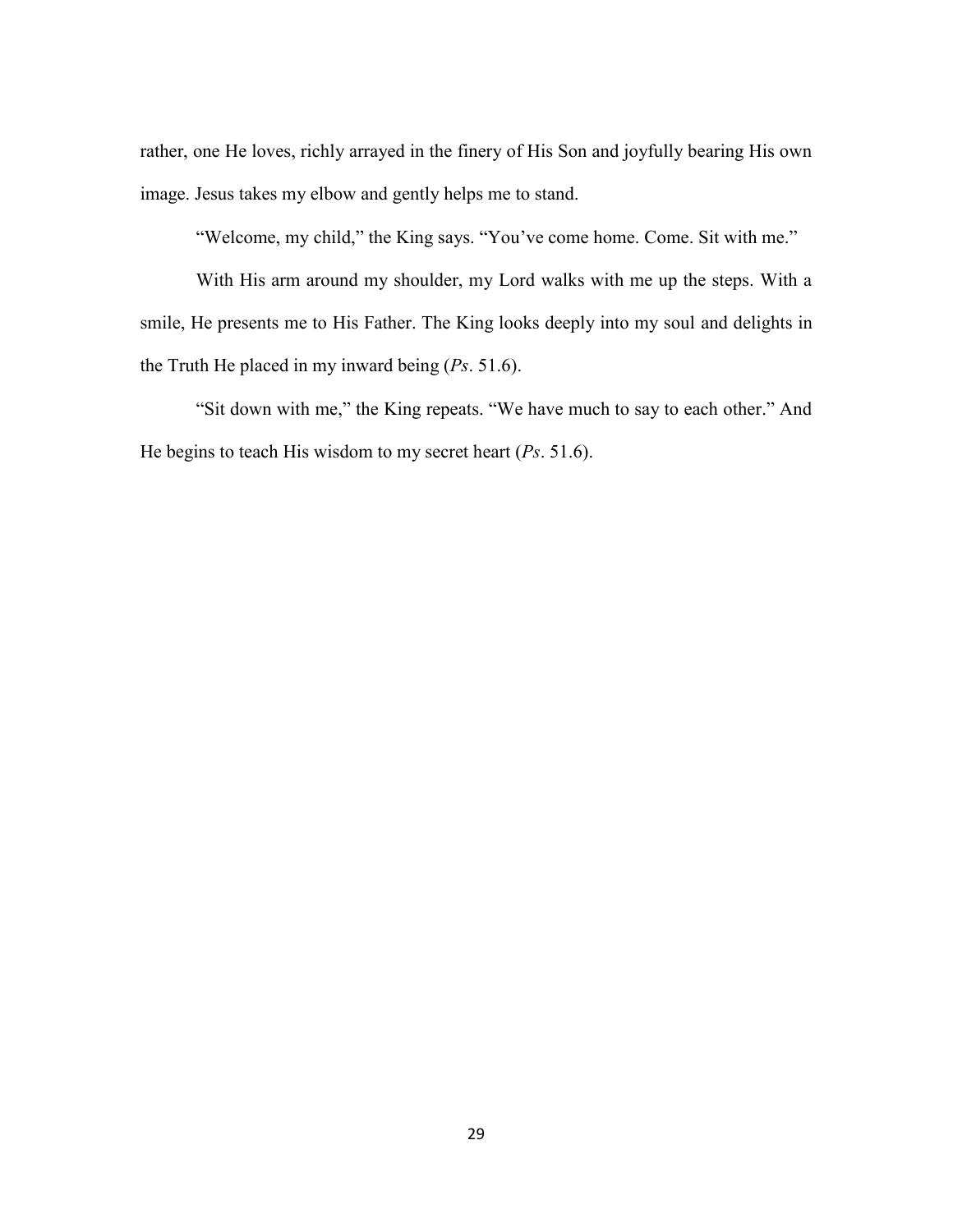rather, one He loves, richly arrayed in the finery of His Son and joyfully bearing His own image. Jesus takes my elbow and gently helps me to stand.

"Welcome, my child," the King says. "You've come home. Come. Sit with me."

With His arm around my shoulder, my Lord walks with me up the steps. With a smile, He presents me to His Father. The King looks deeply into my soul and delights in the Truth He placed in my inward being (*Ps*. 51.6).

"Sit down with me," the King repeats. "We have much to say to each other." And He begins to teach His wisdom to my secret heart (*Ps*. 51.6).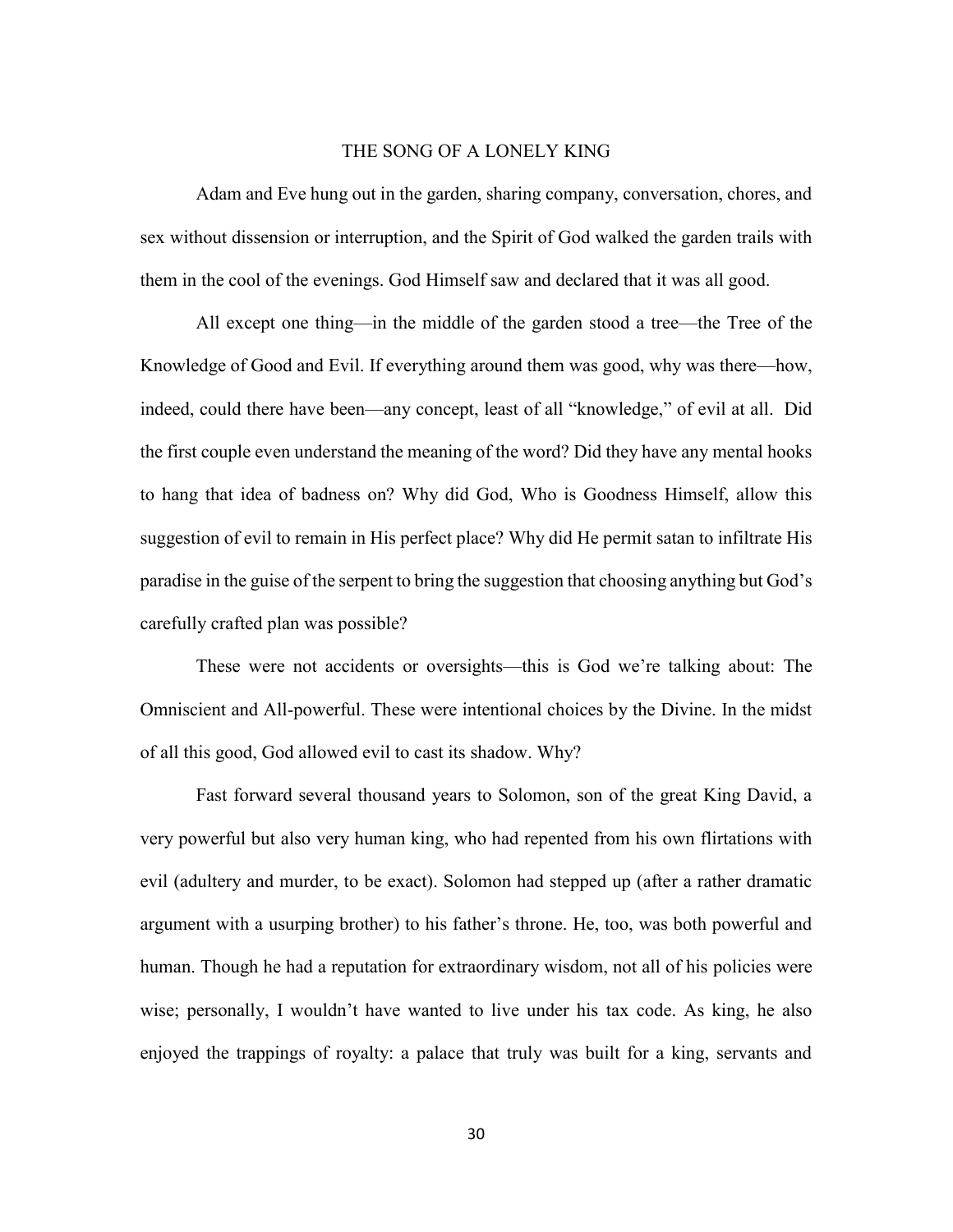#### THE SONG OF A LONELY KING

Adam and Eve hung out in the garden, sharing company, conversation, chores, and sex without dissension or interruption, and the Spirit of God walked the garden trails with them in the cool of the evenings. God Himself saw and declared that it was all good.

All except one thing—in the middle of the garden stood a tree—the Tree of the Knowledge of Good and Evil. If everything around them was good, why was there—how, indeed, could there have been—any concept, least of all "knowledge," of evil at all. Did the first couple even understand the meaning of the word? Did they have any mental hooks to hang that idea of badness on? Why did God, Who is Goodness Himself, allow this suggestion of evil to remain in His perfect place? Why did He permit satan to infiltrate His paradise in the guise of the serpent to bring the suggestion that choosing anything but God's carefully crafted plan was possible?

These were not accidents or oversights—this is God we're talking about: The Omniscient and All-powerful. These were intentional choices by the Divine. In the midst of all this good, God allowed evil to cast its shadow. Why?

Fast forward several thousand years to Solomon, son of the great King David, a very powerful but also very human king, who had repented from his own flirtations with evil (adultery and murder, to be exact). Solomon had stepped up (after a rather dramatic argument with a usurping brother) to his father's throne. He, too, was both powerful and human. Though he had a reputation for extraordinary wisdom, not all of his policies were wise; personally, I wouldn't have wanted to live under his tax code. As king, he also enjoyed the trappings of royalty: a palace that truly was built for a king, servants and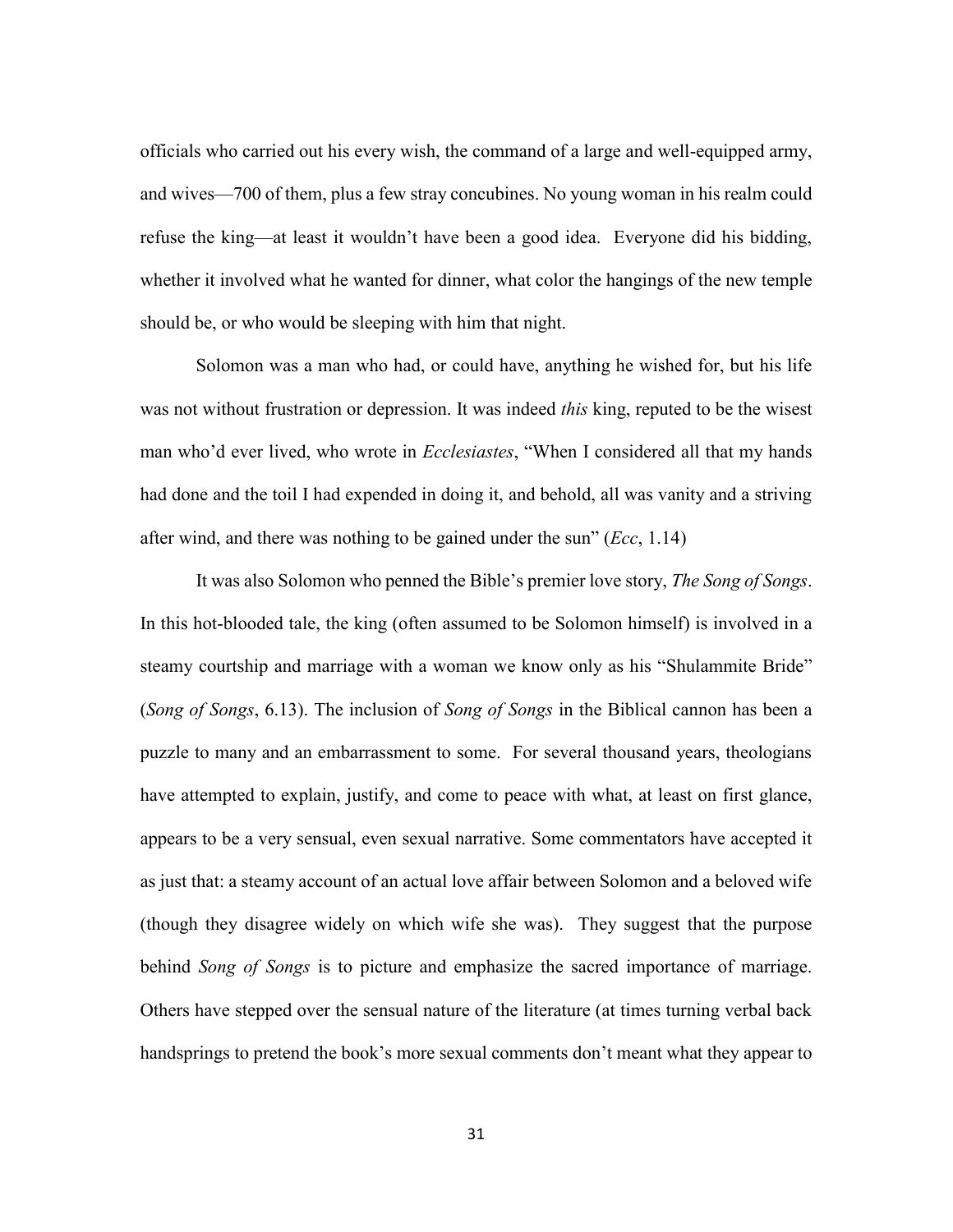officials who carried out his every wish, the command of a large and well-equipped army, and wives—700 of them, plus a few stray concubines. No young woman in his realm could refuse the king—at least it wouldn't have been a good idea. Everyone did his bidding, whether it involved what he wanted for dinner, what color the hangings of the new temple should be, or who would be sleeping with him that night.

Solomon was a man who had, or could have, anything he wished for, but his life was not without frustration or depression. It was indeed *this* king, reputed to be the wisest man who'd ever lived, who wrote in *Ecclesiastes*, "When I considered all that my hands had done and the toil I had expended in doing it, and behold, all was vanity and a striving after wind, and there was nothing to be gained under the sun" (*Ecc*, 1.14)

It was also Solomon who penned the Bible's premier love story, *The Song of Songs*. In this hot-blooded tale, the king (often assumed to be Solomon himself) is involved in a steamy courtship and marriage with a woman we know only as his "Shulammite Bride" (*Song of Songs*, 6.13). The inclusion of *Song of Songs* in the Biblical cannon has been a puzzle to many and an embarrassment to some. For several thousand years, theologians have attempted to explain, justify, and come to peace with what, at least on first glance, appears to be a very sensual, even sexual narrative. Some commentators have accepted it as just that: a steamy account of an actual love affair between Solomon and a beloved wife (though they disagree widely on which wife she was). They suggest that the purpose behind *Song of Songs* is to picture and emphasize the sacred importance of marriage. Others have stepped over the sensual nature of the literature (at times turning verbal back handsprings to pretend the book's more sexual comments don't meant what they appear to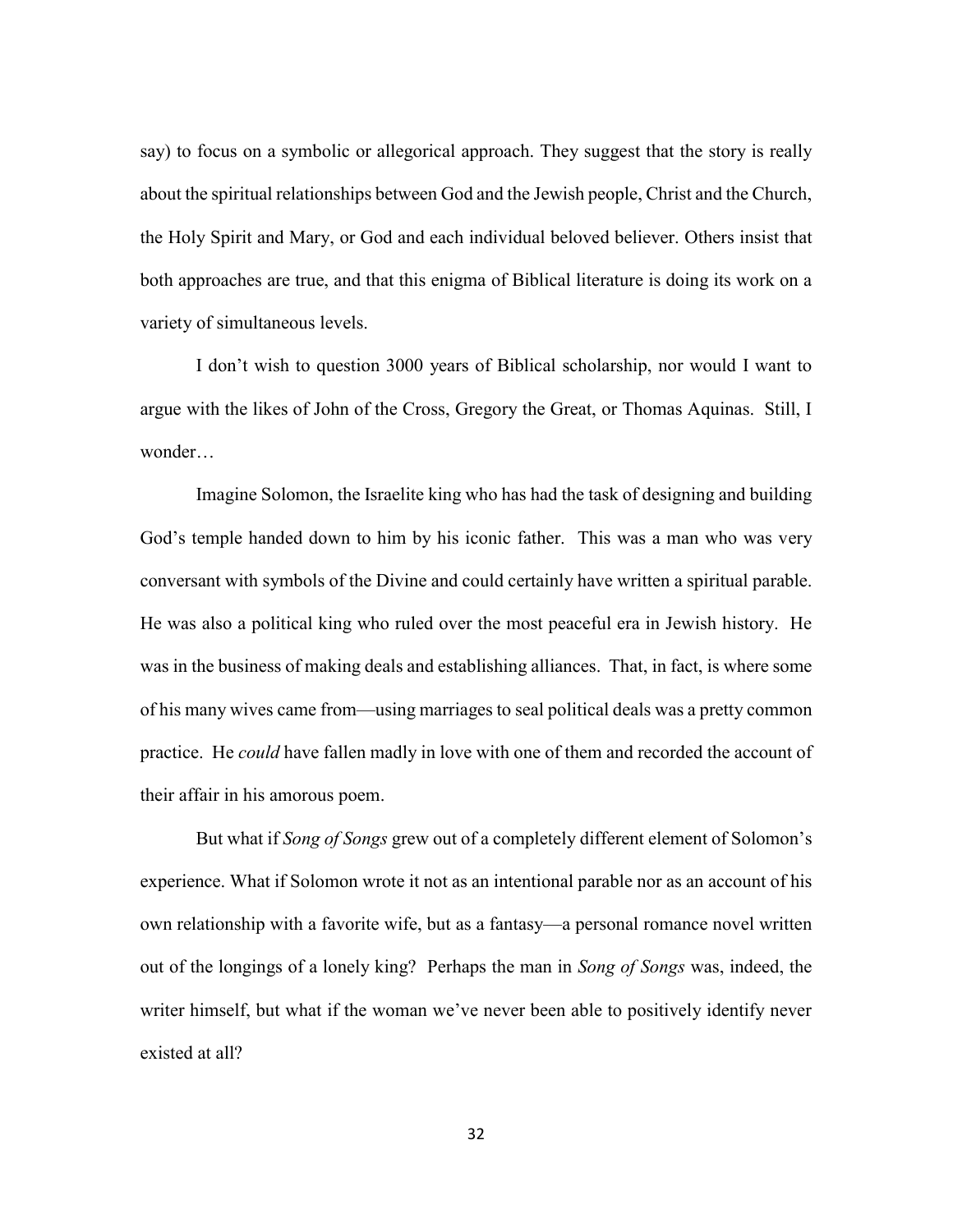say) to focus on a symbolic or allegorical approach. They suggest that the story is really about the spiritual relationships between God and the Jewish people, Christ and the Church, the Holy Spirit and Mary, or God and each individual beloved believer. Others insist that both approaches are true, and that this enigma of Biblical literature is doing its work on a variety of simultaneous levels.

I don't wish to question 3000 years of Biblical scholarship, nor would I want to argue with the likes of John of the Cross, Gregory the Great, or Thomas Aquinas. Still, I wonder…

Imagine Solomon, the Israelite king who has had the task of designing and building God's temple handed down to him by his iconic father. This was a man who was very conversant with symbols of the Divine and could certainly have written a spiritual parable. He was also a political king who ruled over the most peaceful era in Jewish history. He was in the business of making deals and establishing alliances. That, in fact, is where some of his many wives came from—using marriages to seal political deals was a pretty common practice. He *could* have fallen madly in love with one of them and recorded the account of their affair in his amorous poem.

But what if *Song of Songs* grew out of a completely different element of Solomon's experience. What if Solomon wrote it not as an intentional parable nor as an account of his own relationship with a favorite wife, but as a fantasy—a personal romance novel written out of the longings of a lonely king? Perhaps the man in *Song of Songs* was, indeed, the writer himself, but what if the woman we've never been able to positively identify never existed at all?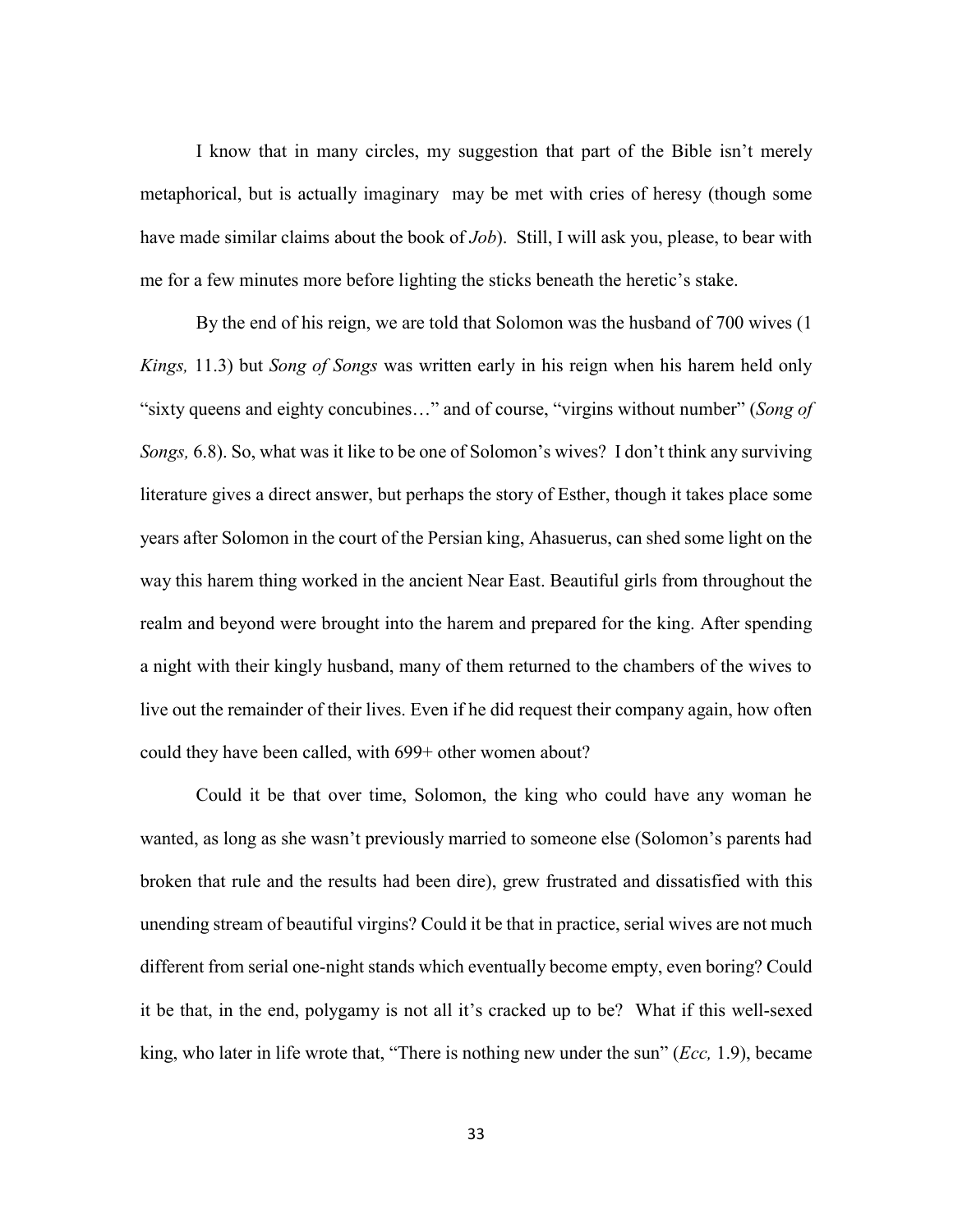I know that in many circles, my suggestion that part of the Bible isn't merely metaphorical, but is actually imaginary may be met with cries of heresy (though some have made similar claims about the book of *Job*). Still, I will ask you, please, to bear with me for a few minutes more before lighting the sticks beneath the heretic's stake.

By the end of his reign, we are told that Solomon was the husband of 700 wives (1 *Kings,* 11.3) but *Song of Songs* was written early in his reign when his harem held only "sixty queens and eighty concubines…" and of course, "virgins without number" (*Song of Songs,* 6.8). So, what was it like to be one of Solomon's wives? I don't think any surviving literature gives a direct answer, but perhaps the story of Esther, though it takes place some years after Solomon in the court of the Persian king, Ahasuerus, can shed some light on the way this harem thing worked in the ancient Near East. Beautiful girls from throughout the realm and beyond were brought into the harem and prepared for the king. After spending a night with their kingly husband, many of them returned to the chambers of the wives to live out the remainder of their lives. Even if he did request their company again, how often could they have been called, with 699+ other women about?

Could it be that over time, Solomon, the king who could have any woman he wanted, as long as she wasn't previously married to someone else (Solomon's parents had broken that rule and the results had been dire), grew frustrated and dissatisfied with this unending stream of beautiful virgins? Could it be that in practice, serial wives are not much different from serial one-night stands which eventually become empty, even boring? Could it be that, in the end, polygamy is not all it's cracked up to be? What if this well-sexed king, who later in life wrote that, "There is nothing new under the sun" (*Ecc,* 1.9), became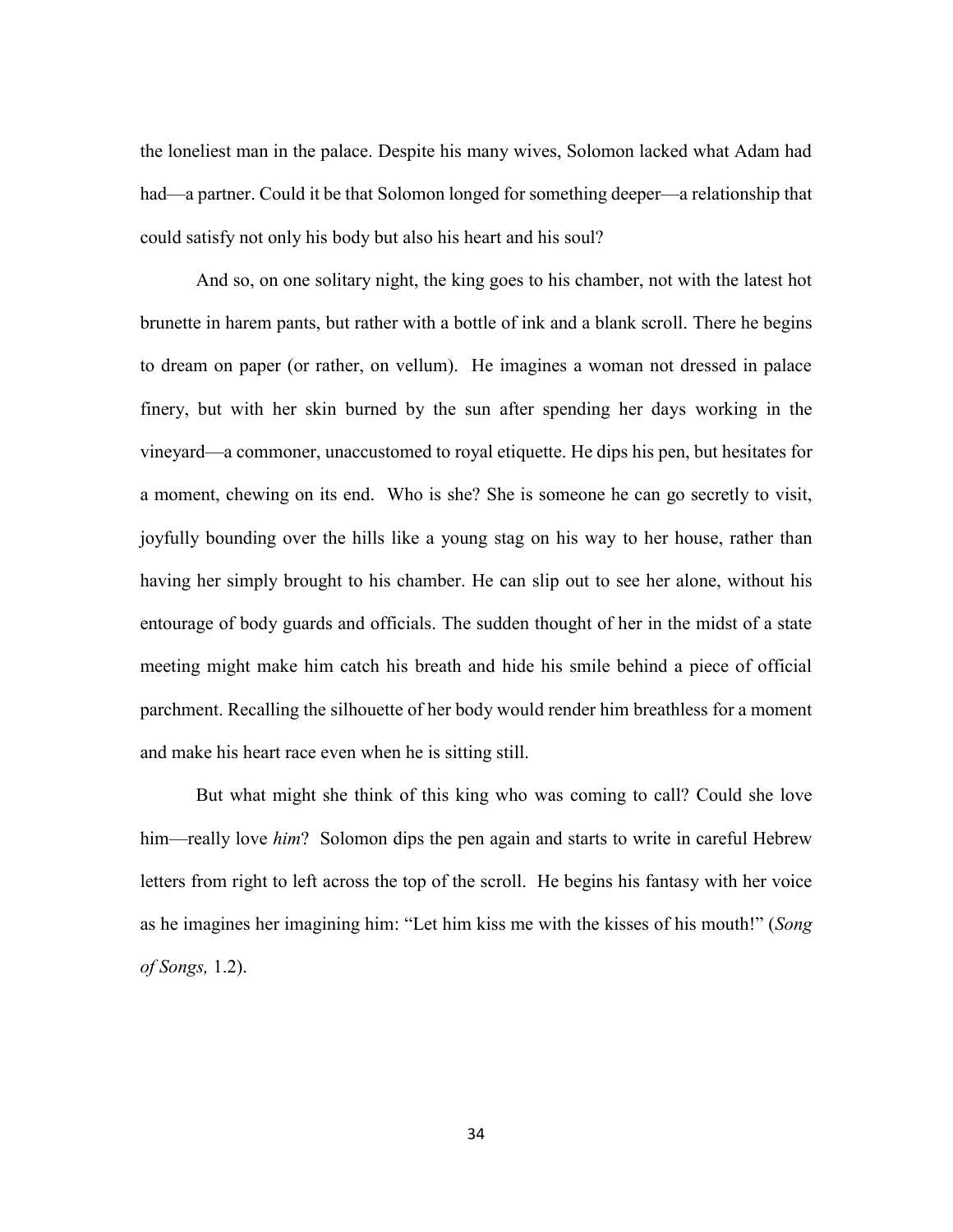the loneliest man in the palace. Despite his many wives, Solomon lacked what Adam had had—a partner. Could it be that Solomon longed for something deeper—a relationship that could satisfy not only his body but also his heart and his soul?

And so, on one solitary night, the king goes to his chamber, not with the latest hot brunette in harem pants, but rather with a bottle of ink and a blank scroll. There he begins to dream on paper (or rather, on vellum). He imagines a woman not dressed in palace finery, but with her skin burned by the sun after spending her days working in the vineyard—a commoner, unaccustomed to royal etiquette. He dips his pen, but hesitates for a moment, chewing on its end. Who is she? She is someone he can go secretly to visit, joyfully bounding over the hills like a young stag on his way to her house, rather than having her simply brought to his chamber. He can slip out to see her alone, without his entourage of body guards and officials. The sudden thought of her in the midst of a state meeting might make him catch his breath and hide his smile behind a piece of official parchment. Recalling the silhouette of her body would render him breathless for a moment and make his heart race even when he is sitting still.

But what might she think of this king who was coming to call? Could she love him—really love *him*? Solomon dips the pen again and starts to write in careful Hebrew letters from right to left across the top of the scroll. He begins his fantasy with her voice as he imagines her imagining him: "Let him kiss me with the kisses of his mouth!" (*Song of Songs,* 1.2).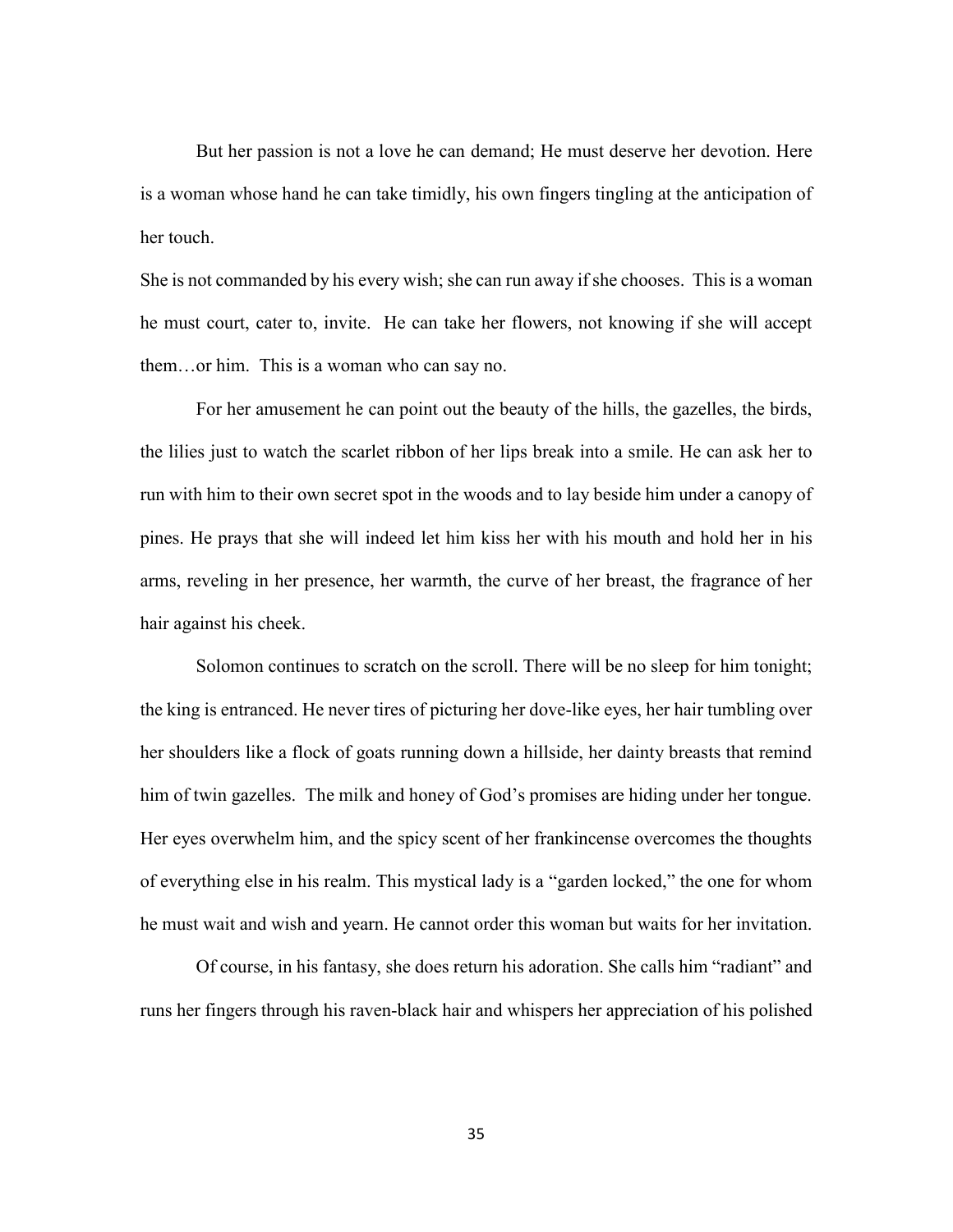But her passion is not a love he can demand; He must deserve her devotion. Here is a woman whose hand he can take timidly, his own fingers tingling at the anticipation of her touch.

She is not commanded by his every wish; she can run away if she chooses. This is a woman he must court, cater to, invite. He can take her flowers, not knowing if she will accept them…or him. This is a woman who can say no.

For her amusement he can point out the beauty of the hills, the gazelles, the birds, the lilies just to watch the scarlet ribbon of her lips break into a smile. He can ask her to run with him to their own secret spot in the woods and to lay beside him under a canopy of pines. He prays that she will indeed let him kiss her with his mouth and hold her in his arms, reveling in her presence, her warmth, the curve of her breast, the fragrance of her hair against his cheek.

Solomon continues to scratch on the scroll. There will be no sleep for him tonight; the king is entranced. He never tires of picturing her dove-like eyes, her hair tumbling over her shoulders like a flock of goats running down a hillside, her dainty breasts that remind him of twin gazelles. The milk and honey of God's promises are hiding under her tongue. Her eyes overwhelm him, and the spicy scent of her frankincense overcomes the thoughts of everything else in his realm. This mystical lady is a "garden locked," the one for whom he must wait and wish and yearn. He cannot order this woman but waits for her invitation.

Of course, in his fantasy, she does return his adoration. She calls him "radiant" and runs her fingers through his raven-black hair and whispers her appreciation of his polished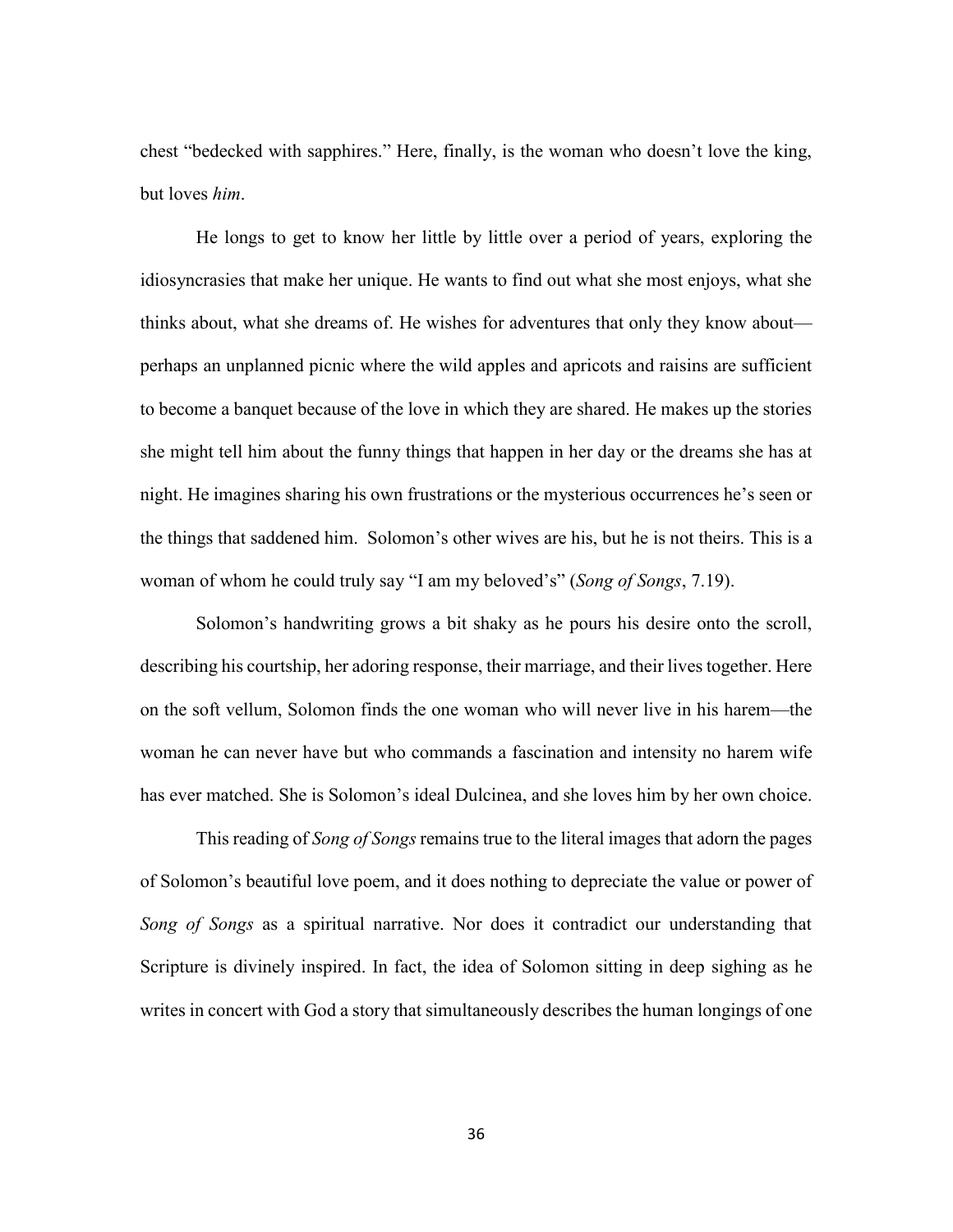chest "bedecked with sapphires." Here, finally, is the woman who doesn't love the king, but loves *him*.

He longs to get to know her little by little over a period of years, exploring the idiosyncrasies that make her unique. He wants to find out what she most enjoys, what she thinks about, what she dreams of. He wishes for adventures that only they know about perhaps an unplanned picnic where the wild apples and apricots and raisins are sufficient to become a banquet because of the love in which they are shared. He makes up the stories she might tell him about the funny things that happen in her day or the dreams she has at night. He imagines sharing his own frustrations or the mysterious occurrences he's seen or the things that saddened him. Solomon's other wives are his, but he is not theirs. This is a woman of whom he could truly say "I am my beloved's" (*Song of Songs*, 7.19).

Solomon's handwriting grows a bit shaky as he pours his desire onto the scroll, describing his courtship, her adoring response, their marriage, and their lives together. Here on the soft vellum, Solomon finds the one woman who will never live in his harem—the woman he can never have but who commands a fascination and intensity no harem wife has ever matched. She is Solomon's ideal Dulcinea, and she loves him by her own choice.

This reading of *Song of Songs* remains true to the literal images that adorn the pages of Solomon's beautiful love poem, and it does nothing to depreciate the value or power of *Song of Songs* as a spiritual narrative. Nor does it contradict our understanding that Scripture is divinely inspired. In fact, the idea of Solomon sitting in deep sighing as he writes in concert with God a story that simultaneously describes the human longings of one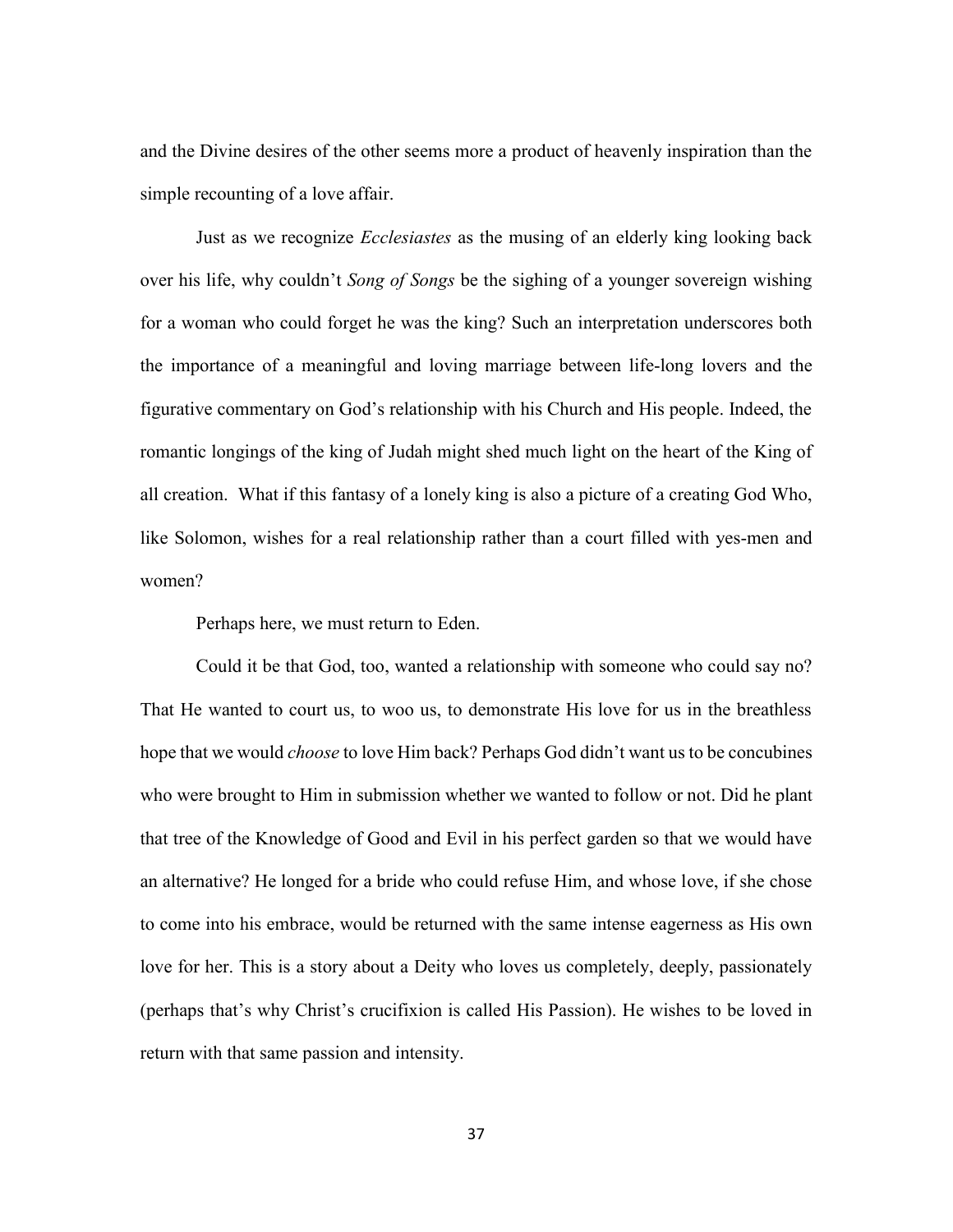and the Divine desires of the other seems more a product of heavenly inspiration than the simple recounting of a love affair.

Just as we recognize *Ecclesiastes* as the musing of an elderly king looking back over his life, why couldn't *Song of Songs* be the sighing of a younger sovereign wishing for a woman who could forget he was the king? Such an interpretation underscores both the importance of a meaningful and loving marriage between life-long lovers and the figurative commentary on God's relationship with his Church and His people. Indeed, the romantic longings of the king of Judah might shed much light on the heart of the King of all creation. What if this fantasy of a lonely king is also a picture of a creating God Who, like Solomon, wishes for a real relationship rather than a court filled with yes-men and women?

Perhaps here, we must return to Eden.

Could it be that God, too, wanted a relationship with someone who could say no? That He wanted to court us, to woo us, to demonstrate His love for us in the breathless hope that we would *choose* to love Him back? Perhaps God didn't want us to be concubines who were brought to Him in submission whether we wanted to follow or not. Did he plant that tree of the Knowledge of Good and Evil in his perfect garden so that we would have an alternative? He longed for a bride who could refuse Him, and whose love, if she chose to come into his embrace, would be returned with the same intense eagerness as His own love for her. This is a story about a Deity who loves us completely, deeply, passionately (perhaps that's why Christ's crucifixion is called His Passion). He wishes to be loved in return with that same passion and intensity.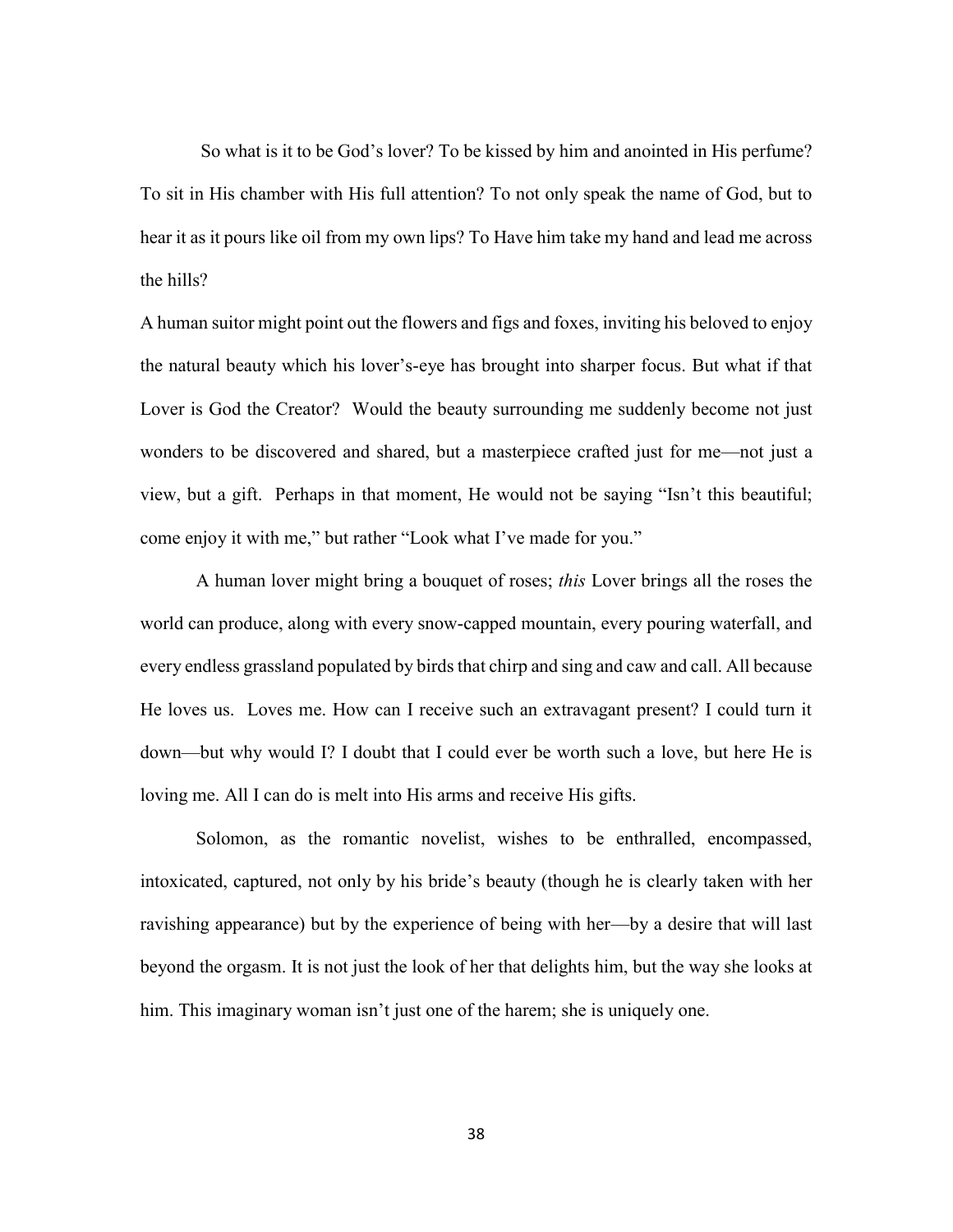So what is it to be God's lover? To be kissed by him and anointed in His perfume? To sit in His chamber with His full attention? To not only speak the name of God, but to hear it as it pours like oil from my own lips? To Have him take my hand and lead me across the hills?

A human suitor might point out the flowers and figs and foxes, inviting his beloved to enjoy the natural beauty which his lover's-eye has brought into sharper focus. But what if that Lover is God the Creator? Would the beauty surrounding me suddenly become not just wonders to be discovered and shared, but a masterpiece crafted just for me—not just a view, but a gift. Perhaps in that moment, He would not be saying "Isn't this beautiful; come enjoy it with me," but rather "Look what I've made for you."

A human lover might bring a bouquet of roses; *this* Lover brings all the roses the world can produce, along with every snow-capped mountain, every pouring waterfall, and every endless grassland populated by birds that chirp and sing and caw and call. All because He loves us. Loves me. How can I receive such an extravagant present? I could turn it down—but why would I? I doubt that I could ever be worth such a love, but here He is loving me. All I can do is melt into His arms and receive His gifts.

Solomon, as the romantic novelist, wishes to be enthralled, encompassed, intoxicated, captured, not only by his bride's beauty (though he is clearly taken with her ravishing appearance) but by the experience of being with her—by a desire that will last beyond the orgasm. It is not just the look of her that delights him, but the way she looks at him. This imaginary woman isn't just one of the harem; she is uniquely one.

38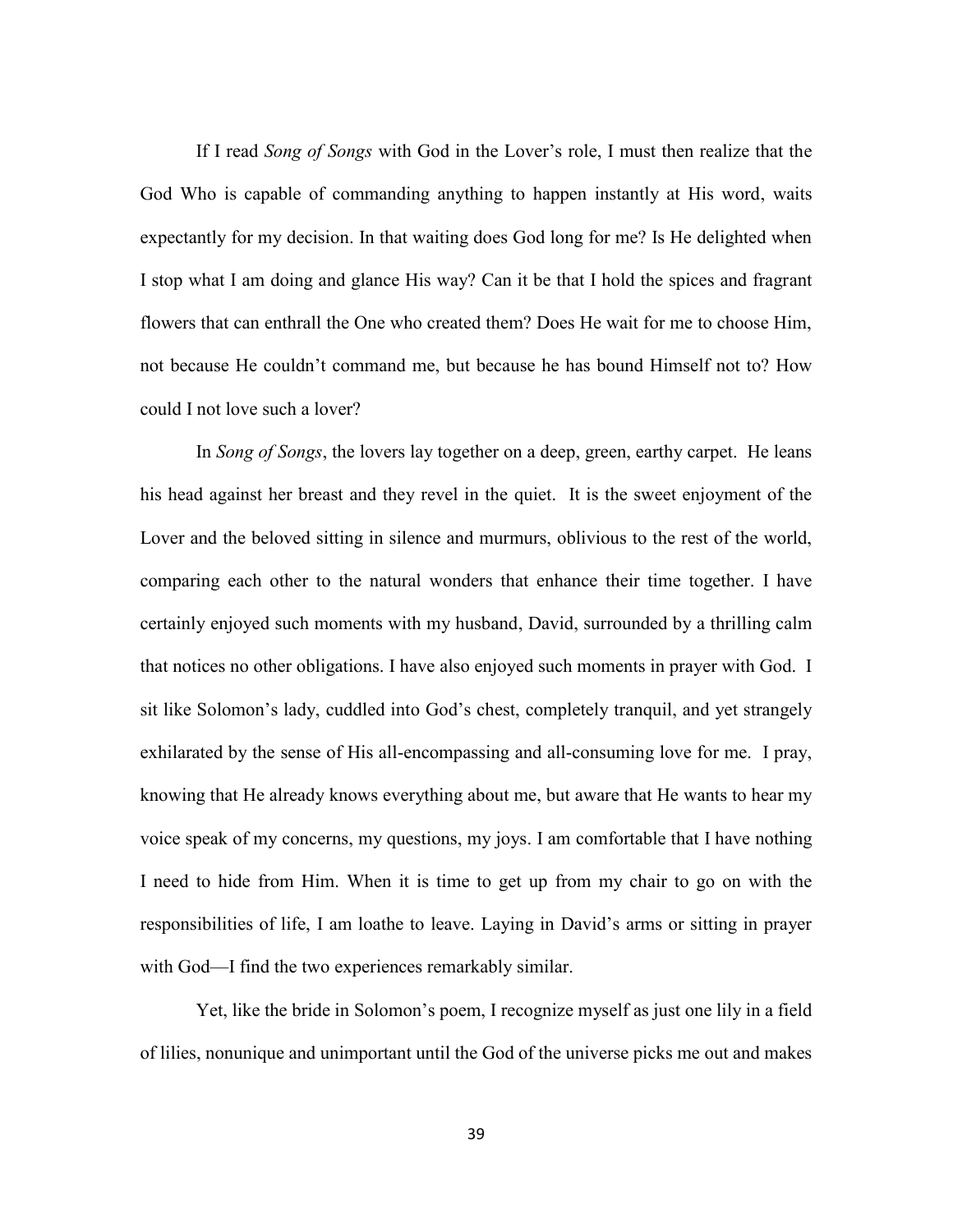If I read *Song of Songs* with God in the Lover's role, I must then realize that the God Who is capable of commanding anything to happen instantly at His word, waits expectantly for my decision. In that waiting does God long for me? Is He delighted when I stop what I am doing and glance His way? Can it be that I hold the spices and fragrant flowers that can enthrall the One who created them? Does He wait for me to choose Him, not because He couldn't command me, but because he has bound Himself not to? How could I not love such a lover?

In *Song of Songs*, the lovers lay together on a deep, green, earthy carpet. He leans his head against her breast and they revel in the quiet. It is the sweet enjoyment of the Lover and the beloved sitting in silence and murmurs, oblivious to the rest of the world, comparing each other to the natural wonders that enhance their time together. I have certainly enjoyed such moments with my husband, David, surrounded by a thrilling calm that notices no other obligations. I have also enjoyed such moments in prayer with God. I sit like Solomon's lady, cuddled into God's chest, completely tranquil, and yet strangely exhilarated by the sense of His all-encompassing and all-consuming love for me. I pray, knowing that He already knows everything about me, but aware that He wants to hear my voice speak of my concerns, my questions, my joys. I am comfortable that I have nothing I need to hide from Him. When it is time to get up from my chair to go on with the responsibilities of life, I am loathe to leave. Laying in David's arms or sitting in prayer with God—I find the two experiences remarkably similar.

Yet, like the bride in Solomon's poem, I recognize myself as just one lily in a field of lilies, nonunique and unimportant until the God of the universe picks me out and makes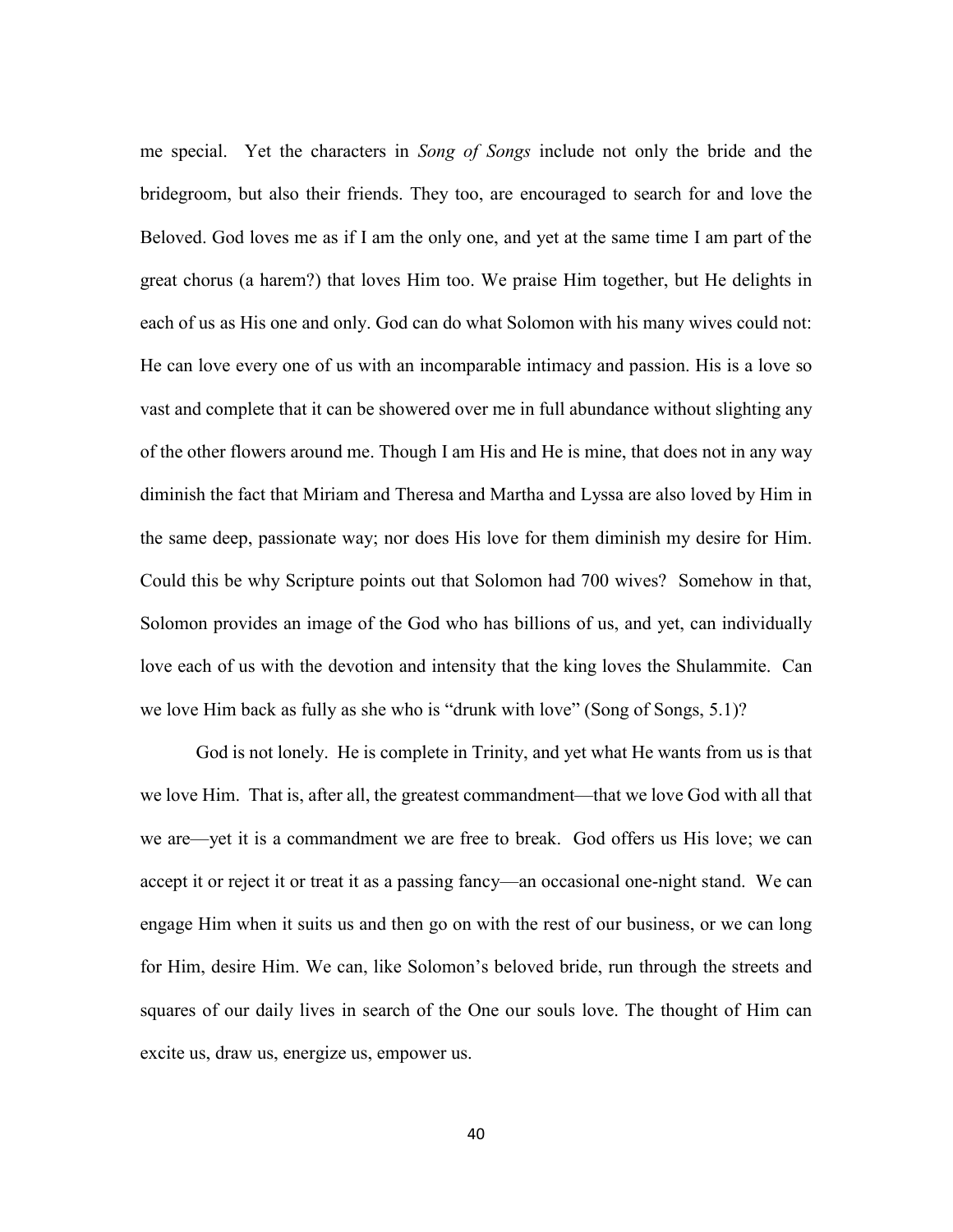me special. Yet the characters in *Song of Songs* include not only the bride and the bridegroom, but also their friends. They too, are encouraged to search for and love the Beloved. God loves me as if I am the only one, and yet at the same time I am part of the great chorus (a harem?) that loves Him too. We praise Him together, but He delights in each of us as His one and only. God can do what Solomon with his many wives could not: He can love every one of us with an incomparable intimacy and passion. His is a love so vast and complete that it can be showered over me in full abundance without slighting any of the other flowers around me. Though I am His and He is mine, that does not in any way diminish the fact that Miriam and Theresa and Martha and Lyssa are also loved by Him in the same deep, passionate way; nor does His love for them diminish my desire for Him. Could this be why Scripture points out that Solomon had 700 wives? Somehow in that, Solomon provides an image of the God who has billions of us, and yet, can individually love each of us with the devotion and intensity that the king loves the Shulammite. Can we love Him back as fully as she who is "drunk with love" (Song of Songs, 5.1)?

God is not lonely. He is complete in Trinity, and yet what He wants from us is that we love Him. That is, after all, the greatest commandment—that we love God with all that we are—yet it is a commandment we are free to break. God offers us His love; we can accept it or reject it or treat it as a passing fancy—an occasional one-night stand. We can engage Him when it suits us and then go on with the rest of our business, or we can long for Him, desire Him. We can, like Solomon's beloved bride, run through the streets and squares of our daily lives in search of the One our souls love. The thought of Him can excite us, draw us, energize us, empower us.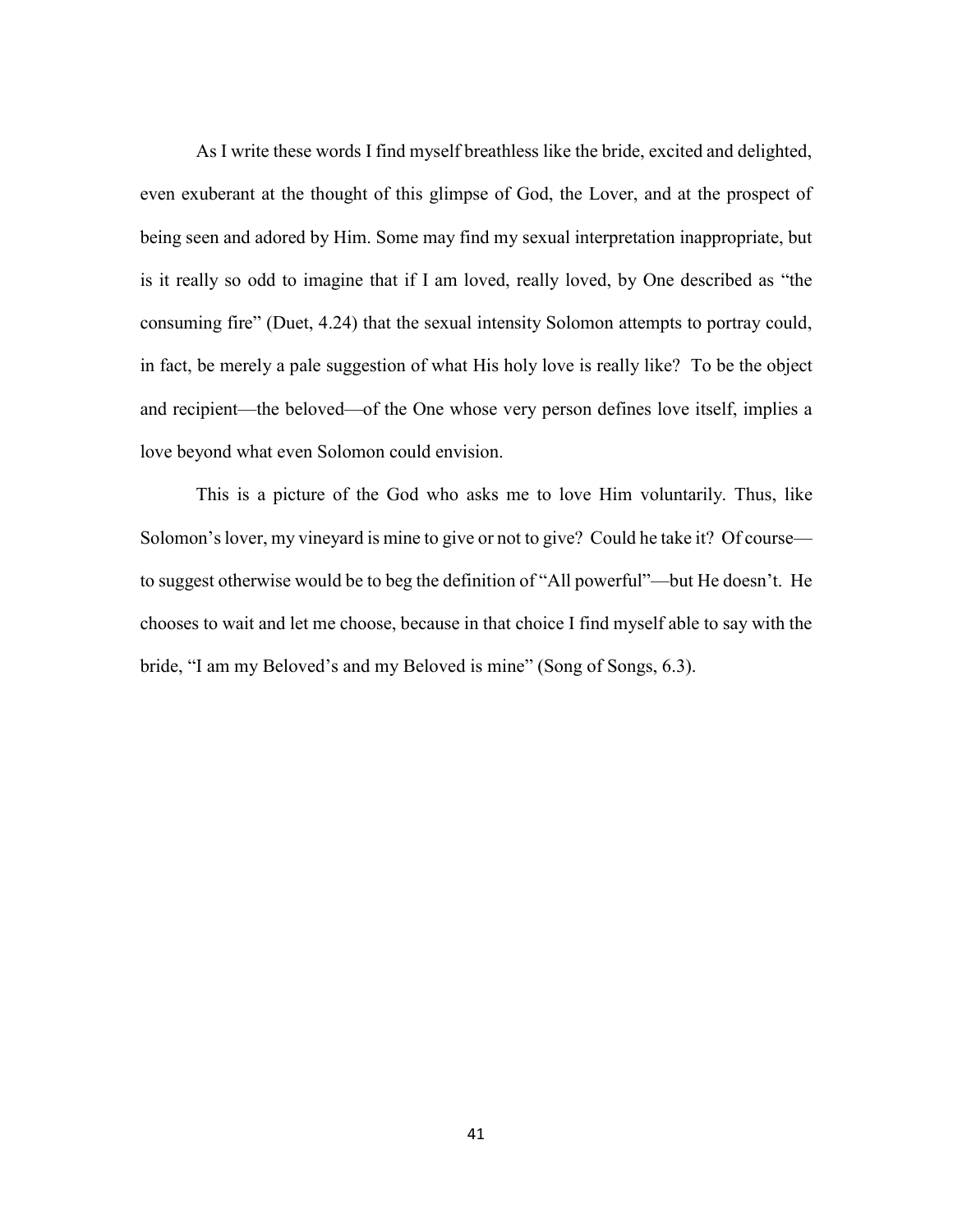As I write these words I find myself breathless like the bride, excited and delighted, even exuberant at the thought of this glimpse of God, the Lover, and at the prospect of being seen and adored by Him. Some may find my sexual interpretation inappropriate, but is it really so odd to imagine that if I am loved, really loved, by One described as "the consuming fire" (Duet, 4.24) that the sexual intensity Solomon attempts to portray could, in fact, be merely a pale suggestion of what His holy love is really like? To be the object and recipient—the beloved—of the One whose very person defines love itself, implies a love beyond what even Solomon could envision.

This is a picture of the God who asks me to love Him voluntarily. Thus, like Solomon's lover, my vineyard is mine to give or not to give? Could he take it? Of course to suggest otherwise would be to beg the definition of "All powerful"—but He doesn't. He chooses to wait and let me choose, because in that choice I find myself able to say with the bride, "I am my Beloved's and my Beloved is mine" (Song of Songs, 6.3).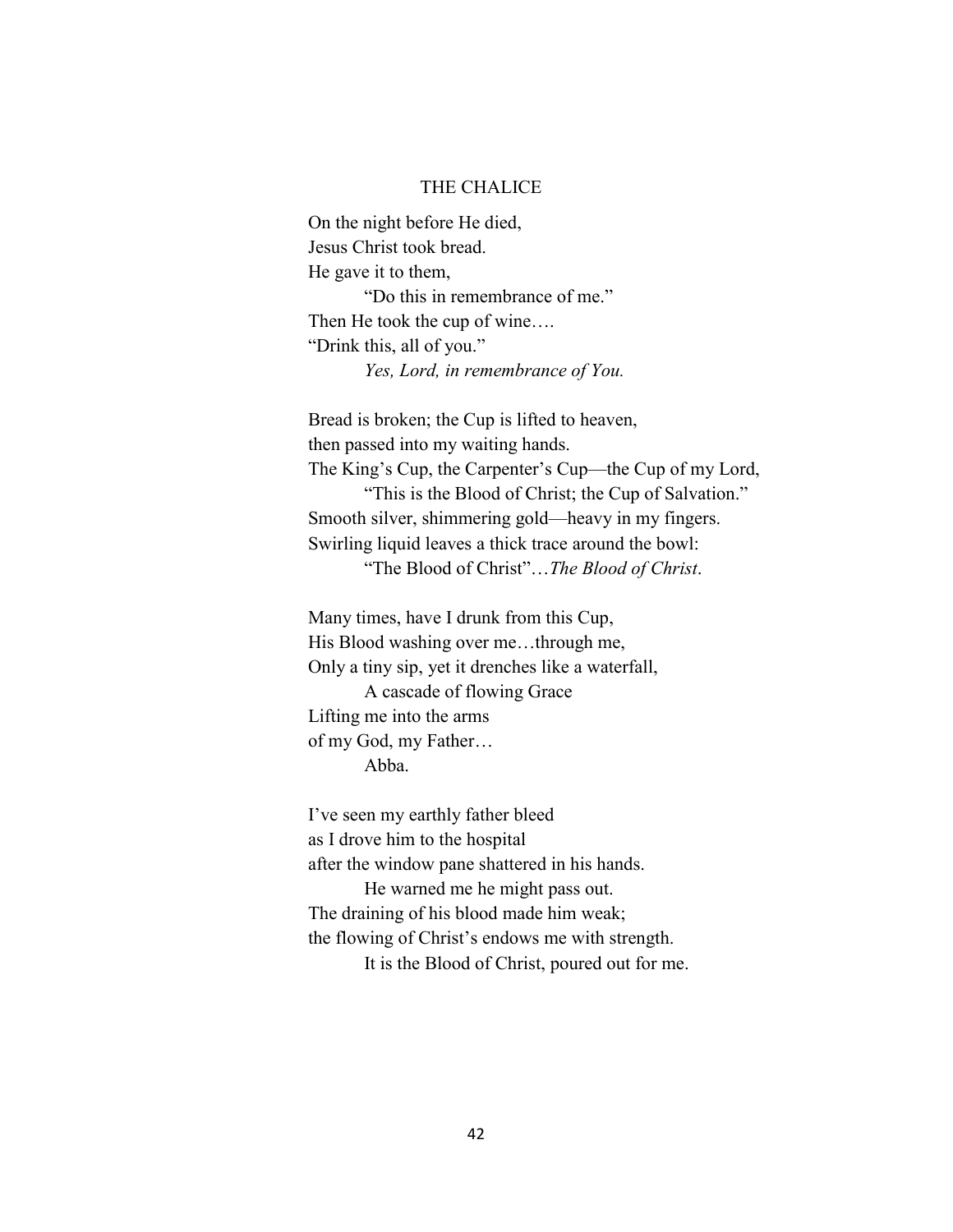## THE CHALICE

On the night before He died, Jesus Christ took bread. He gave it to them, "Do this in remembrance of me." Then He took the cup of wine…. "Drink this, all of you." *Yes, Lord, in remembrance of You.* 

Bread is broken; the Cup is lifted to heaven, then passed into my waiting hands. The King's Cup, the Carpenter's Cup—the Cup of my Lord, "This is the Blood of Christ; the Cup of Salvation." Smooth silver, shimmering gold—heavy in my fingers. Swirling liquid leaves a thick trace around the bowl: "The Blood of Christ"…*The Blood of Christ*.

Many times, have I drunk from this Cup, His Blood washing over me…through me, Only a tiny sip, yet it drenches like a waterfall, A cascade of flowing Grace Lifting me into the arms of my God, my Father… Abba.

I've seen my earthly father bleed as I drove him to the hospital after the window pane shattered in his hands. He warned me he might pass out. The draining of his blood made him weak; the flowing of Christ's endows me with strength. It is the Blood of Christ, poured out for me.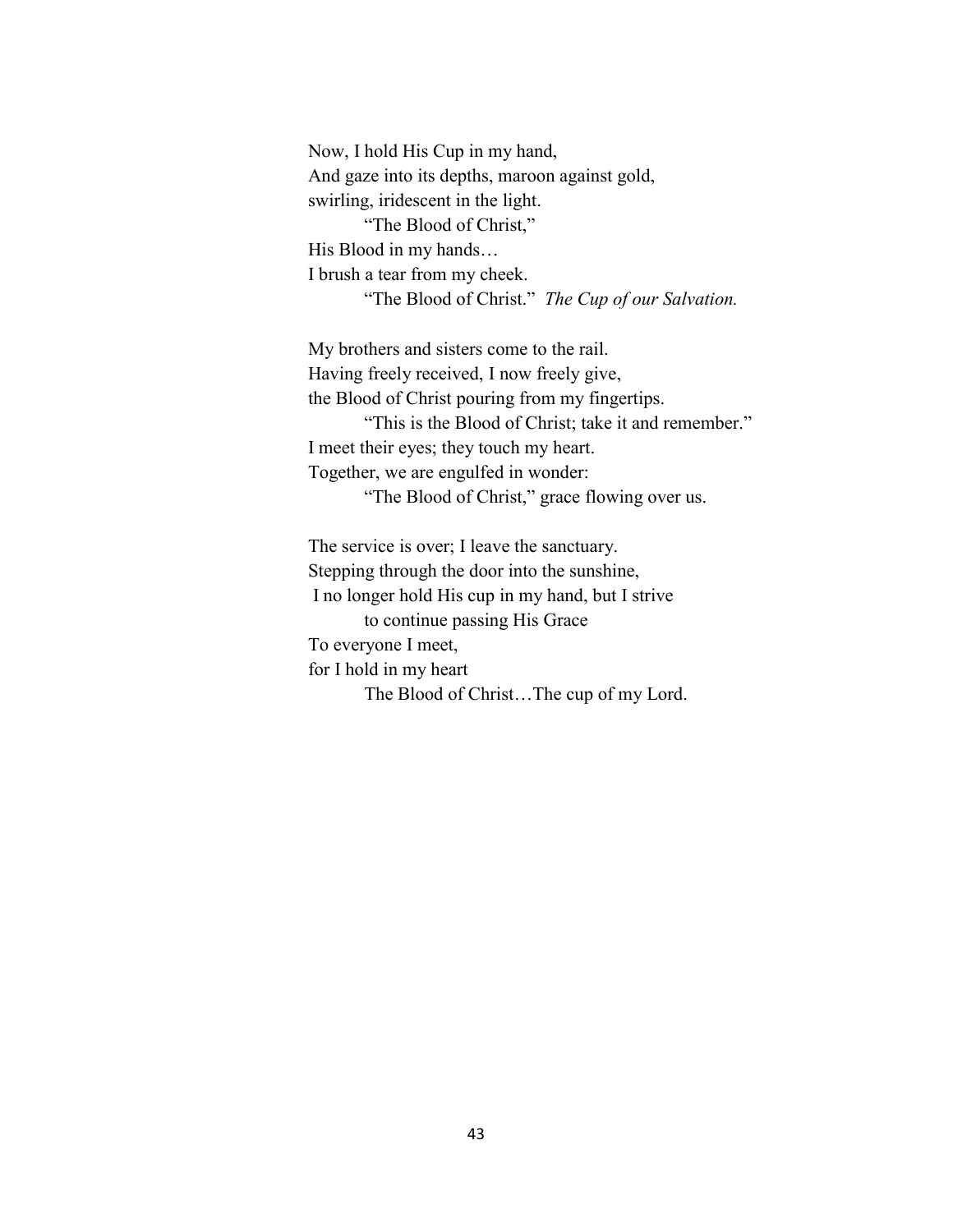Now, I hold His Cup in my hand, And gaze into its depths, maroon against gold, swirling, iridescent in the light. "The Blood of Christ," His Blood in my hands… I brush a tear from my cheek. "The Blood of Christ." *The Cup of our Salvation.*

My brothers and sisters come to the rail. Having freely received, I now freely give, the Blood of Christ pouring from my fingertips. "This is the Blood of Christ; take it and remember." I meet their eyes; they touch my heart. Together, we are engulfed in wonder: "The Blood of Christ," grace flowing over us.

The service is over; I leave the sanctuary. Stepping through the door into the sunshine, I no longer hold His cup in my hand, but I strive to continue passing His Grace To everyone I meet, for I hold in my heart The Blood of Christ…The cup of my Lord.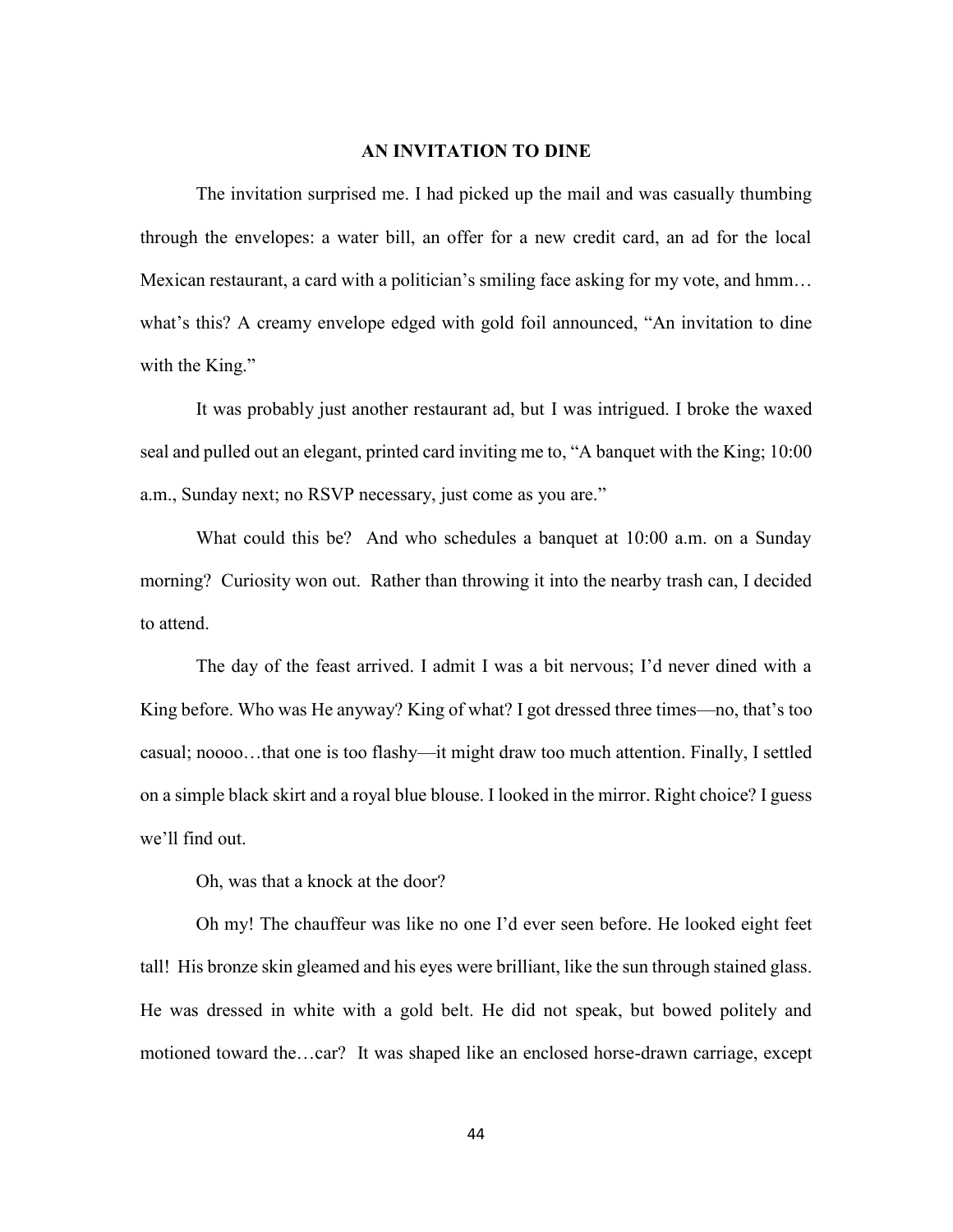#### **AN INVITATION TO DINE**

The invitation surprised me. I had picked up the mail and was casually thumbing through the envelopes: a water bill, an offer for a new credit card, an ad for the local Mexican restaurant, a card with a politician's smiling face asking for my vote, and hmm… what's this? A creamy envelope edged with gold foil announced, "An invitation to dine with the King."

It was probably just another restaurant ad, but I was intrigued. I broke the waxed seal and pulled out an elegant, printed card inviting me to, "A banquet with the King; 10:00 a.m., Sunday next; no RSVP necessary, just come as you are."

What could this be? And who schedules a banquet at 10:00 a.m. on a Sunday morning? Curiosity won out. Rather than throwing it into the nearby trash can, I decided to attend.

The day of the feast arrived. I admit I was a bit nervous; I'd never dined with a King before. Who was He anyway? King of what? I got dressed three times—no, that's too casual; noooo…that one is too flashy—it might draw too much attention. Finally, I settled on a simple black skirt and a royal blue blouse. I looked in the mirror. Right choice? I guess we'll find out.

Oh, was that a knock at the door?

Oh my! The chauffeur was like no one I'd ever seen before. He looked eight feet tall! His bronze skin gleamed and his eyes were brilliant, like the sun through stained glass. He was dressed in white with a gold belt. He did not speak, but bowed politely and motioned toward the…car? It was shaped like an enclosed horse-drawn carriage, except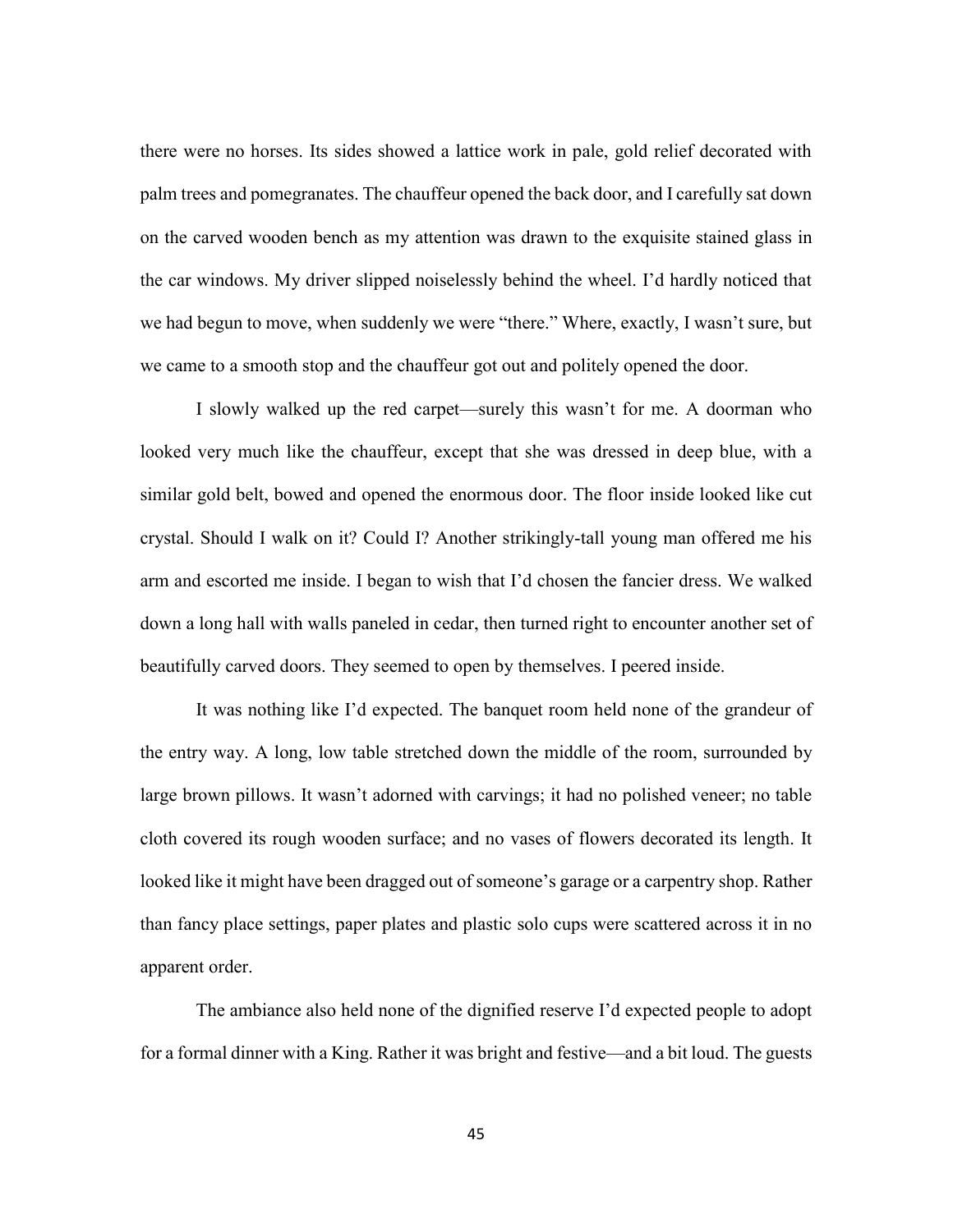there were no horses. Its sides showed a lattice work in pale, gold relief decorated with palm trees and pomegranates. The chauffeur opened the back door, and I carefully sat down on the carved wooden bench as my attention was drawn to the exquisite stained glass in the car windows. My driver slipped noiselessly behind the wheel. I'd hardly noticed that we had begun to move, when suddenly we were "there." Where, exactly, I wasn't sure, but we came to a smooth stop and the chauffeur got out and politely opened the door.

I slowly walked up the red carpet—surely this wasn't for me. A doorman who looked very much like the chauffeur, except that she was dressed in deep blue, with a similar gold belt, bowed and opened the enormous door. The floor inside looked like cut crystal. Should I walk on it? Could I? Another strikingly-tall young man offered me his arm and escorted me inside. I began to wish that I'd chosen the fancier dress. We walked down a long hall with walls paneled in cedar, then turned right to encounter another set of beautifully carved doors. They seemed to open by themselves. I peered inside.

It was nothing like I'd expected. The banquet room held none of the grandeur of the entry way. A long, low table stretched down the middle of the room, surrounded by large brown pillows. It wasn't adorned with carvings; it had no polished veneer; no table cloth covered its rough wooden surface; and no vases of flowers decorated its length. It looked like it might have been dragged out of someone's garage or a carpentry shop. Rather than fancy place settings, paper plates and plastic solo cups were scattered across it in no apparent order.

The ambiance also held none of the dignified reserve I'd expected people to adopt for a formal dinner with a King. Rather it was bright and festive—and a bit loud. The guests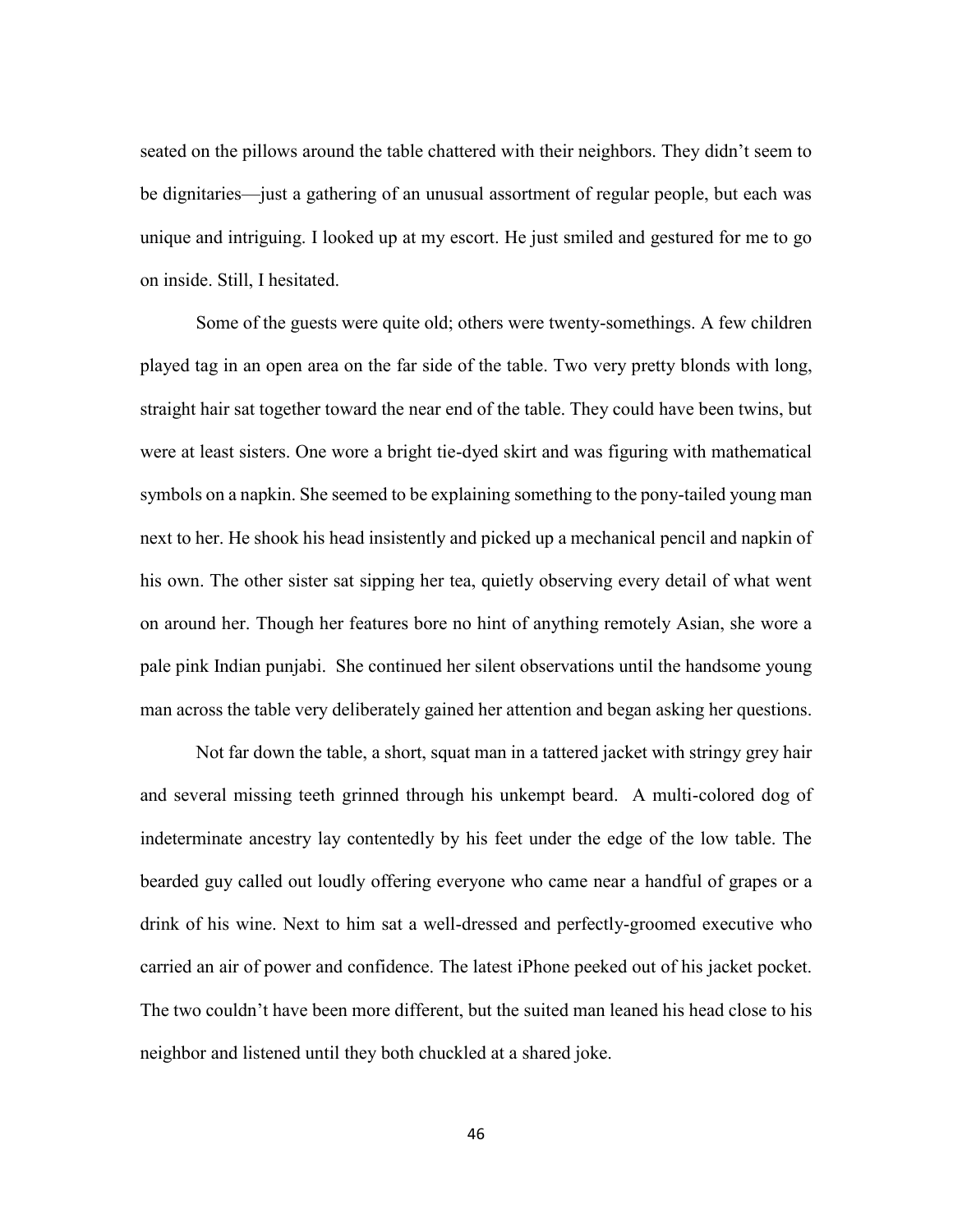seated on the pillows around the table chattered with their neighbors. They didn't seem to be dignitaries—just a gathering of an unusual assortment of regular people, but each was unique and intriguing. I looked up at my escort. He just smiled and gestured for me to go on inside. Still, I hesitated.

Some of the guests were quite old; others were twenty-somethings. A few children played tag in an open area on the far side of the table. Two very pretty blonds with long, straight hair sat together toward the near end of the table. They could have been twins, but were at least sisters. One wore a bright tie-dyed skirt and was figuring with mathematical symbols on a napkin. She seemed to be explaining something to the pony-tailed young man next to her. He shook his head insistently and picked up a mechanical pencil and napkin of his own. The other sister sat sipping her tea, quietly observing every detail of what went on around her. Though her features bore no hint of anything remotely Asian, she wore a pale pink Indian punjabi. She continued her silent observations until the handsome young man across the table very deliberately gained her attention and began asking her questions.

Not far down the table, a short, squat man in a tattered jacket with stringy grey hair and several missing teeth grinned through his unkempt beard. A multi-colored dog of indeterminate ancestry lay contentedly by his feet under the edge of the low table. The bearded guy called out loudly offering everyone who came near a handful of grapes or a drink of his wine. Next to him sat a well-dressed and perfectly-groomed executive who carried an air of power and confidence. The latest iPhone peeked out of his jacket pocket. The two couldn't have been more different, but the suited man leaned his head close to his neighbor and listened until they both chuckled at a shared joke.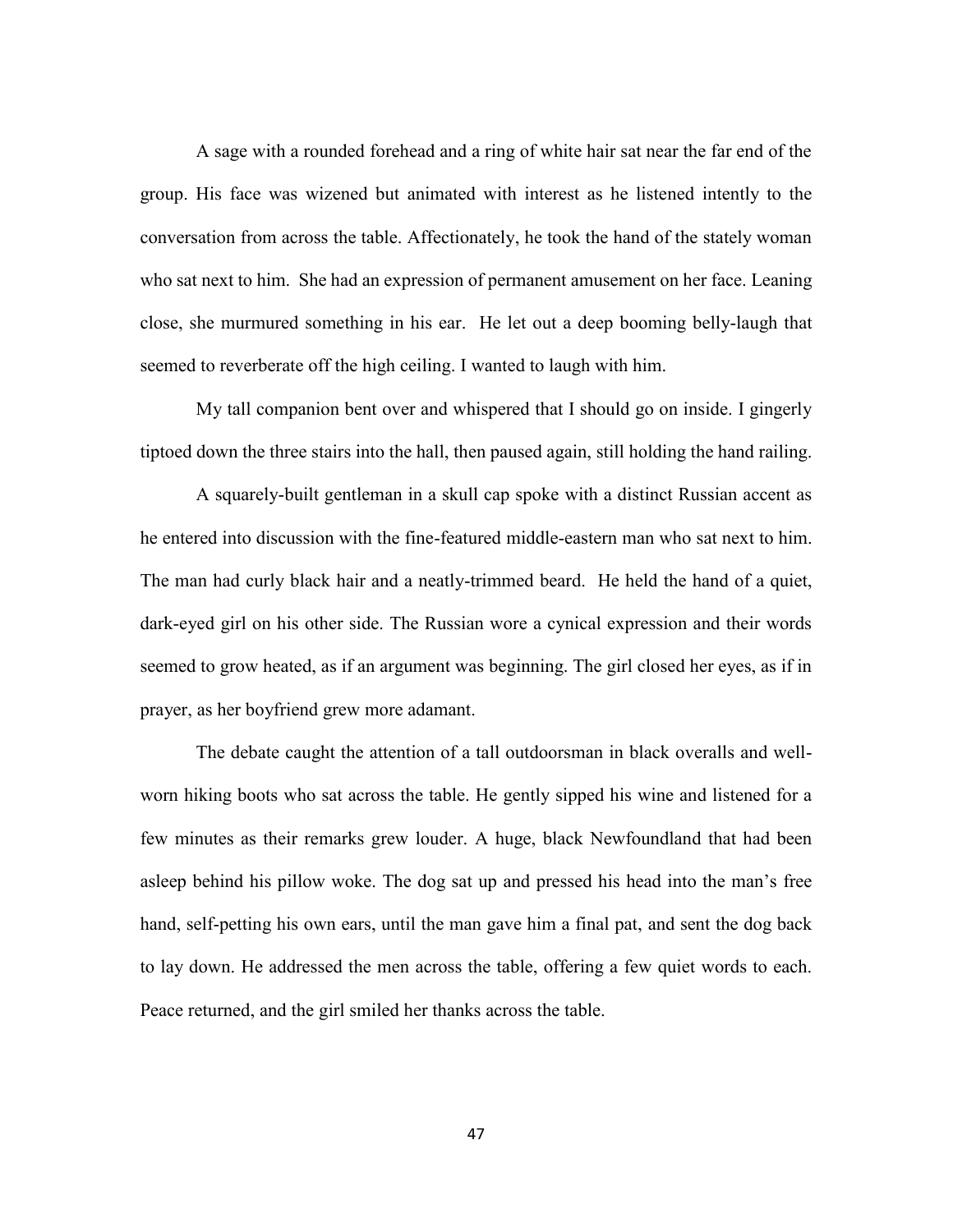A sage with a rounded forehead and a ring of white hair sat near the far end of the group. His face was wizened but animated with interest as he listened intently to the conversation from across the table. Affectionately, he took the hand of the stately woman who sat next to him. She had an expression of permanent amusement on her face. Leaning close, she murmured something in his ear. He let out a deep booming belly-laugh that seemed to reverberate off the high ceiling. I wanted to laugh with him.

My tall companion bent over and whispered that I should go on inside. I gingerly tiptoed down the three stairs into the hall, then paused again, still holding the hand railing.

A squarely-built gentleman in a skull cap spoke with a distinct Russian accent as he entered into discussion with the fine-featured middle-eastern man who sat next to him. The man had curly black hair and a neatly-trimmed beard. He held the hand of a quiet, dark-eyed girl on his other side. The Russian wore a cynical expression and their words seemed to grow heated, as if an argument was beginning. The girl closed her eyes, as if in prayer, as her boyfriend grew more adamant.

The debate caught the attention of a tall outdoorsman in black overalls and wellworn hiking boots who sat across the table. He gently sipped his wine and listened for a few minutes as their remarks grew louder. A huge, black Newfoundland that had been asleep behind his pillow woke. The dog sat up and pressed his head into the man's free hand, self-petting his own ears, until the man gave him a final pat, and sent the dog back to lay down. He addressed the men across the table, offering a few quiet words to each. Peace returned, and the girl smiled her thanks across the table.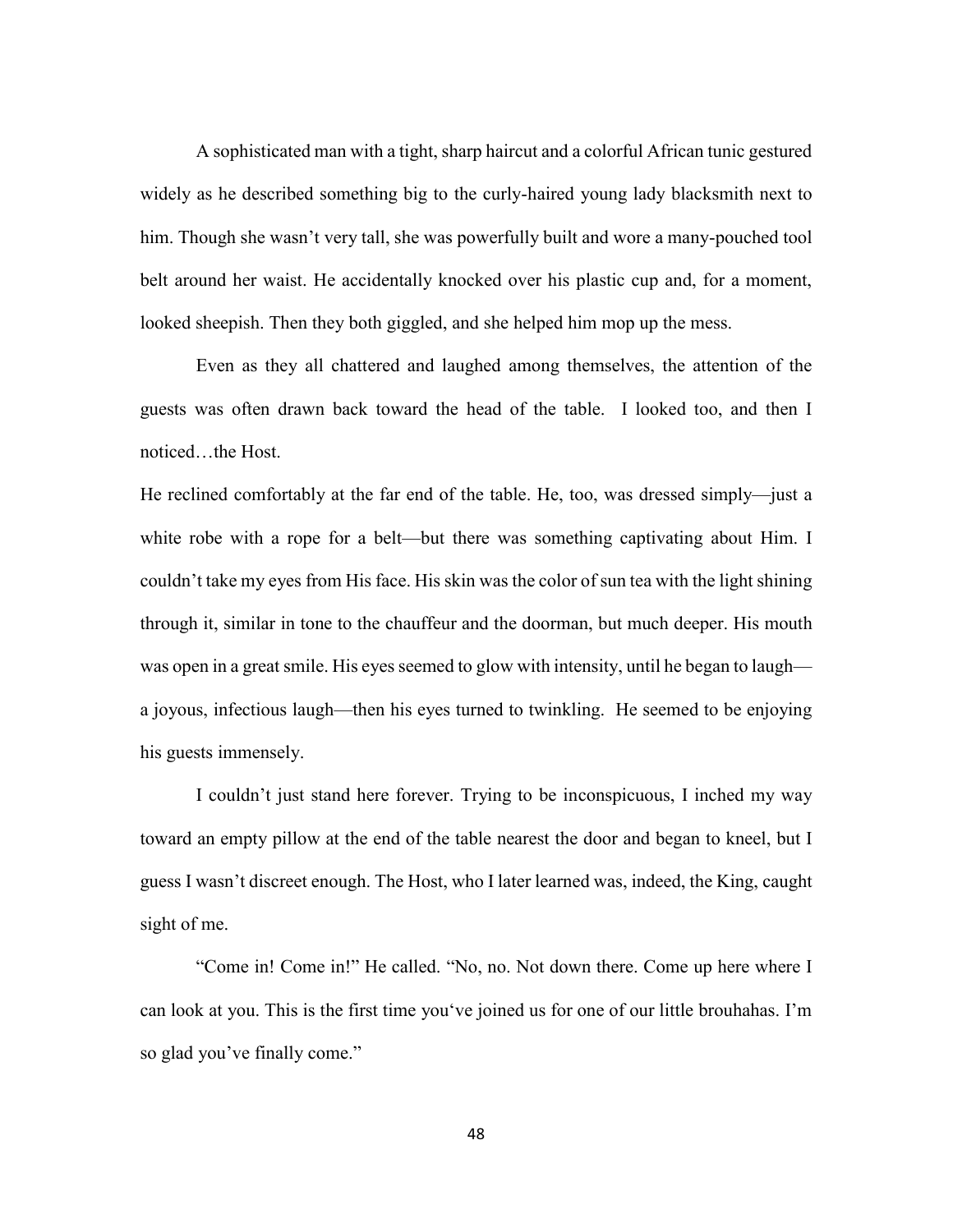A sophisticated man with a tight, sharp haircut and a colorful African tunic gestured widely as he described something big to the curly-haired young lady blacksmith next to him. Though she wasn't very tall, she was powerfully built and wore a many-pouched tool belt around her waist. He accidentally knocked over his plastic cup and, for a moment, looked sheepish. Then they both giggled, and she helped him mop up the mess.

Even as they all chattered and laughed among themselves, the attention of the guests was often drawn back toward the head of the table. I looked too, and then I noticed…the Host.

He reclined comfortably at the far end of the table. He, too, was dressed simply—just a white robe with a rope for a belt—but there was something captivating about Him. I couldn't take my eyes from His face. His skin was the color of sun tea with the light shining through it, similar in tone to the chauffeur and the doorman, but much deeper. His mouth was open in a great smile. His eyes seemed to glow with intensity, until he began to laugh a joyous, infectious laugh—then his eyes turned to twinkling. He seemed to be enjoying his guests immensely.

I couldn't just stand here forever. Trying to be inconspicuous, I inched my way toward an empty pillow at the end of the table nearest the door and began to kneel, but I guess I wasn't discreet enough. The Host, who I later learned was, indeed, the King, caught sight of me.

"Come in! Come in!" He called. "No, no. Not down there. Come up here where I can look at you. This is the first time you've joined us for one of our little brouhahas. I'm so glad you've finally come."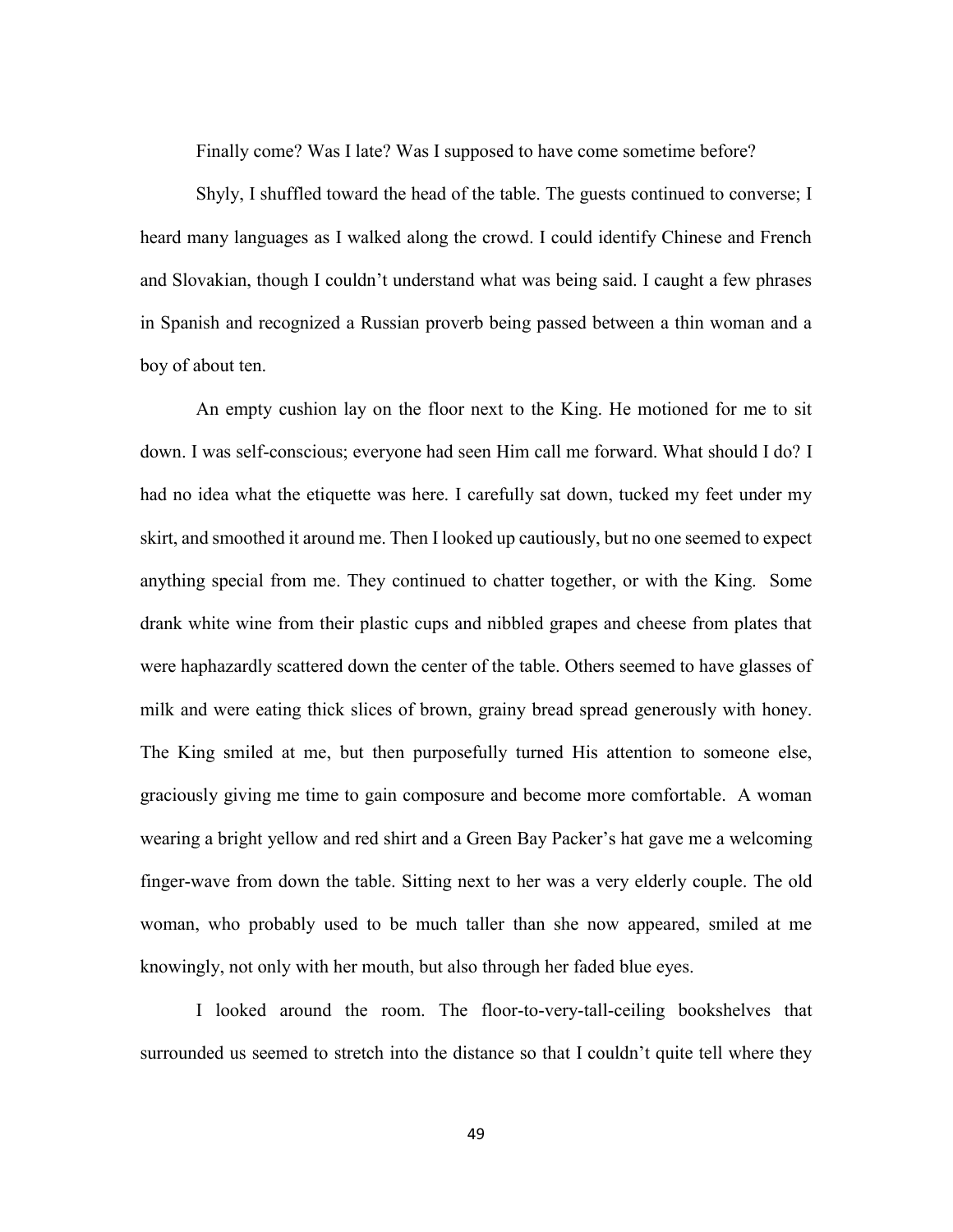Finally come? Was I late? Was I supposed to have come sometime before?

Shyly, I shuffled toward the head of the table. The guests continued to converse; I heard many languages as I walked along the crowd. I could identify Chinese and French and Slovakian, though I couldn't understand what was being said. I caught a few phrases in Spanish and recognized a Russian proverb being passed between a thin woman and a boy of about ten.

An empty cushion lay on the floor next to the King. He motioned for me to sit down. I was self-conscious; everyone had seen Him call me forward. What should I do? I had no idea what the etiquette was here. I carefully sat down, tucked my feet under my skirt, and smoothed it around me. Then I looked up cautiously, but no one seemed to expect anything special from me. They continued to chatter together, or with the King. Some drank white wine from their plastic cups and nibbled grapes and cheese from plates that were haphazardly scattered down the center of the table. Others seemed to have glasses of milk and were eating thick slices of brown, grainy bread spread generously with honey. The King smiled at me, but then purposefully turned His attention to someone else, graciously giving me time to gain composure and become more comfortable. A woman wearing a bright yellow and red shirt and a Green Bay Packer's hat gave me a welcoming finger-wave from down the table. Sitting next to her was a very elderly couple. The old woman, who probably used to be much taller than she now appeared, smiled at me knowingly, not only with her mouth, but also through her faded blue eyes.

I looked around the room. The floor-to-very-tall-ceiling bookshelves that surrounded us seemed to stretch into the distance so that I couldn't quite tell where they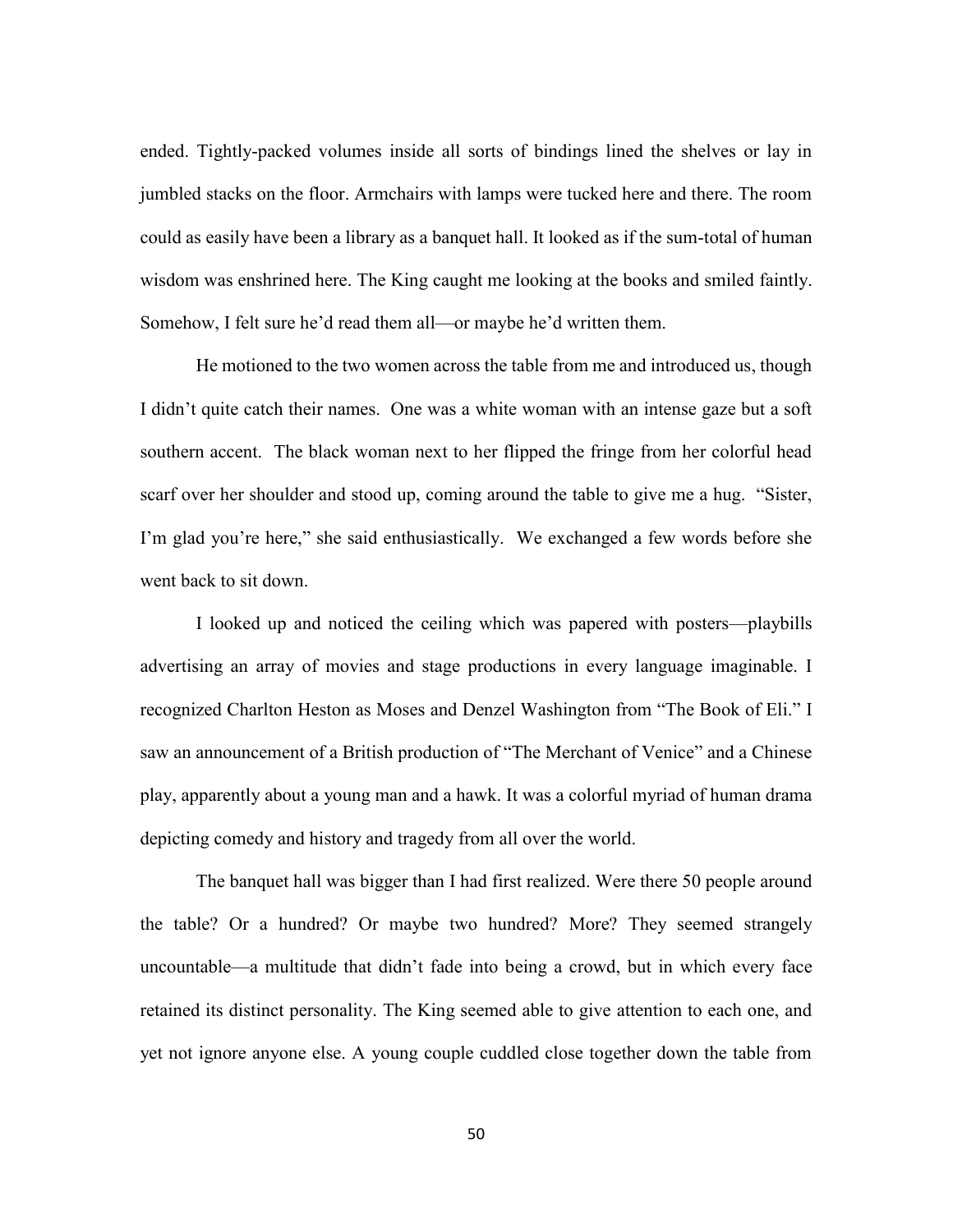ended. Tightly-packed volumes inside all sorts of bindings lined the shelves or lay in jumbled stacks on the floor. Armchairs with lamps were tucked here and there. The room could as easily have been a library as a banquet hall. It looked as if the sum-total of human wisdom was enshrined here. The King caught me looking at the books and smiled faintly. Somehow, I felt sure he'd read them all—or maybe he'd written them.

He motioned to the two women across the table from me and introduced us, though I didn't quite catch their names. One was a white woman with an intense gaze but a soft southern accent. The black woman next to her flipped the fringe from her colorful head scarf over her shoulder and stood up, coming around the table to give me a hug. "Sister, I'm glad you're here," she said enthusiastically. We exchanged a few words before she went back to sit down.

I looked up and noticed the ceiling which was papered with posters—playbills advertising an array of movies and stage productions in every language imaginable. I recognized Charlton Heston as Moses and Denzel Washington from "The Book of Eli." I saw an announcement of a British production of "The Merchant of Venice" and a Chinese play, apparently about a young man and a hawk. It was a colorful myriad of human drama depicting comedy and history and tragedy from all over the world.

The banquet hall was bigger than I had first realized. Were there 50 people around the table? Or a hundred? Or maybe two hundred? More? They seemed strangely uncountable—a multitude that didn't fade into being a crowd, but in which every face retained its distinct personality. The King seemed able to give attention to each one, and yet not ignore anyone else. A young couple cuddled close together down the table from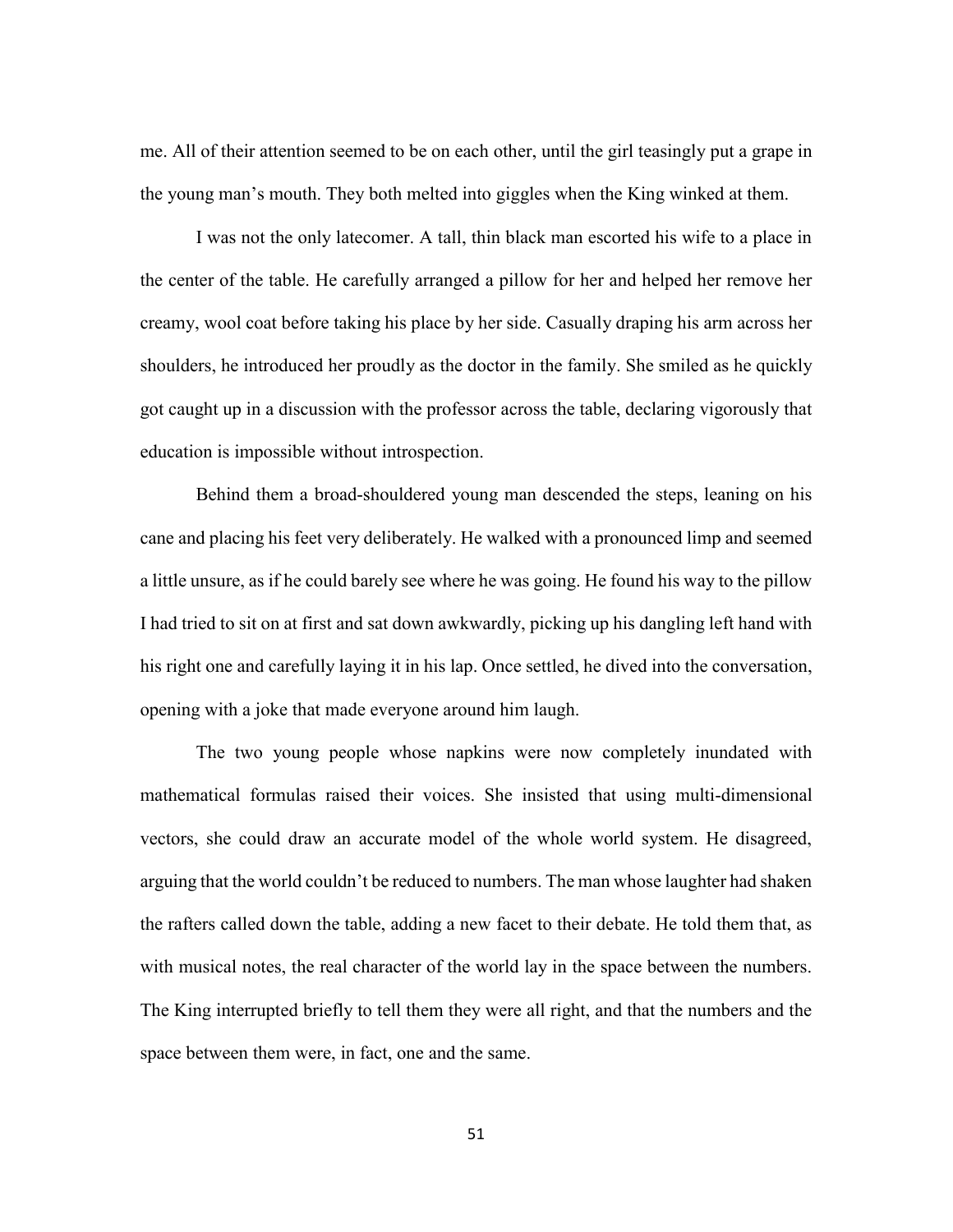me. All of their attention seemed to be on each other, until the girl teasingly put a grape in the young man's mouth. They both melted into giggles when the King winked at them.

I was not the only latecomer. A tall, thin black man escorted his wife to a place in the center of the table. He carefully arranged a pillow for her and helped her remove her creamy, wool coat before taking his place by her side. Casually draping his arm across her shoulders, he introduced her proudly as the doctor in the family. She smiled as he quickly got caught up in a discussion with the professor across the table, declaring vigorously that education is impossible without introspection.

Behind them a broad-shouldered young man descended the steps, leaning on his cane and placing his feet very deliberately. He walked with a pronounced limp and seemed a little unsure, as if he could barely see where he was going. He found his way to the pillow I had tried to sit on at first and sat down awkwardly, picking up his dangling left hand with his right one and carefully laying it in his lap. Once settled, he dived into the conversation, opening with a joke that made everyone around him laugh.

The two young people whose napkins were now completely inundated with mathematical formulas raised their voices. She insisted that using multi-dimensional vectors, she could draw an accurate model of the whole world system. He disagreed, arguing that the world couldn't be reduced to numbers. The man whose laughter had shaken the rafters called down the table, adding a new facet to their debate. He told them that, as with musical notes, the real character of the world lay in the space between the numbers. The King interrupted briefly to tell them they were all right, and that the numbers and the space between them were, in fact, one and the same.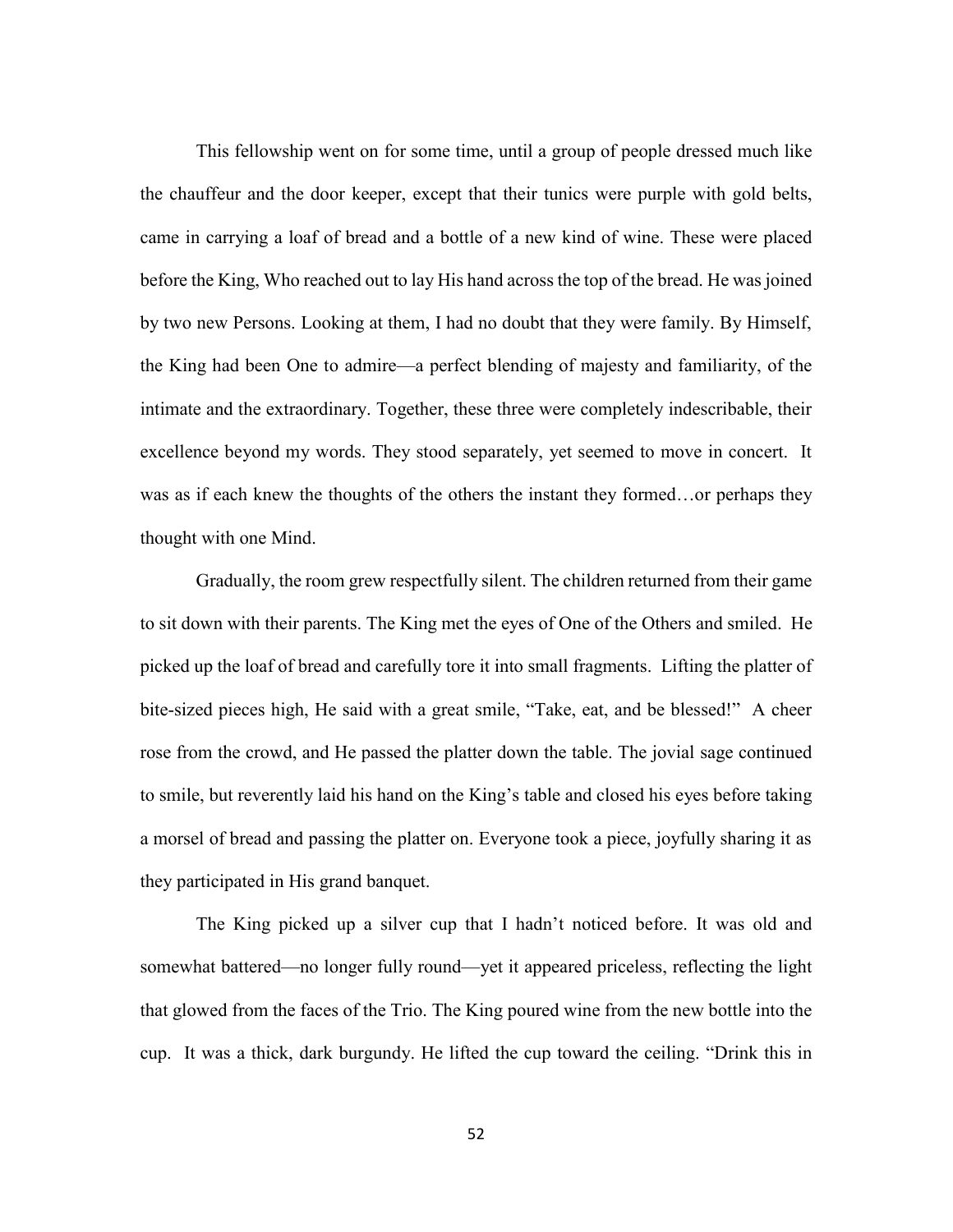This fellowship went on for some time, until a group of people dressed much like the chauffeur and the door keeper, except that their tunics were purple with gold belts, came in carrying a loaf of bread and a bottle of a new kind of wine. These were placed before the King, Who reached out to lay His hand across the top of the bread. He was joined by two new Persons. Looking at them, I had no doubt that they were family. By Himself, the King had been One to admire—a perfect blending of majesty and familiarity, of the intimate and the extraordinary. Together, these three were completely indescribable, their excellence beyond my words. They stood separately, yet seemed to move in concert. It was as if each knew the thoughts of the others the instant they formed…or perhaps they thought with one Mind.

Gradually, the room grew respectfully silent. The children returned from their game to sit down with their parents. The King met the eyes of One of the Others and smiled. He picked up the loaf of bread and carefully tore it into small fragments. Lifting the platter of bite-sized pieces high, He said with a great smile, "Take, eat, and be blessed!" A cheer rose from the crowd, and He passed the platter down the table. The jovial sage continued to smile, but reverently laid his hand on the King's table and closed his eyes before taking a morsel of bread and passing the platter on. Everyone took a piece, joyfully sharing it as they participated in His grand banquet.

The King picked up a silver cup that I hadn't noticed before. It was old and somewhat battered—no longer fully round—yet it appeared priceless, reflecting the light that glowed from the faces of the Trio. The King poured wine from the new bottle into the cup. It was a thick, dark burgundy. He lifted the cup toward the ceiling. "Drink this in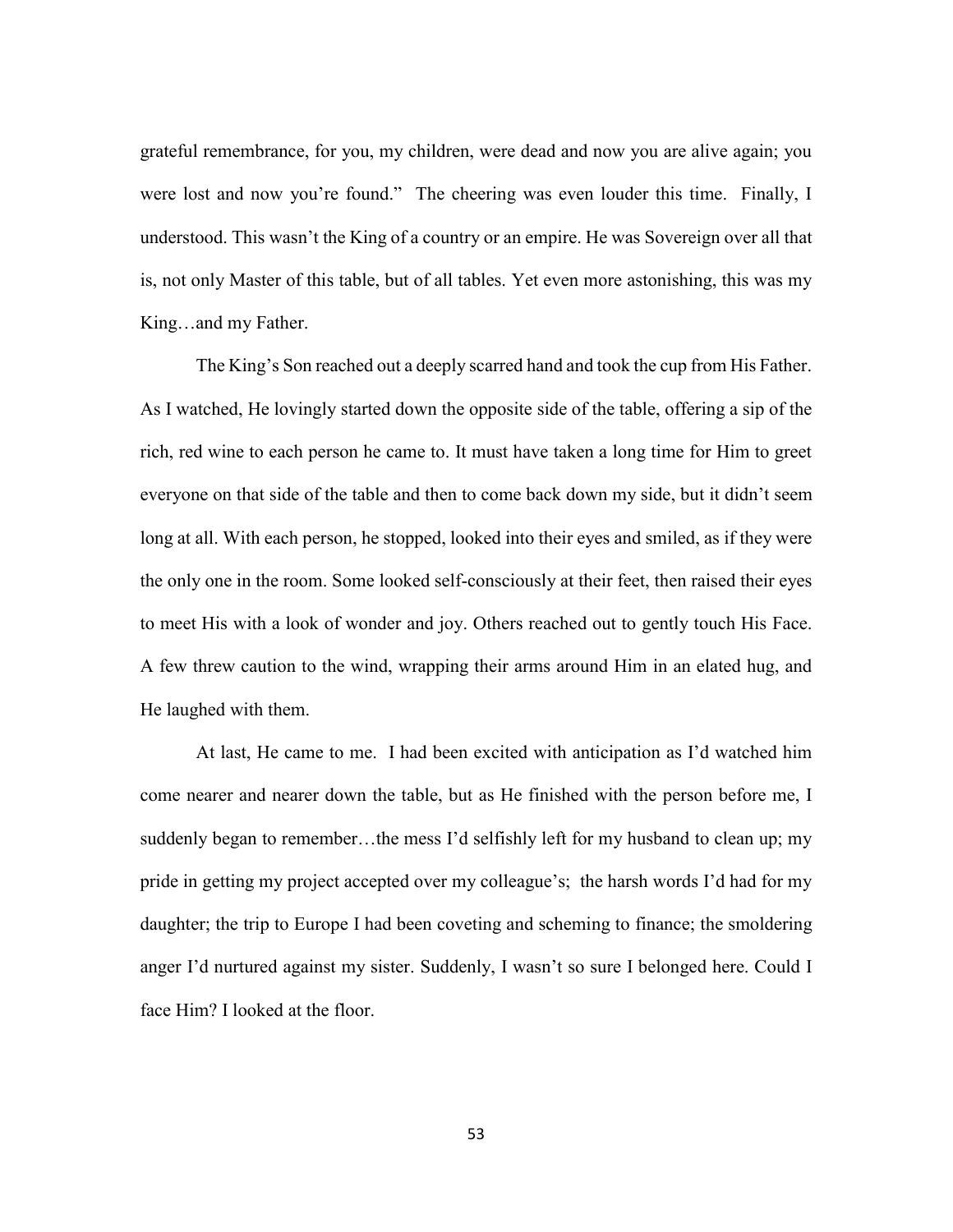grateful remembrance, for you, my children, were dead and now you are alive again; you were lost and now you're found." The cheering was even louder this time. Finally, I understood. This wasn't the King of a country or an empire. He was Sovereign over all that is, not only Master of this table, but of all tables. Yet even more astonishing, this was my King…and my Father.

The King's Son reached out a deeply scarred hand and took the cup from His Father. As I watched, He lovingly started down the opposite side of the table, offering a sip of the rich, red wine to each person he came to. It must have taken a long time for Him to greet everyone on that side of the table and then to come back down my side, but it didn't seem long at all. With each person, he stopped, looked into their eyes and smiled, as if they were the only one in the room. Some looked self-consciously at their feet, then raised their eyes to meet His with a look of wonder and joy. Others reached out to gently touch His Face. A few threw caution to the wind, wrapping their arms around Him in an elated hug, and He laughed with them.

At last, He came to me. I had been excited with anticipation as I'd watched him come nearer and nearer down the table, but as He finished with the person before me, I suddenly began to remember…the mess I'd selfishly left for my husband to clean up; my pride in getting my project accepted over my colleague's; the harsh words I'd had for my daughter; the trip to Europe I had been coveting and scheming to finance; the smoldering anger I'd nurtured against my sister. Suddenly, I wasn't so sure I belonged here. Could I face Him? I looked at the floor.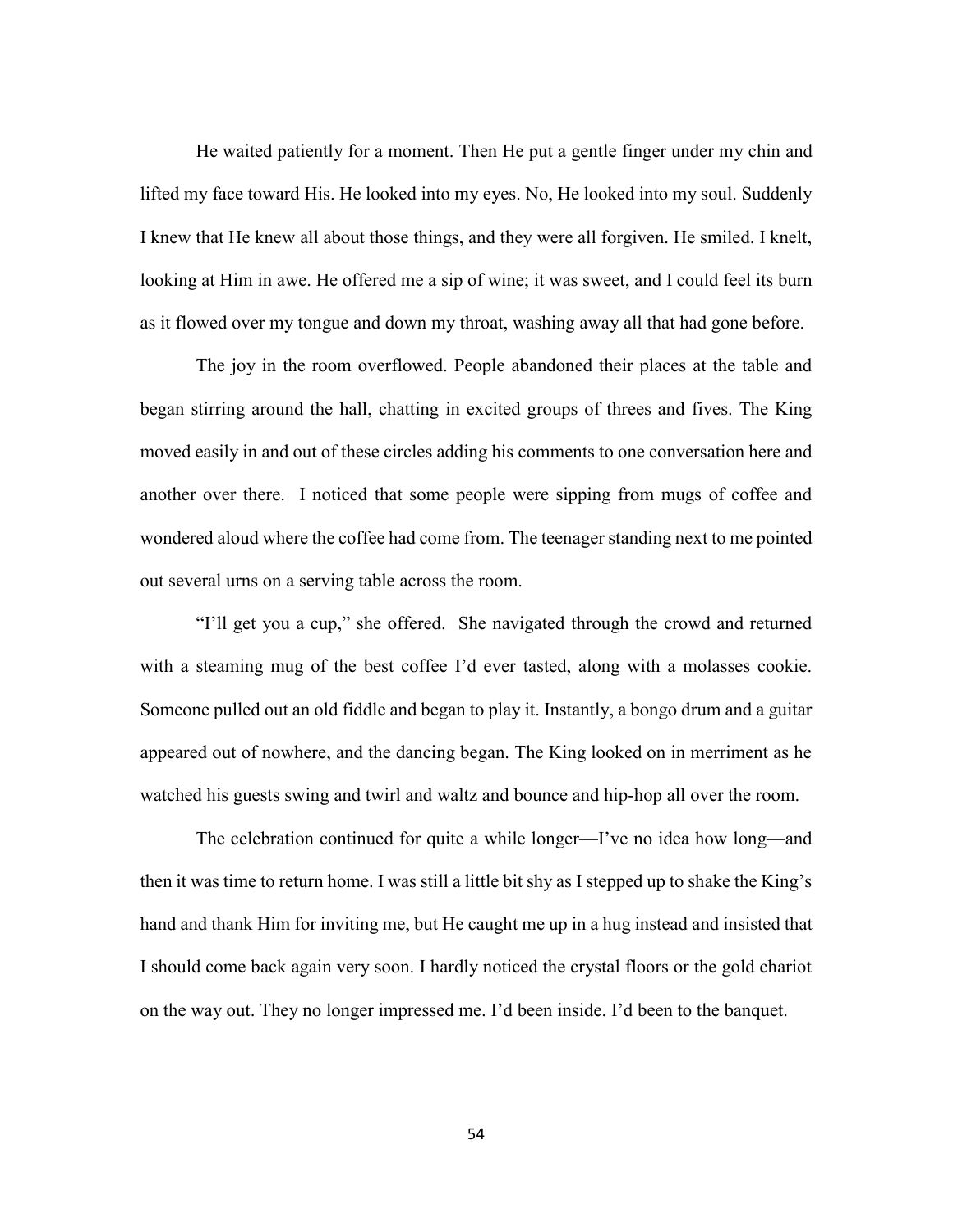He waited patiently for a moment. Then He put a gentle finger under my chin and lifted my face toward His. He looked into my eyes. No, He looked into my soul. Suddenly I knew that He knew all about those things, and they were all forgiven. He smiled. I knelt, looking at Him in awe. He offered me a sip of wine; it was sweet, and I could feel its burn as it flowed over my tongue and down my throat, washing away all that had gone before.

The joy in the room overflowed. People abandoned their places at the table and began stirring around the hall, chatting in excited groups of threes and fives. The King moved easily in and out of these circles adding his comments to one conversation here and another over there. I noticed that some people were sipping from mugs of coffee and wondered aloud where the coffee had come from. The teenager standing next to me pointed out several urns on a serving table across the room.

"I'll get you a cup," she offered. She navigated through the crowd and returned with a steaming mug of the best coffee I'd ever tasted, along with a molasses cookie. Someone pulled out an old fiddle and began to play it. Instantly, a bongo drum and a guitar appeared out of nowhere, and the dancing began. The King looked on in merriment as he watched his guests swing and twirl and waltz and bounce and hip-hop all over the room.

The celebration continued for quite a while longer—I've no idea how long—and then it was time to return home. I was still a little bit shy as I stepped up to shake the King's hand and thank Him for inviting me, but He caught me up in a hug instead and insisted that I should come back again very soon. I hardly noticed the crystal floors or the gold chariot on the way out. They no longer impressed me. I'd been inside. I'd been to the banquet.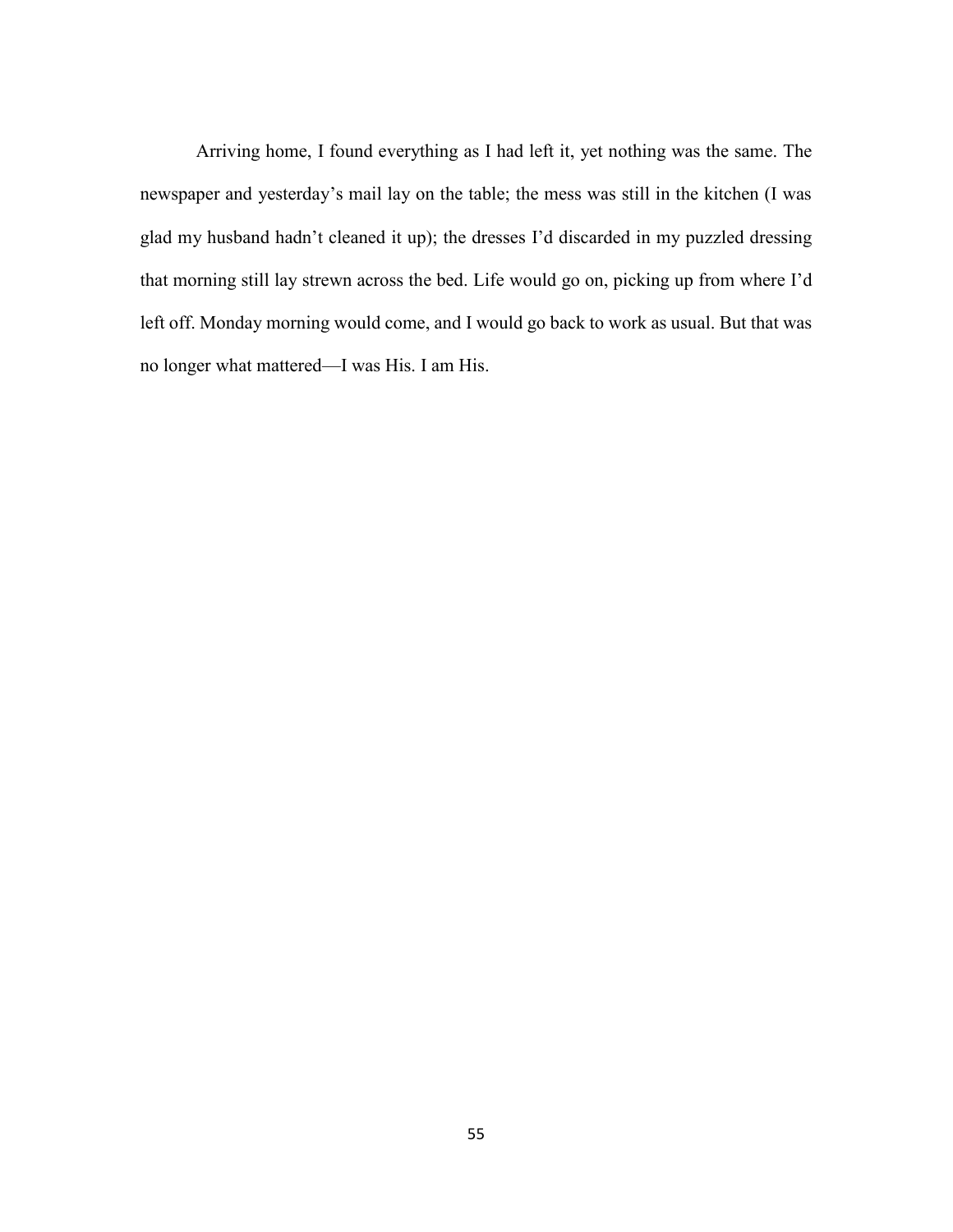Arriving home, I found everything as I had left it, yet nothing was the same. The newspaper and yesterday's mail lay on the table; the mess was still in the kitchen (I was glad my husband hadn't cleaned it up); the dresses I'd discarded in my puzzled dressing that morning still lay strewn across the bed. Life would go on, picking up from where I'd left off. Monday morning would come, and I would go back to work as usual. But that was no longer what mattered—I was His. I am His.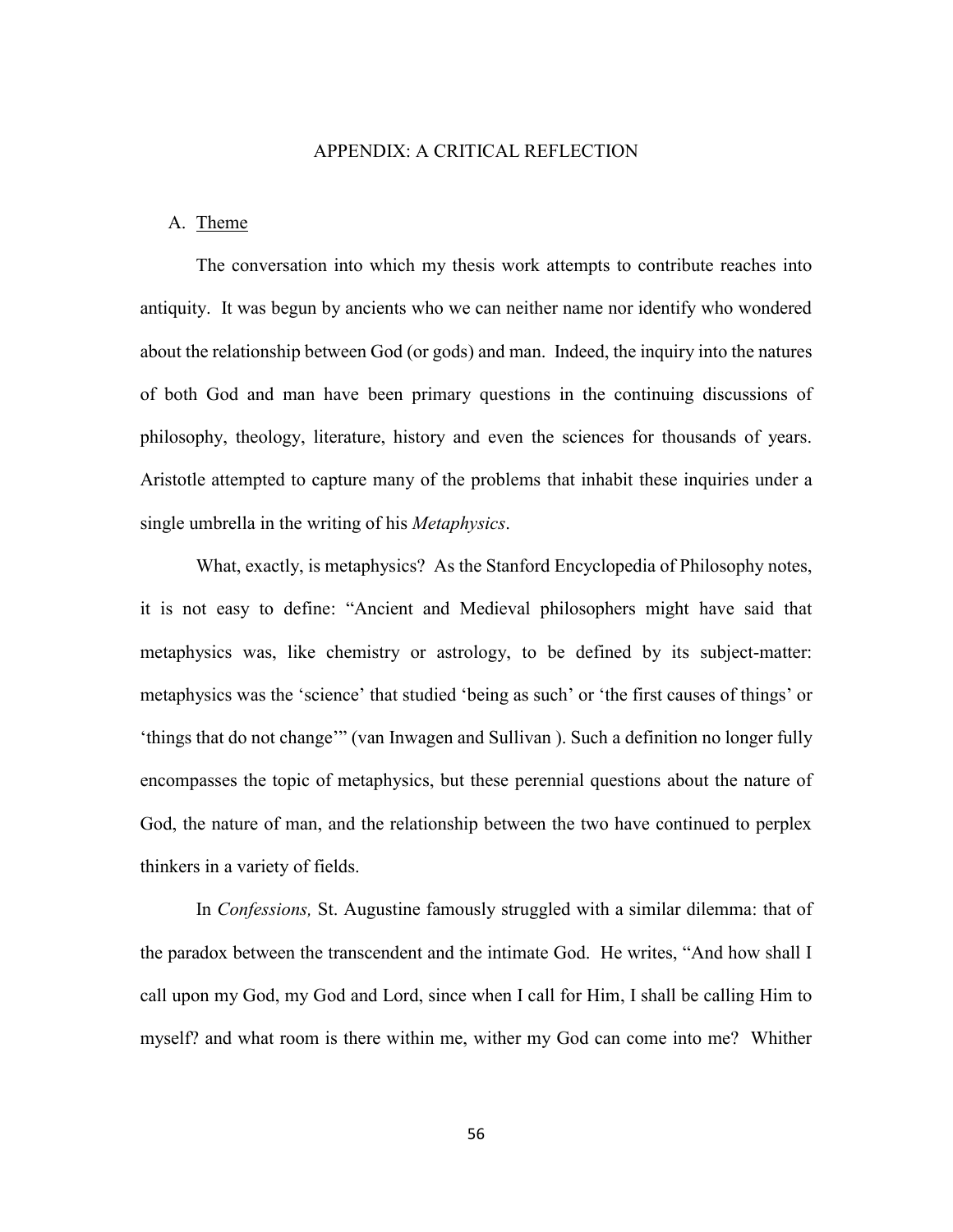#### APPENDIX: A CRITICAL REFLECTION

### A. Theme

The conversation into which my thesis work attempts to contribute reaches into antiquity. It was begun by ancients who we can neither name nor identify who wondered about the relationship between God (or gods) and man. Indeed, the inquiry into the natures of both God and man have been primary questions in the continuing discussions of philosophy, theology, literature, history and even the sciences for thousands of years. Aristotle attempted to capture many of the problems that inhabit these inquiries under a single umbrella in the writing of his *Metaphysics*.

What, exactly, is metaphysics? As the Stanford Encyclopedia of Philosophy notes, it is not easy to define: "Ancient and Medieval philosophers might have said that metaphysics was, like chemistry or astrology, to be defined by its subject-matter: metaphysics was the 'science' that studied 'being as such' or 'the first causes of things' or 'things that do not change'" (van Inwagen and Sullivan ). Such a definition no longer fully encompasses the topic of metaphysics, but these perennial questions about the nature of God, the nature of man, and the relationship between the two have continued to perplex thinkers in a variety of fields.

In *Confessions,* St. Augustine famously struggled with a similar dilemma: that of the paradox between the transcendent and the intimate God. He writes, "And how shall I call upon my God, my God and Lord, since when I call for Him, I shall be calling Him to myself? and what room is there within me, wither my God can come into me? Whither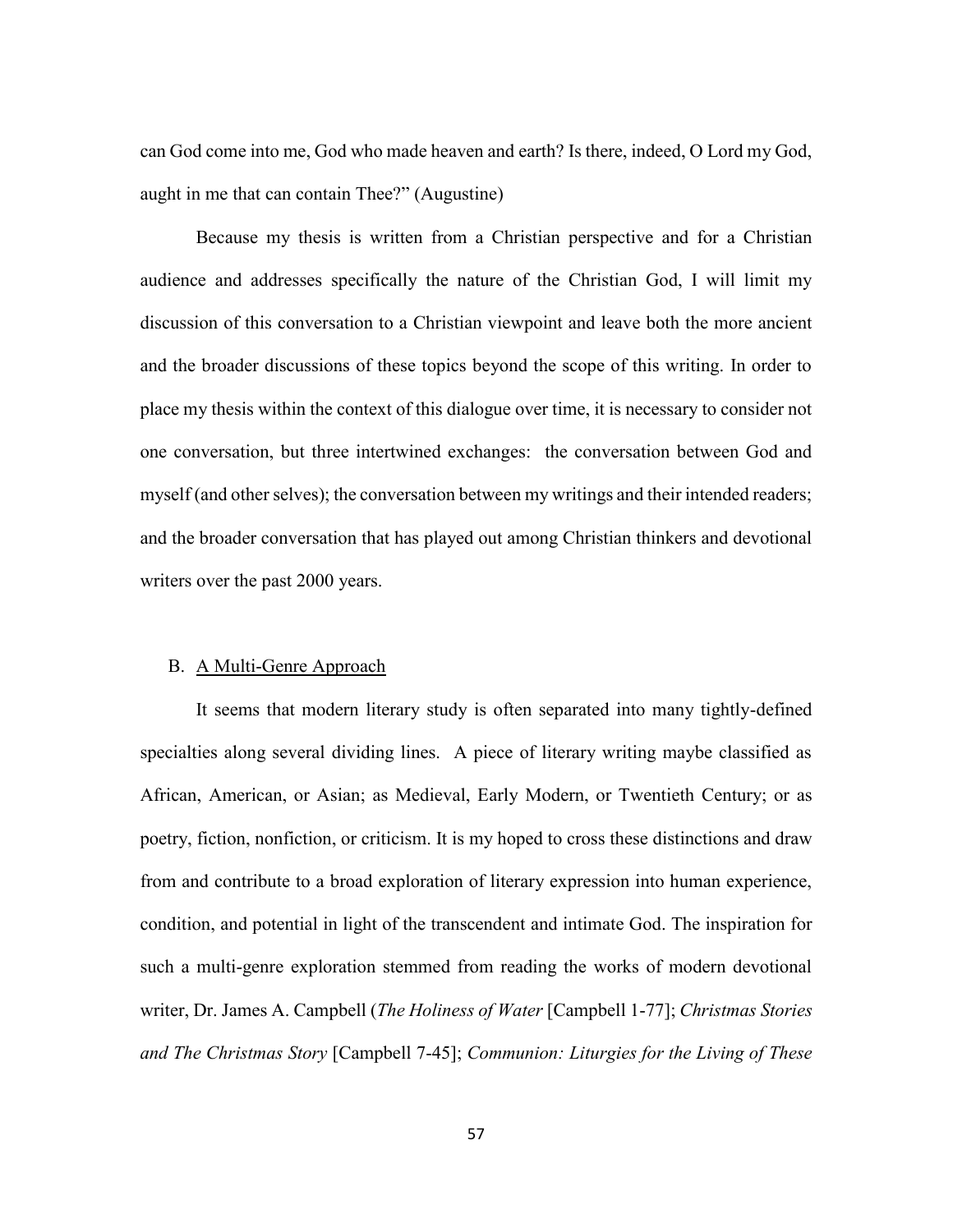can God come into me, God who made heaven and earth? Is there, indeed, O Lord my God, aught in me that can contain Thee?" (Augustine)

Because my thesis is written from a Christian perspective and for a Christian audience and addresses specifically the nature of the Christian God, I will limit my discussion of this conversation to a Christian viewpoint and leave both the more ancient and the broader discussions of these topics beyond the scope of this writing. In order to place my thesis within the context of this dialogue over time, it is necessary to consider not one conversation, but three intertwined exchanges: the conversation between God and myself (and other selves); the conversation between my writings and their intended readers; and the broader conversation that has played out among Christian thinkers and devotional writers over the past 2000 years.

# B. A Multi-Genre Approach

It seems that modern literary study is often separated into many tightly-defined specialties along several dividing lines. A piece of literary writing maybe classified as African, American, or Asian; as Medieval, Early Modern, or Twentieth Century; or as poetry, fiction, nonfiction, or criticism. It is my hoped to cross these distinctions and draw from and contribute to a broad exploration of literary expression into human experience, condition, and potential in light of the transcendent and intimate God. The inspiration for such a multi-genre exploration stemmed from reading the works of modern devotional writer, Dr. James A. Campbell (*The Holiness of Water* [Campbell 1-77]; *Christmas Stories and The Christmas Story* [Campbell 7-45]; *Communion: Liturgies for the Living of These*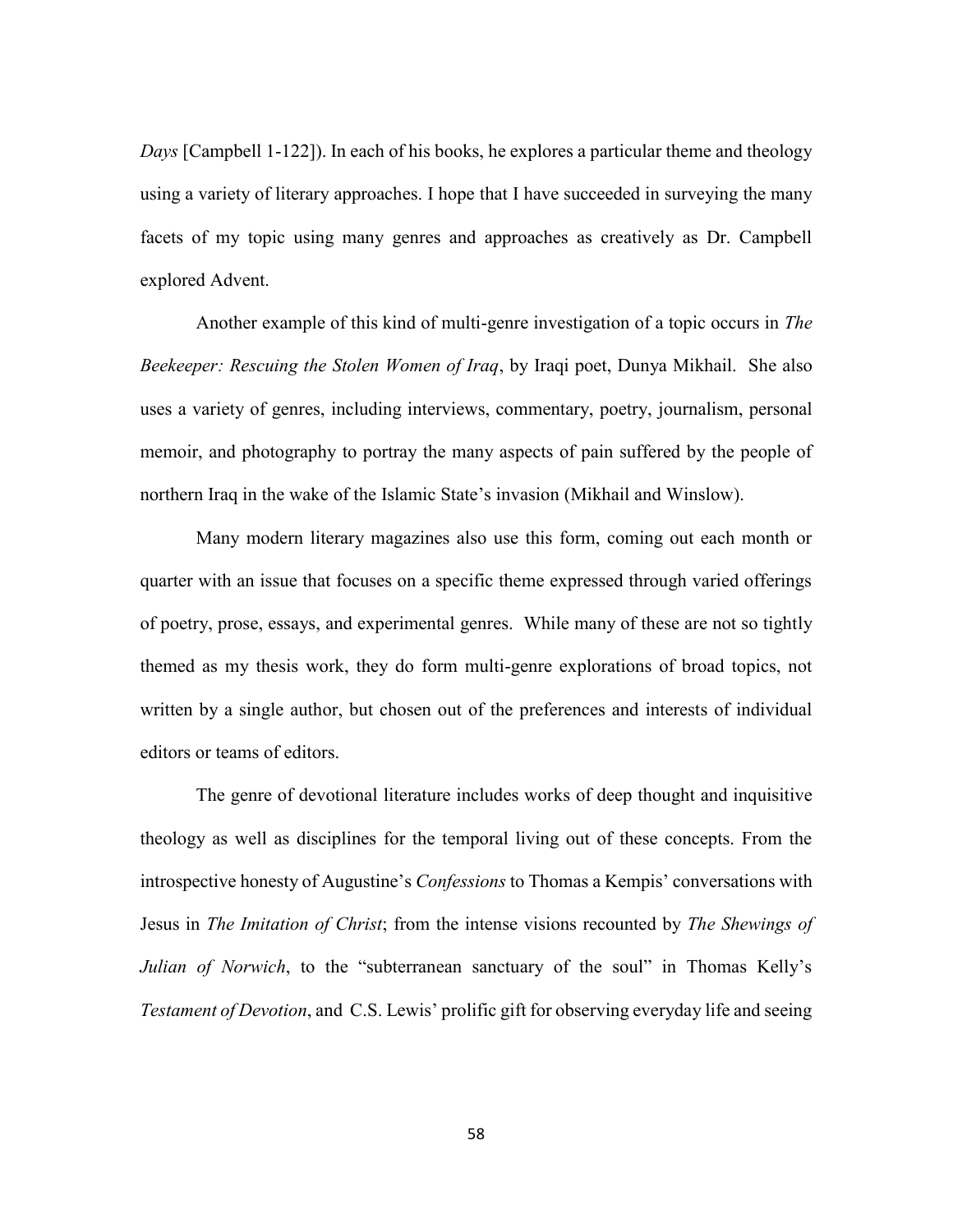*Days* [Campbell 1-122]). In each of his books, he explores a particular theme and theology using a variety of literary approaches. I hope that I have succeeded in surveying the many facets of my topic using many genres and approaches as creatively as Dr. Campbell explored Advent.

Another example of this kind of multi-genre investigation of a topic occurs in *The Beekeeper: Rescuing the Stolen Women of Iraq*, by Iraqi poet, Dunya Mikhail. She also uses a variety of genres, including interviews, commentary, poetry, journalism, personal memoir, and photography to portray the many aspects of pain suffered by the people of northern Iraq in the wake of the Islamic State's invasion (Mikhail and Winslow).

Many modern literary magazines also use this form, coming out each month or quarter with an issue that focuses on a specific theme expressed through varied offerings of poetry, prose, essays, and experimental genres. While many of these are not so tightly themed as my thesis work, they do form multi-genre explorations of broad topics, not written by a single author, but chosen out of the preferences and interests of individual editors or teams of editors.

The genre of devotional literature includes works of deep thought and inquisitive theology as well as disciplines for the temporal living out of these concepts. From the introspective honesty of Augustine's *Confessions* to Thomas a Kempis' conversations with Jesus in *The Imitation of Christ*; from the intense visions recounted by *The Shewings of Julian of Norwich*, to the "subterranean sanctuary of the soul" in Thomas Kelly's *Testament of Devotion*, and C.S. Lewis' prolific gift for observing everyday life and seeing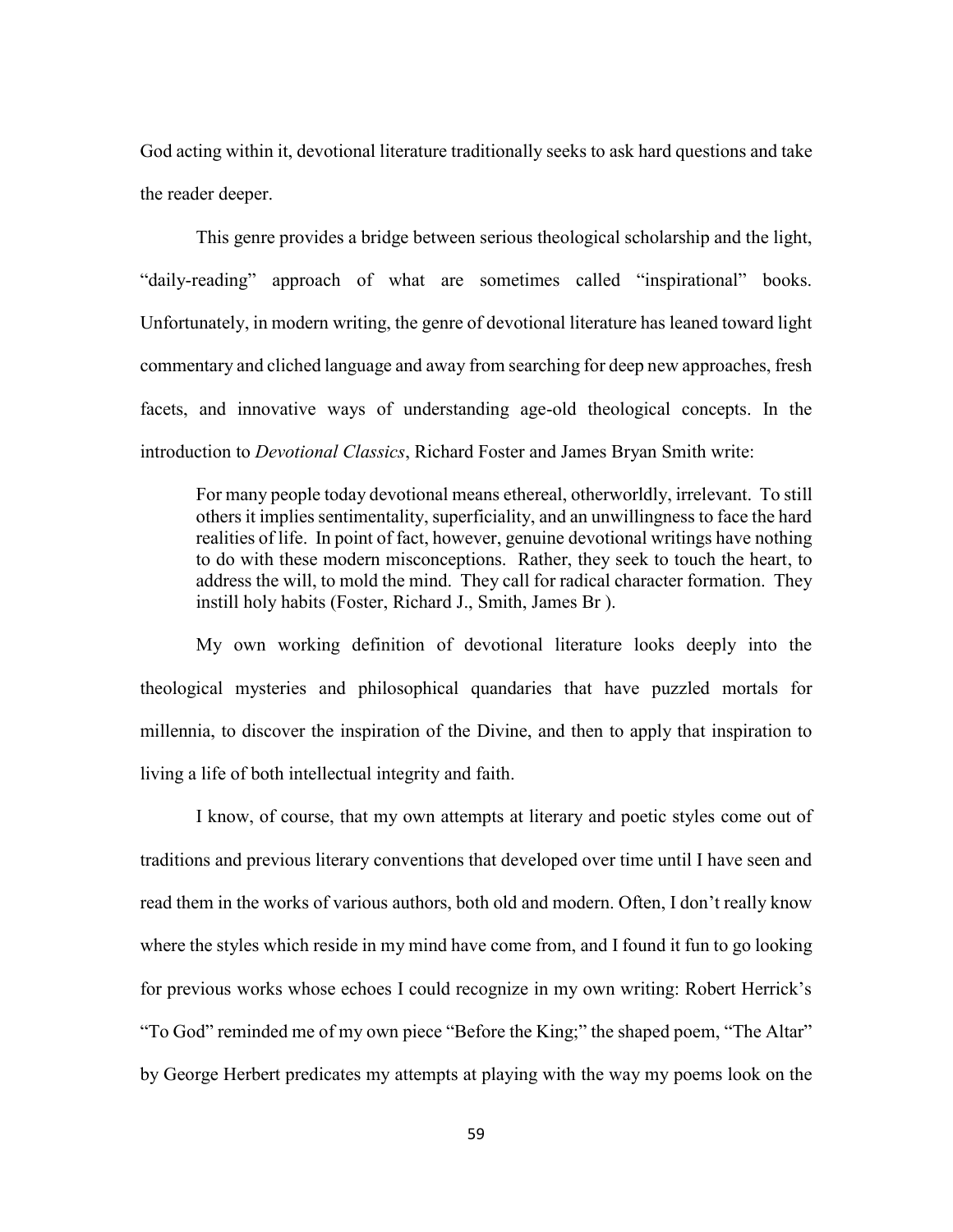God acting within it, devotional literature traditionally seeks to ask hard questions and take the reader deeper.

This genre provides a bridge between serious theological scholarship and the light, "daily-reading" approach of what are sometimes called "inspirational" books. Unfortunately, in modern writing, the genre of devotional literature has leaned toward light commentary and cliched language and away from searching for deep new approaches, fresh facets, and innovative ways of understanding age-old theological concepts. In the introduction to *Devotional Classics*, Richard Foster and James Bryan Smith write:

For many people today devotional means ethereal, otherworldly, irrelevant. To still others it implies sentimentality, superficiality, and an unwillingness to face the hard realities of life. In point of fact, however, genuine devotional writings have nothing to do with these modern misconceptions. Rather, they seek to touch the heart, to address the will, to mold the mind. They call for radical character formation. They instill holy habits (Foster, Richard J., Smith, James Br ).

My own working definition of devotional literature looks deeply into the theological mysteries and philosophical quandaries that have puzzled mortals for millennia, to discover the inspiration of the Divine, and then to apply that inspiration to living a life of both intellectual integrity and faith.

I know, of course, that my own attempts at literary and poetic styles come out of traditions and previous literary conventions that developed over time until I have seen and read them in the works of various authors, both old and modern. Often, I don't really know where the styles which reside in my mind have come from, and I found it fun to go looking for previous works whose echoes I could recognize in my own writing: Robert Herrick's "To God" reminded me of my own piece "Before the King;" the shaped poem, "The Altar" by George Herbert predicates my attempts at playing with the way my poems look on the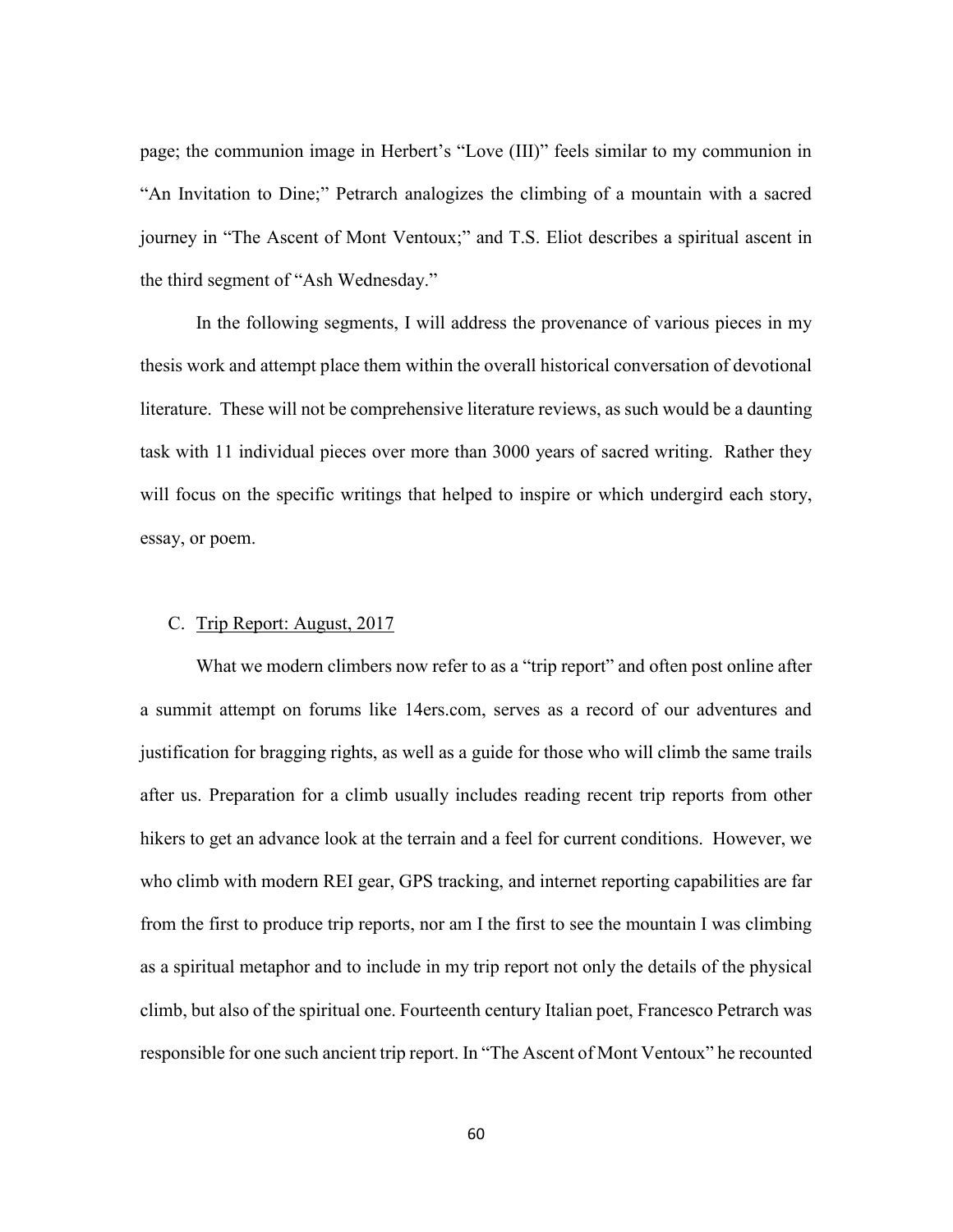page; the communion image in Herbert's "Love (III)" feels similar to my communion in "An Invitation to Dine;" Petrarch analogizes the climbing of a mountain with a sacred journey in "The Ascent of Mont Ventoux;" and T.S. Eliot describes a spiritual ascent in the third segment of "Ash Wednesday."

In the following segments, I will address the provenance of various pieces in my thesis work and attempt place them within the overall historical conversation of devotional literature. These will not be comprehensive literature reviews, as such would be a daunting task with 11 individual pieces over more than 3000 years of sacred writing. Rather they will focus on the specific writings that helped to inspire or which undergird each story, essay, or poem.

## C. Trip Report: August, 2017

What we modern climbers now refer to as a "trip report" and often post online after a summit attempt on forums like 14ers.com, serves as a record of our adventures and justification for bragging rights, as well as a guide for those who will climb the same trails after us. Preparation for a climb usually includes reading recent trip reports from other hikers to get an advance look at the terrain and a feel for current conditions. However, we who climb with modern REI gear, GPS tracking, and internet reporting capabilities are far from the first to produce trip reports, nor am I the first to see the mountain I was climbing as a spiritual metaphor and to include in my trip report not only the details of the physical climb, but also of the spiritual one. Fourteenth century Italian poet, Francesco Petrarch was responsible for one such ancient trip report. In "The Ascent of Mont Ventoux" he recounted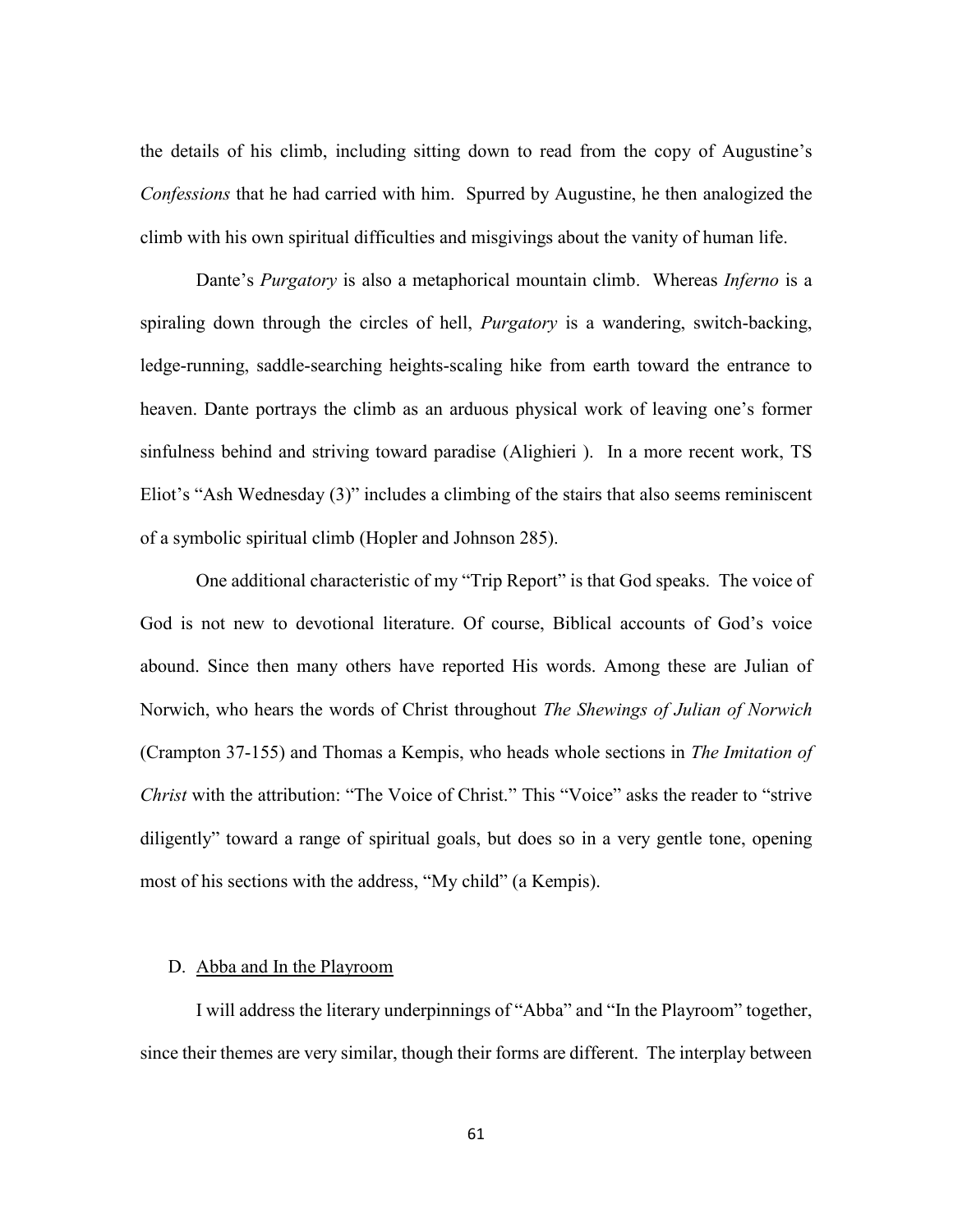the details of his climb, including sitting down to read from the copy of Augustine's *Confessions* that he had carried with him. Spurred by Augustine, he then analogized the climb with his own spiritual difficulties and misgivings about the vanity of human life.

Dante's *Purgatory* is also a metaphorical mountain climb. Whereas *Inferno* is a spiraling down through the circles of hell, *Purgatory* is a wandering, switch-backing, ledge-running, saddle-searching heights-scaling hike from earth toward the entrance to heaven. Dante portrays the climb as an arduous physical work of leaving one's former sinfulness behind and striving toward paradise (Alighieri ). In a more recent work, TS Eliot's "Ash Wednesday (3)" includes a climbing of the stairs that also seems reminiscent of a symbolic spiritual climb (Hopler and Johnson 285).

One additional characteristic of my "Trip Report" is that God speaks. The voice of God is not new to devotional literature. Of course, Biblical accounts of God's voice abound. Since then many others have reported His words. Among these are Julian of Norwich, who hears the words of Christ throughout *The Shewings of Julian of Norwich* (Crampton 37-155) and Thomas a Kempis, who heads whole sections in *The Imitation of Christ* with the attribution: "The Voice of Christ." This "Voice" asks the reader to "strive diligently" toward a range of spiritual goals, but does so in a very gentle tone, opening most of his sections with the address, "My child" (a Kempis).

## D. Abba and In the Playroom

I will address the literary underpinnings of "Abba" and "In the Playroom" together, since their themes are very similar, though their forms are different. The interplay between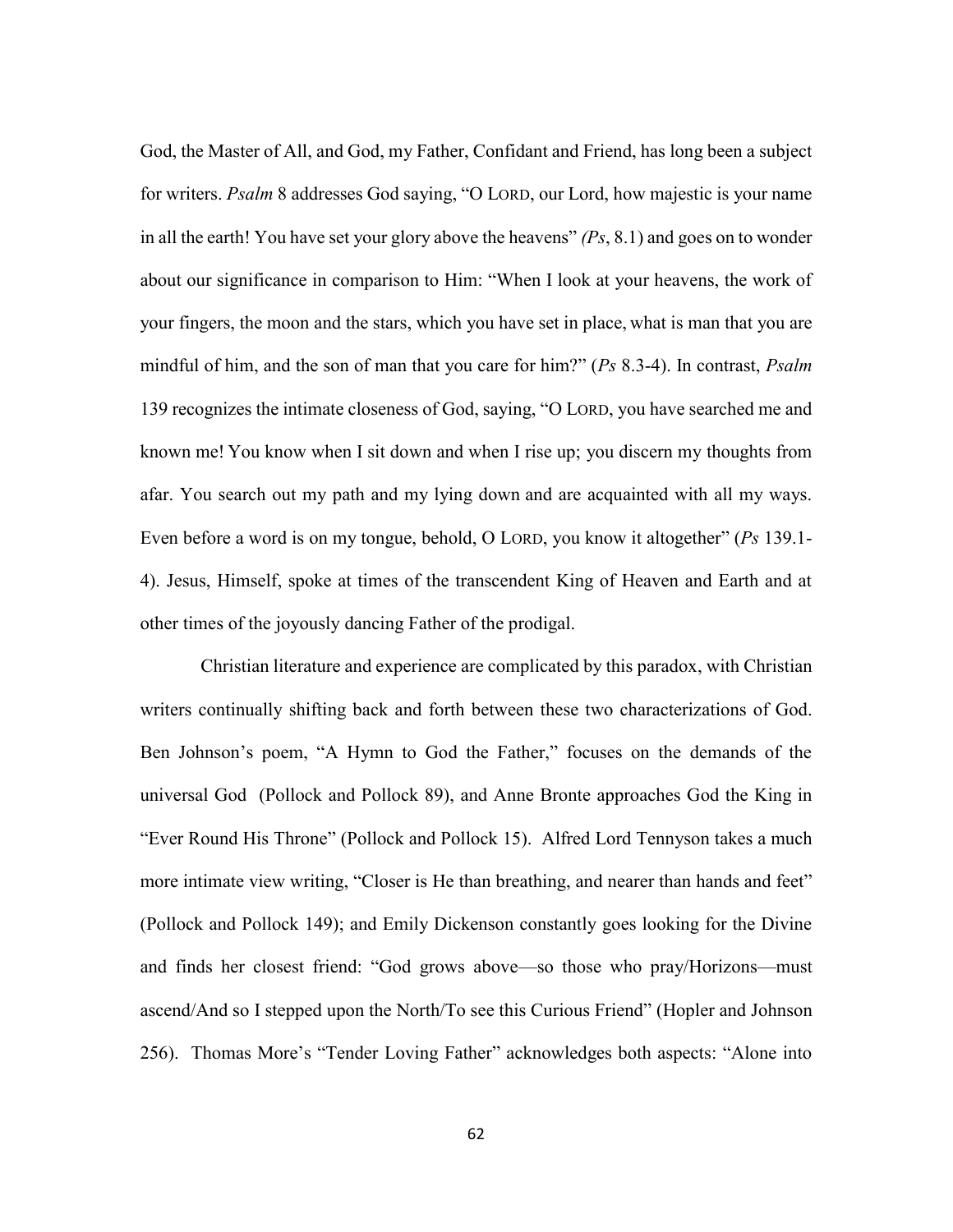God, the Master of All, and God, my Father, Confidant and Friend, has long been a subject for writers. *Psalm* 8 addresses God saying, "O LORD, our Lord, how majestic is your name in all the earth! You have set your glory above the heavens" *(Ps*, 8.1) and goes on to wonder about our significance in comparison to Him: "When I look at your heavens, the work of your fingers, the moon and the stars, which you have set in place, what is man that you are mindful of him, and the son of man that you care for him?" (*Ps* 8.3-4). In contrast, *Psalm* 139 recognizes the intimate closeness of God, saying, "O LORD, you have searched me and known me! You know when I sit down and when I rise up; you discern my thoughts from afar. You search out my path and my lying down and are acquainted with all my ways. Even before a word is on my tongue, behold, O LORD, you know it altogether" (*Ps* 139.1- 4). Jesus, Himself, spoke at times of the transcendent King of Heaven and Earth and at other times of the joyously dancing Father of the prodigal.

Christian literature and experience are complicated by this paradox, with Christian writers continually shifting back and forth between these two characterizations of God. Ben Johnson's poem, "A Hymn to God the Father," focuses on the demands of the universal God (Pollock and Pollock 89), and Anne Bronte approaches God the King in "Ever Round His Throne" (Pollock and Pollock 15). Alfred Lord Tennyson takes a much more intimate view writing, "Closer is He than breathing, and nearer than hands and feet" (Pollock and Pollock 149); and Emily Dickenson constantly goes looking for the Divine and finds her closest friend: "God grows above—so those who pray/Horizons—must ascend/And so I stepped upon the North/To see this Curious Friend" (Hopler and Johnson 256). Thomas More's "Tender Loving Father" acknowledges both aspects: "Alone into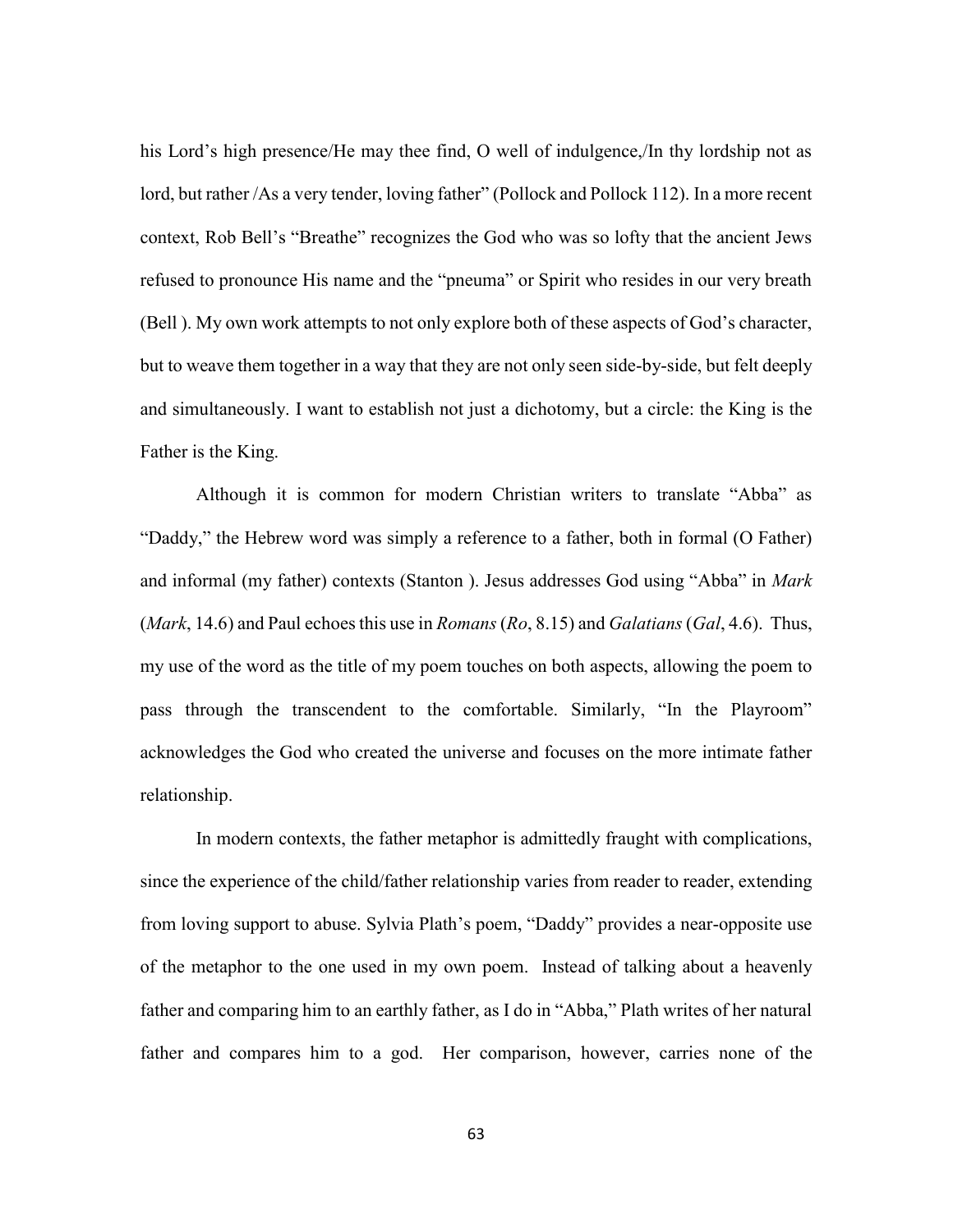his Lord's high presence/He may thee find, O well of indulgence,/In thy lordship not as lord, but rather /As a very tender, loving father" (Pollock and Pollock 112). In a more recent context, Rob Bell's "Breathe" recognizes the God who was so lofty that the ancient Jews refused to pronounce His name and the "pneuma" or Spirit who resides in our very breath (Bell ). My own work attempts to not only explore both of these aspects of God's character, but to weave them together in a way that they are not only seen side-by-side, but felt deeply and simultaneously. I want to establish not just a dichotomy, but a circle: the King is the Father is the King.

Although it is common for modern Christian writers to translate "Abba" as "Daddy," the Hebrew word was simply a reference to a father, both in formal (O Father) and informal (my father) contexts (Stanton ). Jesus addresses God using "Abba" in *Mark* (*Mark*, 14.6) and Paul echoes this use in *Romans* (*Ro*, 8.15) and *Galatians*(*Gal*, 4.6). Thus, my use of the word as the title of my poem touches on both aspects, allowing the poem to pass through the transcendent to the comfortable. Similarly, "In the Playroom" acknowledges the God who created the universe and focuses on the more intimate father relationship.

In modern contexts, the father metaphor is admittedly fraught with complications, since the experience of the child/father relationship varies from reader to reader, extending from loving support to abuse. Sylvia Plath's poem, "Daddy" provides a near-opposite use of the metaphor to the one used in my own poem. Instead of talking about a heavenly father and comparing him to an earthly father, as I do in "Abba," Plath writes of her natural father and compares him to a god. Her comparison, however, carries none of the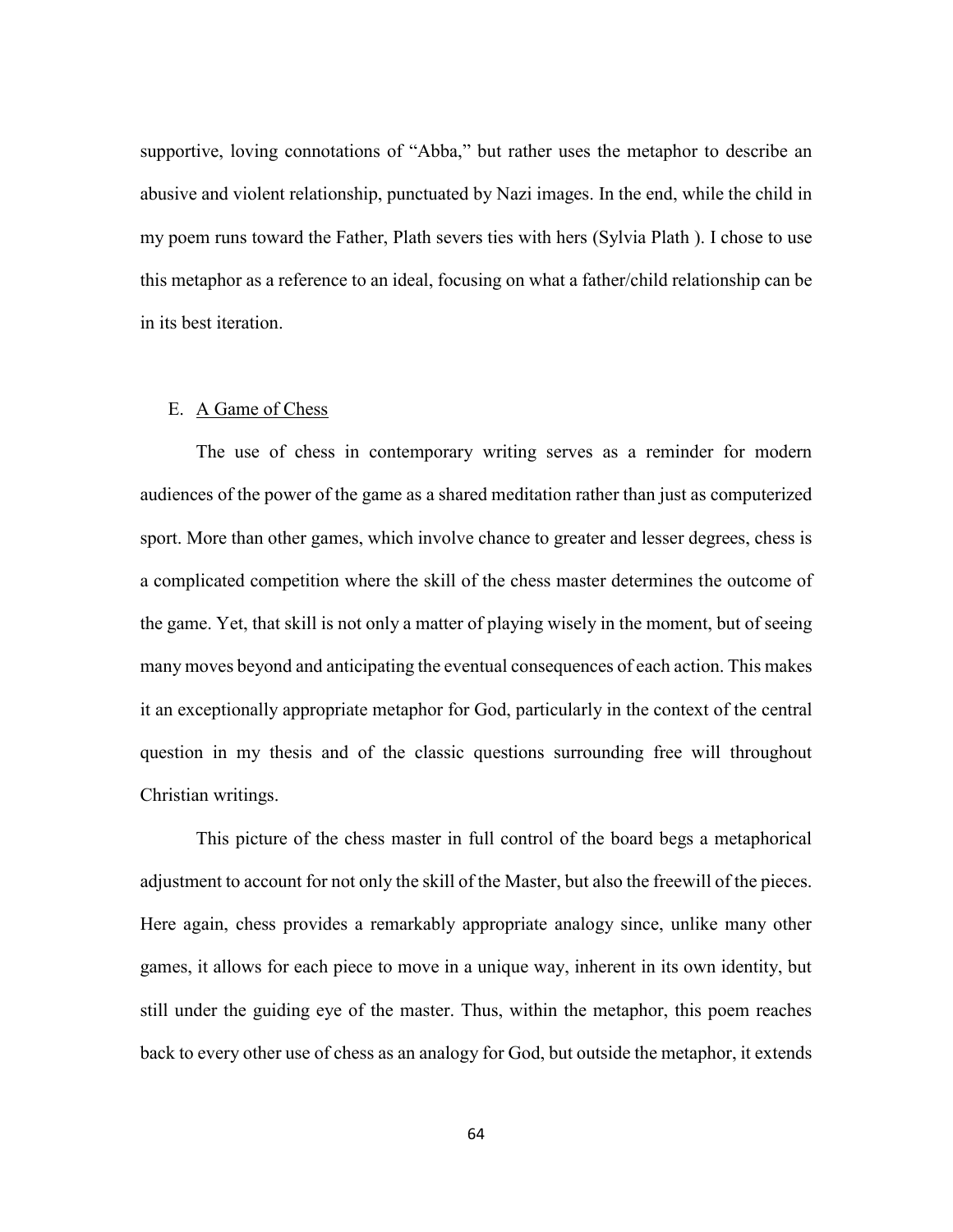supportive, loving connotations of "Abba," but rather uses the metaphor to describe an abusive and violent relationship, punctuated by Nazi images. In the end, while the child in my poem runs toward the Father, Plath severs ties with hers (Sylvia Plath ). I chose to use this metaphor as a reference to an ideal, focusing on what a father/child relationship can be in its best iteration.

### E. A Game of Chess

The use of chess in contemporary writing serves as a reminder for modern audiences of the power of the game as a shared meditation rather than just as computerized sport. More than other games, which involve chance to greater and lesser degrees, chess is a complicated competition where the skill of the chess master determines the outcome of the game. Yet, that skill is not only a matter of playing wisely in the moment, but of seeing many moves beyond and anticipating the eventual consequences of each action. This makes it an exceptionally appropriate metaphor for God, particularly in the context of the central question in my thesis and of the classic questions surrounding free will throughout Christian writings.

This picture of the chess master in full control of the board begs a metaphorical adjustment to account for not only the skill of the Master, but also the freewill of the pieces. Here again, chess provides a remarkably appropriate analogy since, unlike many other games, it allows for each piece to move in a unique way, inherent in its own identity, but still under the guiding eye of the master. Thus, within the metaphor, this poem reaches back to every other use of chess as an analogy for God, but outside the metaphor, it extends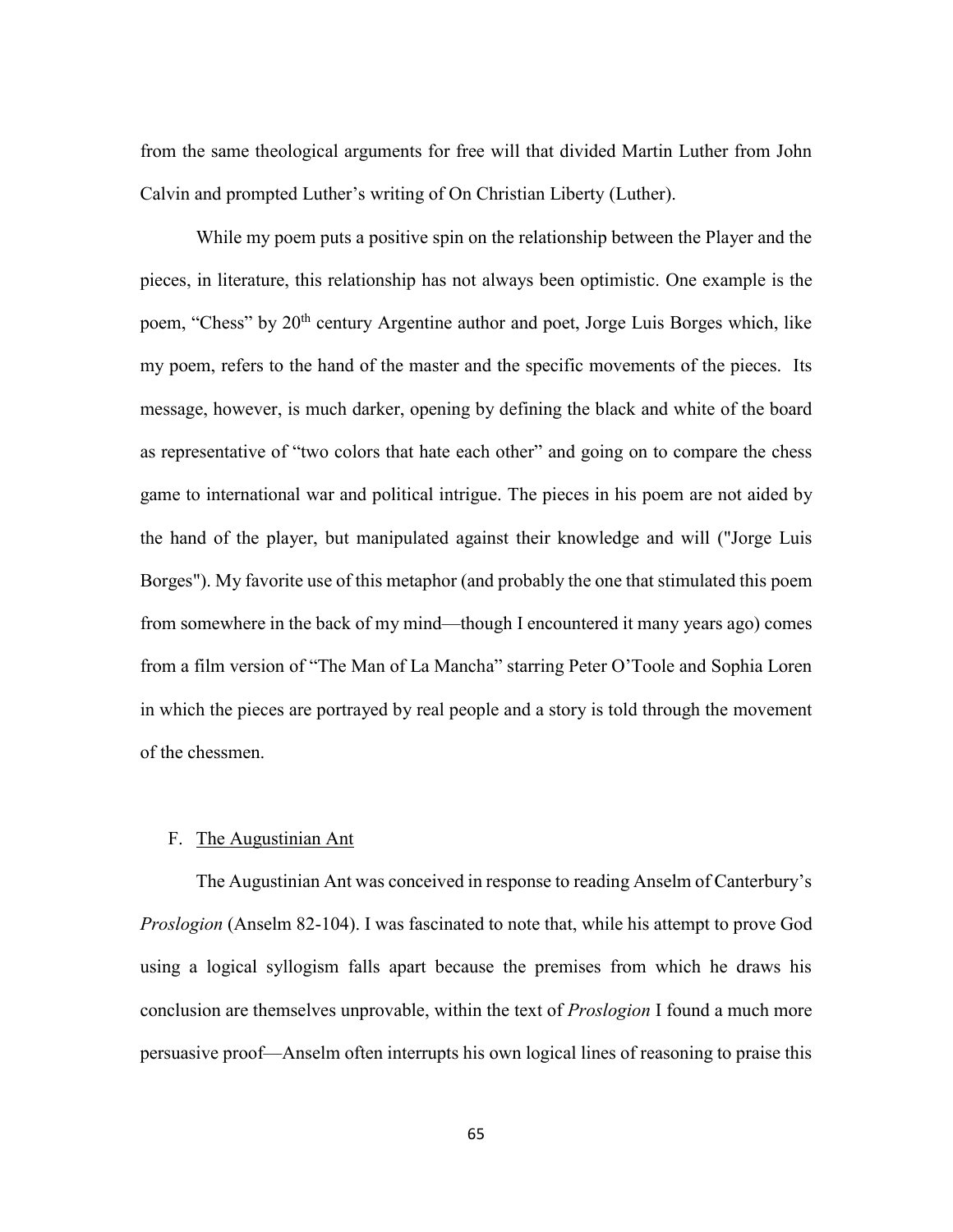from the same theological arguments for free will that divided Martin Luther from John Calvin and prompted Luther's writing of On Christian Liberty (Luther).

While my poem puts a positive spin on the relationship between the Player and the pieces, in literature, this relationship has not always been optimistic. One example is the poem, "Chess" by 20<sup>th</sup> century Argentine author and poet, Jorge Luis Borges which, like my poem, refers to the hand of the master and the specific movements of the pieces. Its message, however, is much darker, opening by defining the black and white of the board as representative of "two colors that hate each other" and going on to compare the chess game to international war and political intrigue. The pieces in his poem are not aided by the hand of the player, but manipulated against their knowledge and will ("Jorge Luis Borges"). My favorite use of this metaphor (and probably the one that stimulated this poem from somewhere in the back of my mind—though I encountered it many years ago) comes from a film version of "The Man of La Mancha" starring Peter O'Toole and Sophia Loren in which the pieces are portrayed by real people and a story is told through the movement of the chessmen.

### F. The Augustinian Ant

The Augustinian Ant was conceived in response to reading Anselm of Canterbury's *Proslogion* (Anselm 82-104). I was fascinated to note that, while his attempt to prove God using a logical syllogism falls apart because the premises from which he draws his conclusion are themselves unprovable, within the text of *Proslogion* I found a much more persuasive proof—Anselm often interrupts his own logical lines of reasoning to praise this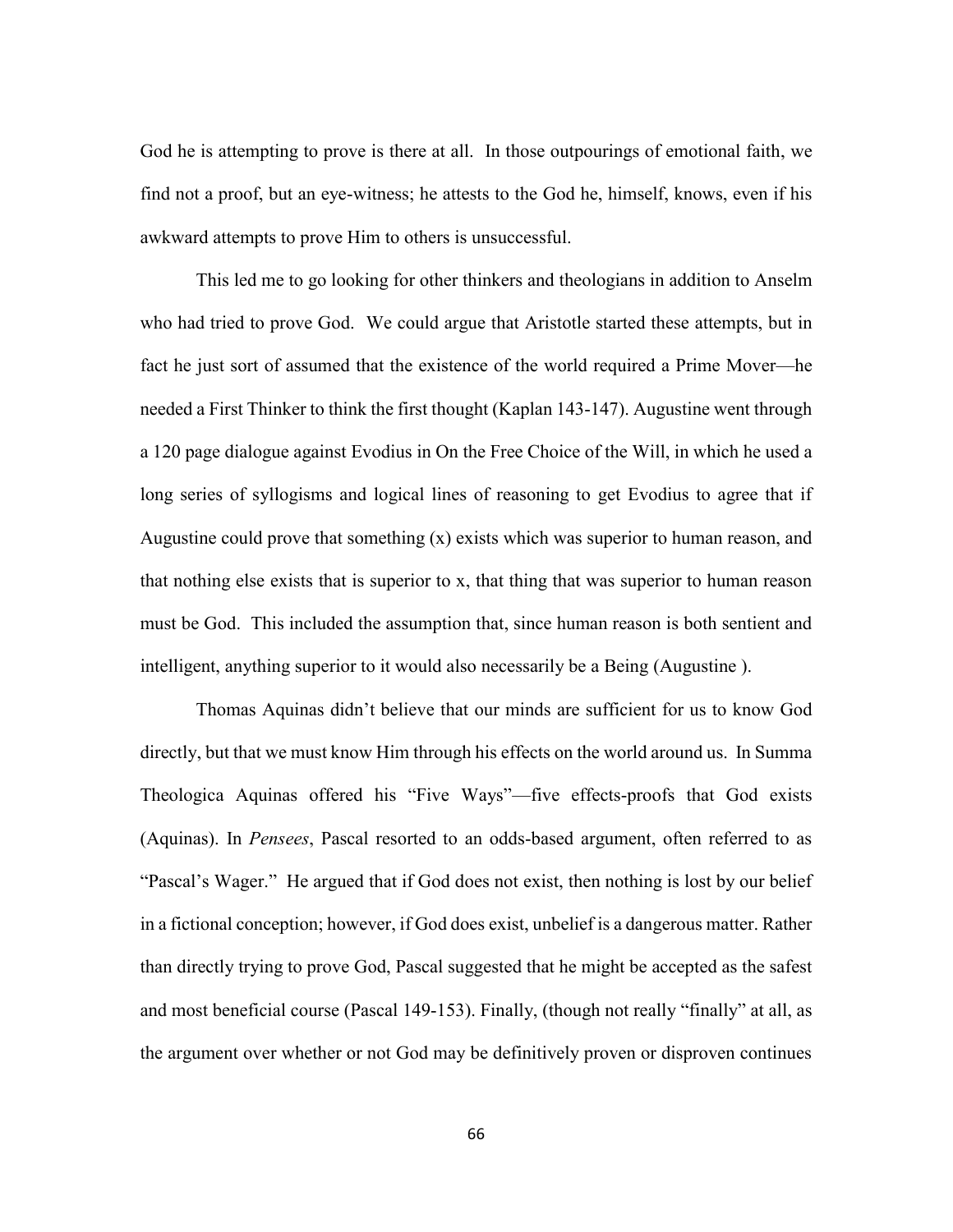God he is attempting to prove is there at all. In those outpourings of emotional faith, we find not a proof, but an eye-witness; he attests to the God he, himself, knows, even if his awkward attempts to prove Him to others is unsuccessful.

This led me to go looking for other thinkers and theologians in addition to Anselm who had tried to prove God. We could argue that Aristotle started these attempts, but in fact he just sort of assumed that the existence of the world required a Prime Mover—he needed a First Thinker to think the first thought (Kaplan 143-147). Augustine went through a 120 page dialogue against Evodius in On the Free Choice of the Will, in which he used a long series of syllogisms and logical lines of reasoning to get Evodius to agree that if Augustine could prove that something (x) exists which was superior to human reason, and that nothing else exists that is superior to x, that thing that was superior to human reason must be God. This included the assumption that, since human reason is both sentient and intelligent, anything superior to it would also necessarily be a Being (Augustine ).

Thomas Aquinas didn't believe that our minds are sufficient for us to know God directly, but that we must know Him through his effects on the world around us. In Summa Theologica Aquinas offered his "Five Ways"—five effects-proofs that God exists (Aquinas). In *Pensees*, Pascal resorted to an odds-based argument, often referred to as "Pascal's Wager." He argued that if God does not exist, then nothing is lost by our belief in a fictional conception; however, if God does exist, unbelief is a dangerous matter. Rather than directly trying to prove God, Pascal suggested that he might be accepted as the safest and most beneficial course (Pascal 149-153). Finally, (though not really "finally" at all, as the argument over whether or not God may be definitively proven or disproven continues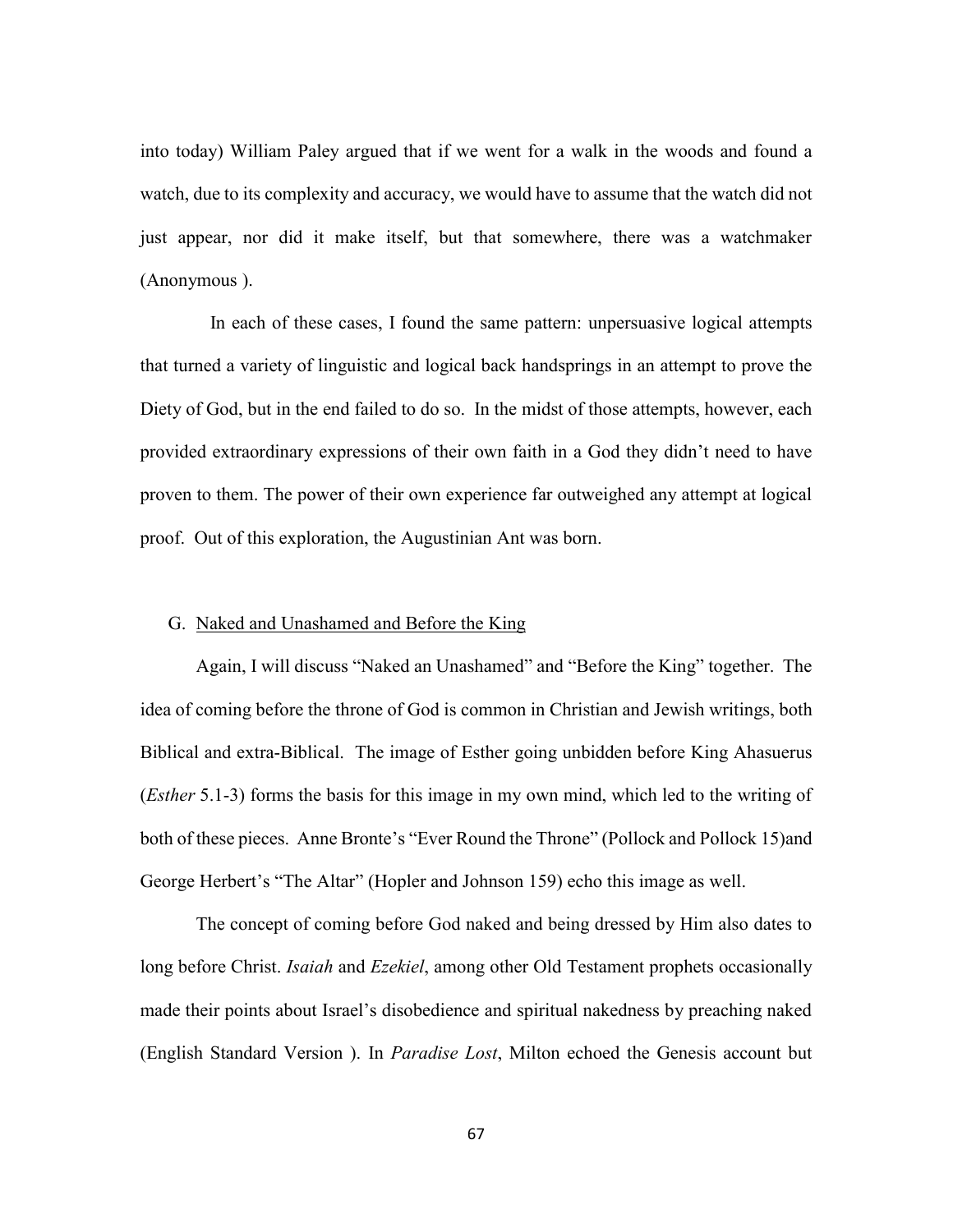into today) William Paley argued that if we went for a walk in the woods and found a watch, due to its complexity and accuracy, we would have to assume that the watch did not just appear, nor did it make itself, but that somewhere, there was a watchmaker (Anonymous ).

 In each of these cases, I found the same pattern: unpersuasive logical attempts that turned a variety of linguistic and logical back handsprings in an attempt to prove the Diety of God, but in the end failed to do so. In the midst of those attempts, however, each provided extraordinary expressions of their own faith in a God they didn't need to have proven to them. The power of their own experience far outweighed any attempt at logical proof. Out of this exploration, the Augustinian Ant was born.

#### G. Naked and Unashamed and Before the King

Again, I will discuss "Naked an Unashamed" and "Before the King" together. The idea of coming before the throne of God is common in Christian and Jewish writings, both Biblical and extra-Biblical. The image of Esther going unbidden before King Ahasuerus (*Esther* 5.1-3) forms the basis for this image in my own mind, which led to the writing of both of these pieces. Anne Bronte's "Ever Round the Throne" (Pollock and Pollock 15)and George Herbert's "The Altar" (Hopler and Johnson 159) echo this image as well.

The concept of coming before God naked and being dressed by Him also dates to long before Christ. *Isaiah* and *Ezekiel*, among other Old Testament prophets occasionally made their points about Israel's disobedience and spiritual nakedness by preaching naked (English Standard Version ). In *Paradise Lost*, Milton echoed the Genesis account but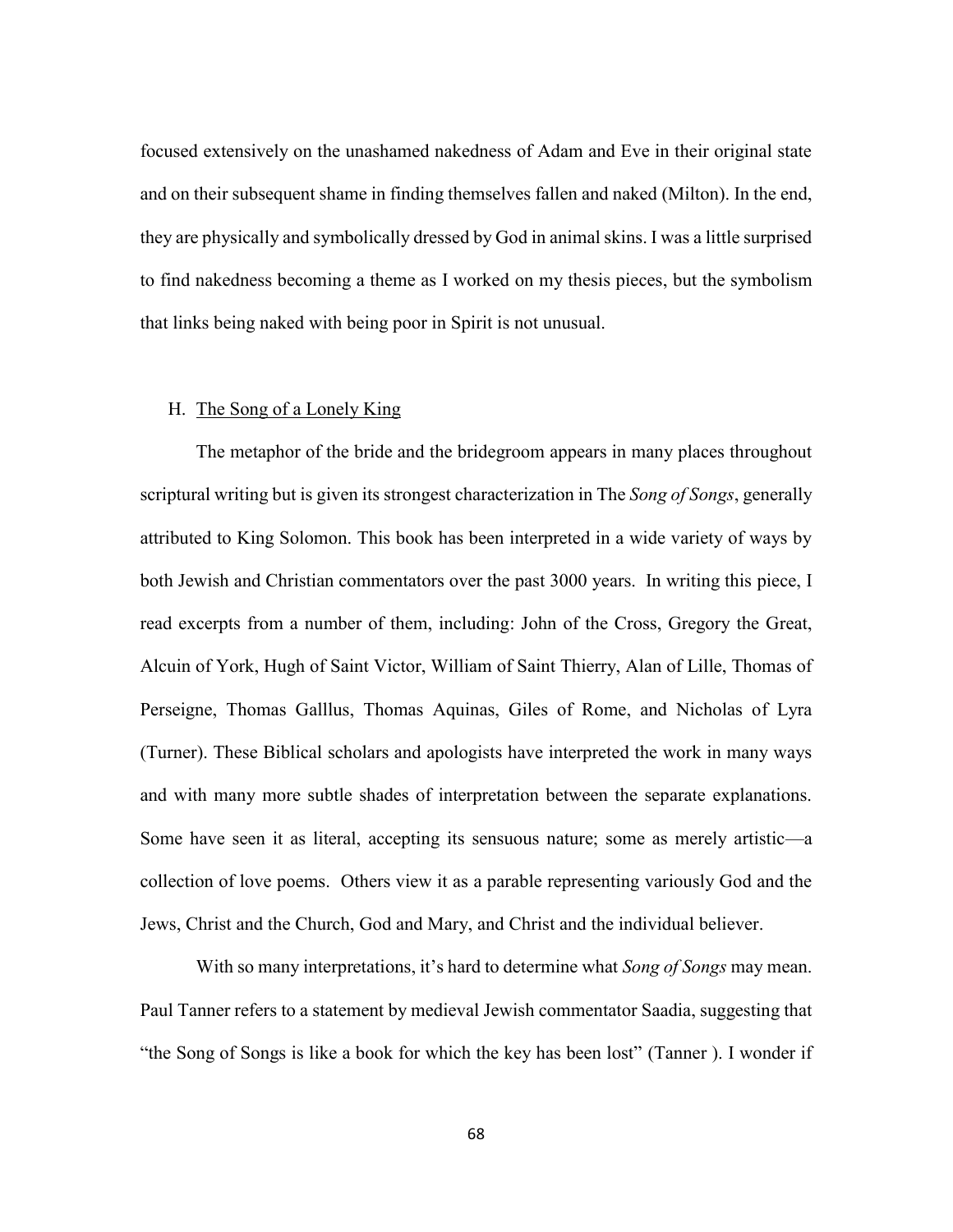focused extensively on the unashamed nakedness of Adam and Eve in their original state and on their subsequent shame in finding themselves fallen and naked (Milton). In the end, they are physically and symbolically dressed by God in animal skins. I was a little surprised to find nakedness becoming a theme as I worked on my thesis pieces, but the symbolism that links being naked with being poor in Spirit is not unusual.

## H. The Song of a Lonely King

The metaphor of the bride and the bridegroom appears in many places throughout scriptural writing but is given its strongest characterization in The *Song of Songs*, generally attributed to King Solomon. This book has been interpreted in a wide variety of ways by both Jewish and Christian commentators over the past 3000 years. In writing this piece, I read excerpts from a number of them, including: John of the Cross, Gregory the Great, Alcuin of York, Hugh of Saint Victor, William of Saint Thierry, Alan of Lille, Thomas of Perseigne, Thomas Galllus, Thomas Aquinas, Giles of Rome, and Nicholas of Lyra (Turner). These Biblical scholars and apologists have interpreted the work in many ways and with many more subtle shades of interpretation between the separate explanations. Some have seen it as literal, accepting its sensuous nature; some as merely artistic—a collection of love poems. Others view it as a parable representing variously God and the Jews, Christ and the Church, God and Mary, and Christ and the individual believer.

With so many interpretations, it's hard to determine what *Song of Songs* may mean. Paul Tanner refers to a statement by medieval Jewish commentator Saadia, suggesting that "the Song of Songs is like a book for which the key has been lost" (Tanner ). I wonder if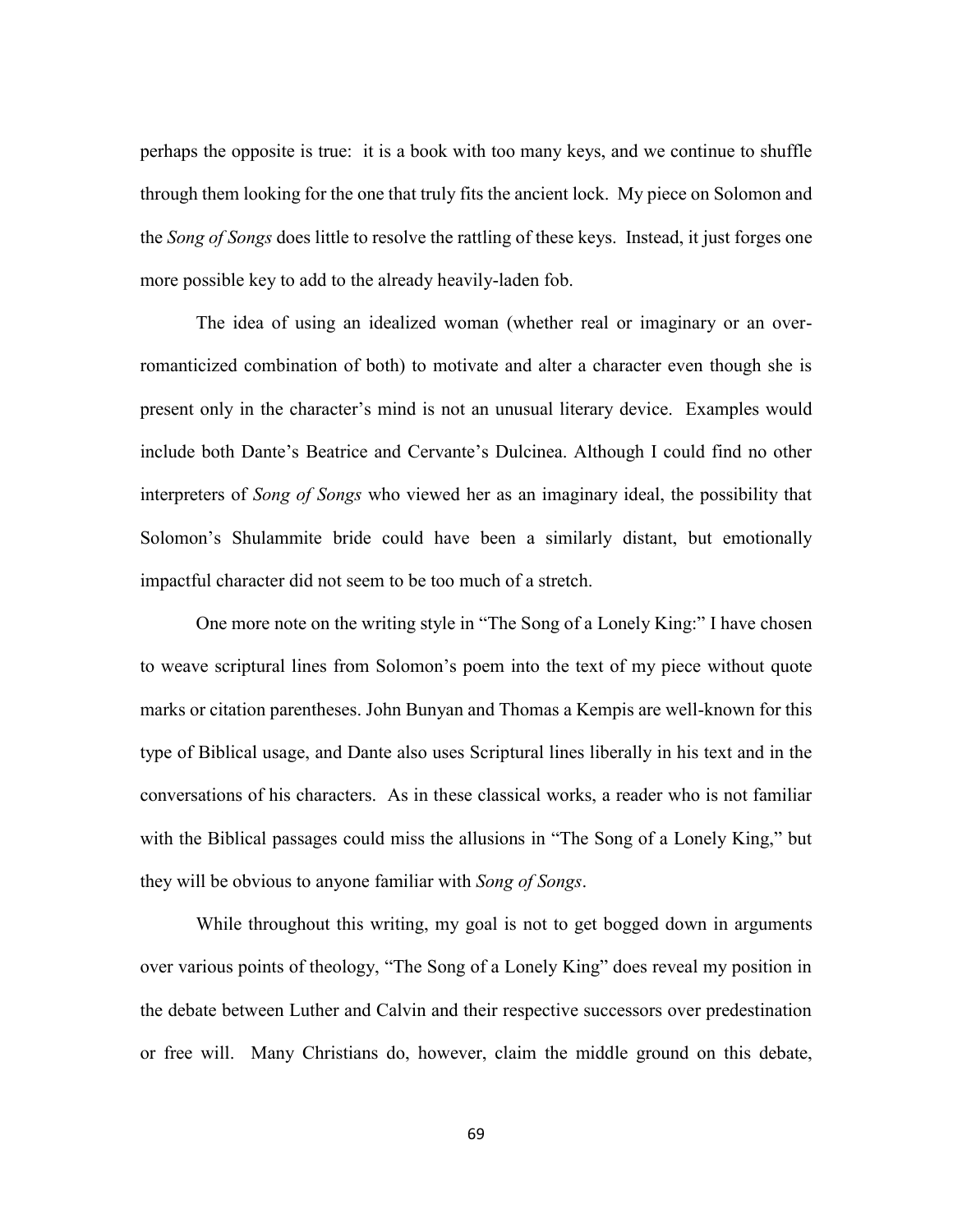perhaps the opposite is true: it is a book with too many keys, and we continue to shuffle through them looking for the one that truly fits the ancient lock. My piece on Solomon and the *Song of Songs* does little to resolve the rattling of these keys. Instead, it just forges one more possible key to add to the already heavily-laden fob.

The idea of using an idealized woman (whether real or imaginary or an overromanticized combination of both) to motivate and alter a character even though she is present only in the character's mind is not an unusual literary device. Examples would include both Dante's Beatrice and Cervante's Dulcinea. Although I could find no other interpreters of *Song of Songs* who viewed her as an imaginary ideal, the possibility that Solomon's Shulammite bride could have been a similarly distant, but emotionally impactful character did not seem to be too much of a stretch.

One more note on the writing style in "The Song of a Lonely King:" I have chosen to weave scriptural lines from Solomon's poem into the text of my piece without quote marks or citation parentheses. John Bunyan and Thomas a Kempis are well-known for this type of Biblical usage, and Dante also uses Scriptural lines liberally in his text and in the conversations of his characters. As in these classical works, a reader who is not familiar with the Biblical passages could miss the allusions in "The Song of a Lonely King," but they will be obvious to anyone familiar with *Song of Songs*.

While throughout this writing, my goal is not to get bogged down in arguments over various points of theology, "The Song of a Lonely King" does reveal my position in the debate between Luther and Calvin and their respective successors over predestination or free will. Many Christians do, however, claim the middle ground on this debate,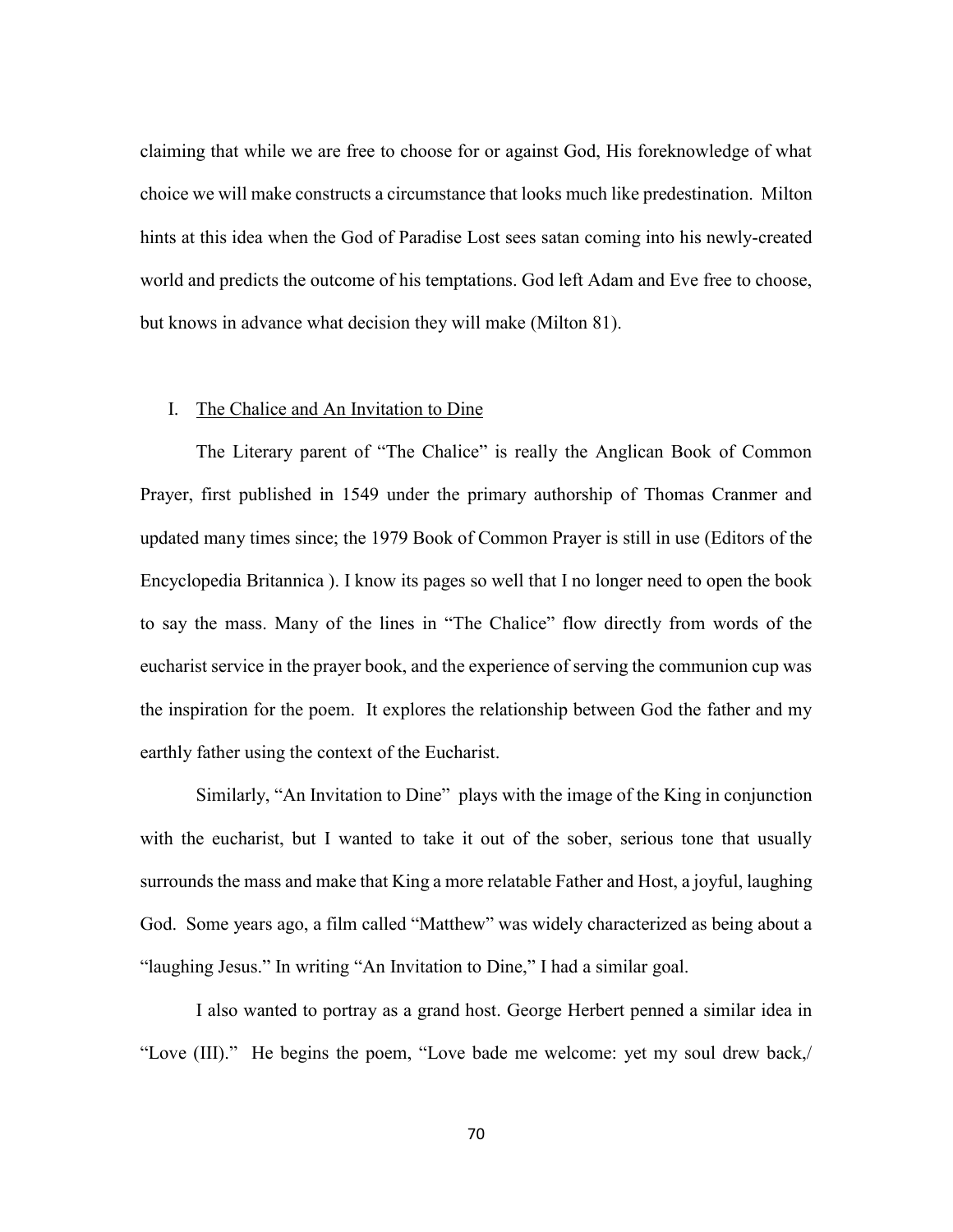claiming that while we are free to choose for or against God, His foreknowledge of what choice we will make constructs a circumstance that looks much like predestination. Milton hints at this idea when the God of Paradise Lost sees satan coming into his newly-created world and predicts the outcome of his temptations. God left Adam and Eve free to choose, but knows in advance what decision they will make (Milton 81).

## I. The Chalice and An Invitation to Dine

The Literary parent of "The Chalice" is really the Anglican Book of Common Prayer, first published in 1549 under the primary authorship of Thomas Cranmer and updated many times since; the 1979 Book of Common Prayer is still in use (Editors of the Encyclopedia Britannica ). I know its pages so well that I no longer need to open the book to say the mass. Many of the lines in "The Chalice" flow directly from words of the eucharist service in the prayer book, and the experience of serving the communion cup was the inspiration for the poem. It explores the relationship between God the father and my earthly father using the context of the Eucharist.

Similarly, "An Invitation to Dine" plays with the image of the King in conjunction with the eucharist, but I wanted to take it out of the sober, serious tone that usually surrounds the mass and make that King a more relatable Father and Host, a joyful, laughing God. Some years ago, a film called "Matthew" was widely characterized as being about a "laughing Jesus." In writing "An Invitation to Dine," I had a similar goal.

I also wanted to portray as a grand host. George Herbert penned a similar idea in "Love (III)." He begins the poem, "Love bade me welcome: yet my soul drew back,/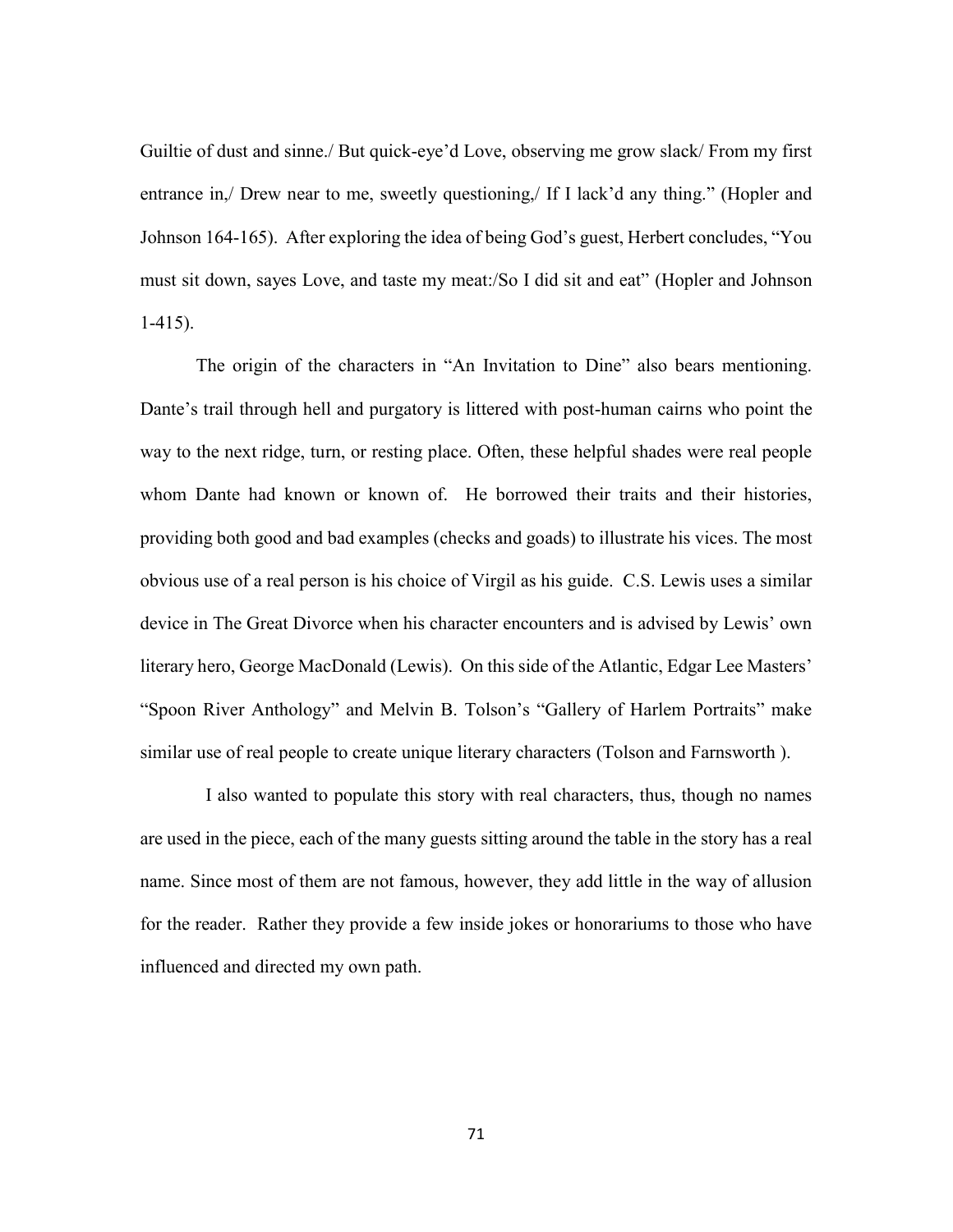Guiltie of dust and sinne./ But quick-eye'd Love, observing me grow slack/ From my first entrance in,/ Drew near to me, sweetly questioning,/ If I lack'd any thing." (Hopler and Johnson 164-165). After exploring the idea of being God's guest, Herbert concludes, "You must sit down, sayes Love, and taste my meat:/So I did sit and eat" (Hopler and Johnson 1-415).

The origin of the characters in "An Invitation to Dine" also bears mentioning. Dante's trail through hell and purgatory is littered with post-human cairns who point the way to the next ridge, turn, or resting place. Often, these helpful shades were real people whom Dante had known or known of. He borrowed their traits and their histories, providing both good and bad examples (checks and goads) to illustrate his vices. The most obvious use of a real person is his choice of Virgil as his guide. C.S. Lewis uses a similar device in The Great Divorce when his character encounters and is advised by Lewis' own literary hero, George MacDonald (Lewis). On this side of the Atlantic, Edgar Lee Masters' "Spoon River Anthology" and Melvin B. Tolson's "Gallery of Harlem Portraits" make similar use of real people to create unique literary characters (Tolson and Farnsworth ).

 I also wanted to populate this story with real characters, thus, though no names are used in the piece, each of the many guests sitting around the table in the story has a real name. Since most of them are not famous, however, they add little in the way of allusion for the reader. Rather they provide a few inside jokes or honorariums to those who have influenced and directed my own path.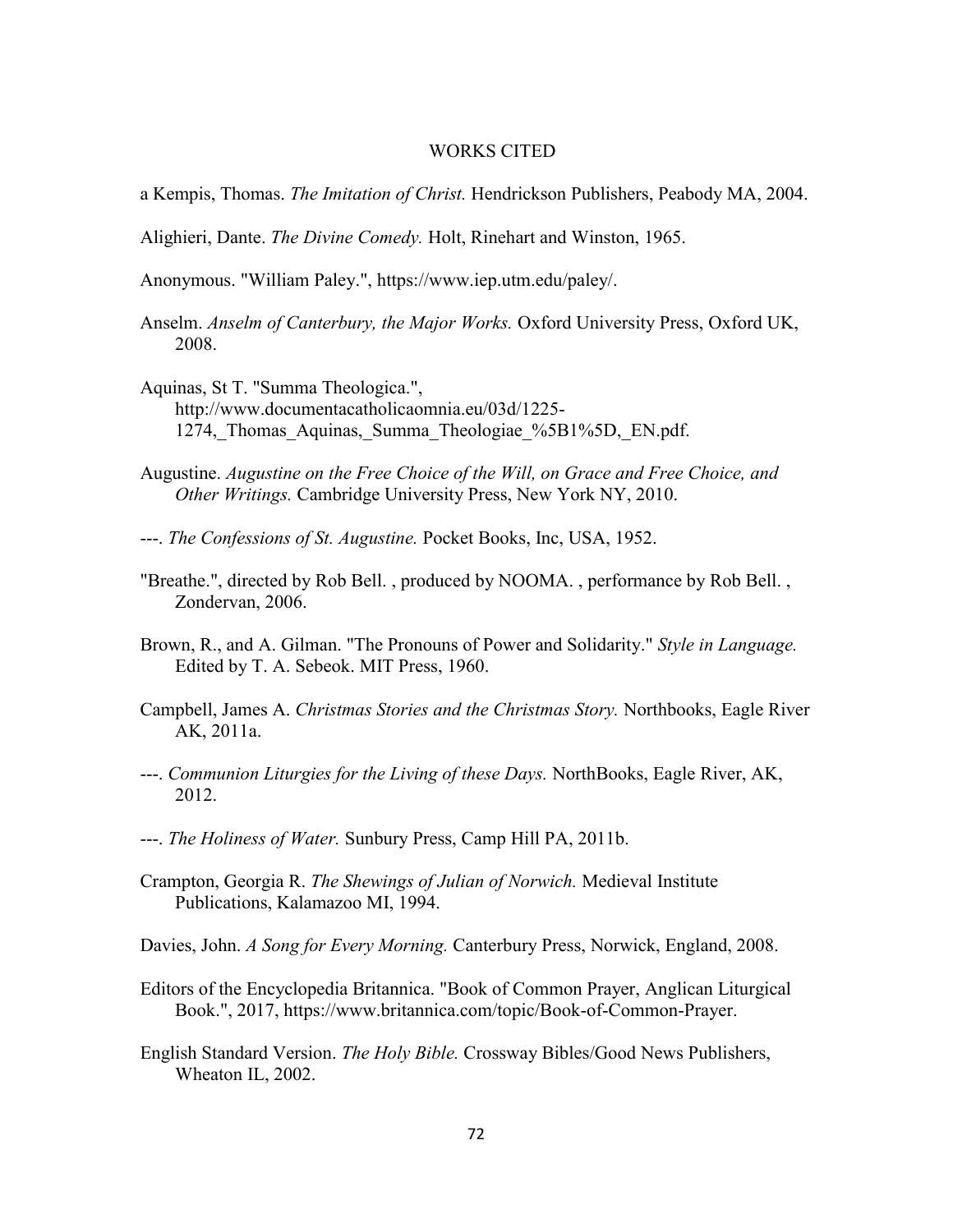## WORKS CITED

- a Kempis, Thomas. *The Imitation of Christ.* Hendrickson Publishers, Peabody MA, 2004.
- Alighieri, Dante. *The Divine Comedy.* Holt, Rinehart and Winston, 1965.
- Anonymous. "William Paley."[, https://www.iep.utm.edu/paley/.](https://www.iep.utm.edu/paley/)
- Anselm. *Anselm of Canterbury, the Major Works.* Oxford University Press, Oxford UK, 2008.
- Aquinas, St T. "Summa Theologica.", http://www.documentacatholicaomnia.eu/03d/1225- 1274, Thomas Aquinas, Summa Theologiae %5B1%5D, EN.pdf.
- Augustine. *Augustine on the Free Choice of the Will, on Grace and Free Choice, and Other Writings.* Cambridge University Press, New York NY, 2010.
- ---. *The Confessions of St. Augustine.* Pocket Books, Inc, USA, 1952.
- "Breathe.", directed by Rob Bell. , produced by NOOMA. , performance by Rob Bell. , Zondervan, 2006.
- Brown, R., and A. Gilman. "The Pronouns of Power and Solidarity." *Style in Language.* Edited by T. A. Sebeok. MIT Press, 1960.
- Campbell, James A. *Christmas Stories and the Christmas Story.* Northbooks, Eagle River AK, 2011a.
- ---. *Communion Liturgies for the Living of these Days.* NorthBooks, Eagle River, AK, 2012.
- ---. *The Holiness of Water.* Sunbury Press, Camp Hill PA, 2011b.
- Crampton, Georgia R. *The Shewings of Julian of Norwich.* Medieval Institute Publications, Kalamazoo MI, 1994.
- Davies, John. *A Song for Every Morning.* Canterbury Press, Norwick, England, 2008.
- Editors of the Encyclopedia Britannica. "Book of Common Prayer, Anglican Liturgical Book.", 2017, [https://www.britannica.com/topic/Book-of-Common-Prayer.](https://www.britannica.com/topic/Book-of-Common-Prayer)
- English Standard Version. *The Holy Bible.* Crossway Bibles/Good News Publishers, Wheaton IL, 2002.